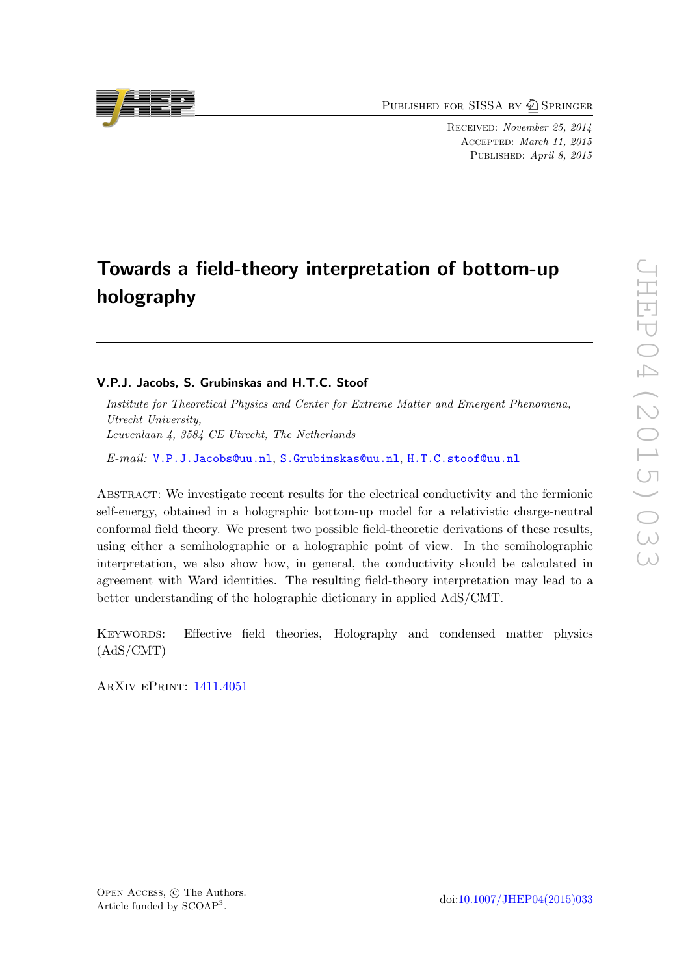PUBLISHED FOR SISSA BY 2 SPRINGER

Received: November 25, 2014 Accepted: March 11, 2015 PUBLISHED: April 8, 2015

# Towards a field-theory interpretation of bottom-up holography

# V.P.J. Jacobs, S. Grubinskas and H.T.C. Stoof

Institute for Theoretical Physics and Center for Extreme Matter and Emergent Phenomena, Utrecht University, Leuvenlaan 4, 3584 CE Utrecht, The Netherlands

E-mail: [V.P.J.Jacobs@uu.nl](mailto:V.P.J.Jacobs@uu.nl), [S.Grubinskas@uu.nl](mailto:S.Grubinskas@uu.nl), [H.T.C.stoof@uu.nl](mailto:H.T.C.stoof@uu.nl)

Abstract: We investigate recent results for the electrical conductivity and the fermionic self-energy, obtained in a holographic bottom-up model for a relativistic charge-neutral conformal field theory. We present two possible field-theoretic derivations of these results, using either a semiholographic or a holographic point of view. In the semiholographic interpretation, we also show how, in general, the conductivity should be calculated in agreement with Ward identities. The resulting field-theory interpretation may lead to a better understanding of the holographic dictionary in applied AdS/CMT.

Keywords: Effective field theories, Holography and condensed matter physics (AdS/CMT)

ArXiv ePrint: [1411.4051](http://arxiv.org/abs/1411.4051)



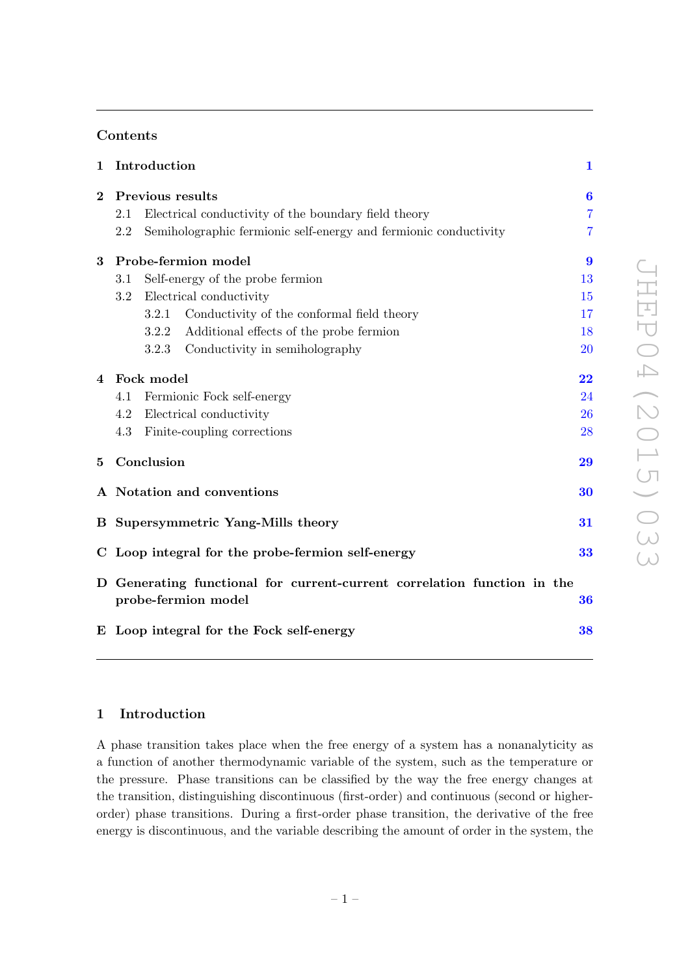# Contents

| $\mathbf{1}$ | Introduction                                      |                                                                                                      |                                                                  | $\mathbf{1}$        |  |
|--------------|---------------------------------------------------|------------------------------------------------------------------------------------------------------|------------------------------------------------------------------|---------------------|--|
| $\bf{2}$     | Previous results                                  |                                                                                                      |                                                                  | $\boldsymbol{6}$    |  |
|              | 2.1                                               |                                                                                                      | Electrical conductivity of the boundary field theory             | 7                   |  |
|              | 2.2                                               |                                                                                                      | Semiholographic fermionic self-energy and fermionic conductivity | 7                   |  |
| 3            | Probe-fermion model                               |                                                                                                      |                                                                  | $\boldsymbol{9}$    |  |
|              | Self-energy of the probe fermion<br>3.1           |                                                                                                      |                                                                  | 13                  |  |
|              | Electrical conductivity<br>$3.2\,$                |                                                                                                      |                                                                  | 15                  |  |
|              |                                                   | 3.2.1                                                                                                | Conductivity of the conformal field theory                       | 17                  |  |
|              |                                                   | 3.2.2                                                                                                | Additional effects of the probe fermion                          | 18                  |  |
|              |                                                   | 3.2.3                                                                                                | Conductivity in semiholography                                   | 20                  |  |
| 4            | Fock model                                        |                                                                                                      |                                                                  | $\overline{\bf 22}$ |  |
|              | Fermionic Fock self-energy<br>4.1                 |                                                                                                      |                                                                  | 24                  |  |
|              | 4.2                                               |                                                                                                      | Electrical conductivity                                          | 26                  |  |
|              | 4.3                                               |                                                                                                      | Finite-coupling corrections                                      | 28                  |  |
| 5            |                                                   | Conclusion                                                                                           |                                                                  |                     |  |
|              |                                                   | A Notation and conventions<br>30                                                                     |                                                                  |                     |  |
|              | <b>B</b> Supersymmetric Yang-Mills theory         |                                                                                                      |                                                                  | 31                  |  |
|              | C Loop integral for the probe-fermion self-energy |                                                                                                      |                                                                  | 33                  |  |
|              |                                                   | D Generating functional for current-current correlation function in the<br>probe-fermion model<br>36 |                                                                  |                     |  |
|              |                                                   | E Loop integral for the Fock self-energy<br>38                                                       |                                                                  |                     |  |

# <span id="page-1-0"></span>1 Introduction

A phase transition takes place when the free energy of a system has a nonanalyticity as a function of another thermodynamic variable of the system, such as the temperature or the pressure. Phase transitions can be classified by the way the free energy changes at the transition, distinguishing discontinuous (first-order) and continuous (second or higherorder) phase transitions. During a first-order phase transition, the derivative of the free energy is discontinuous, and the variable describing the amount of order in the system, the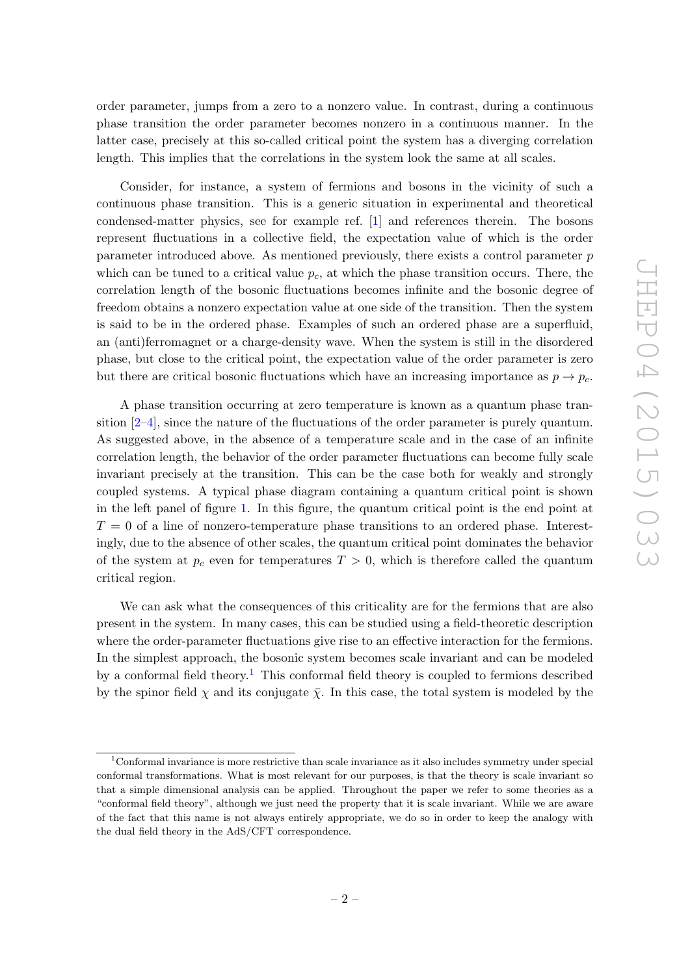order parameter, jumps from a zero to a nonzero value. In contrast, during a continuous phase transition the order parameter becomes nonzero in a continuous manner. In the latter case, precisely at this so-called critical point the system has a diverging correlation length. This implies that the correlations in the system look the same at all scales.

Consider, for instance, a system of fermions and bosons in the vicinity of such a continuous phase transition. This is a generic situation in experimental and theoretical condensed-matter physics, see for example ref. [\[1\]](#page-38-1) and references therein. The bosons represent fluctuations in a collective field, the expectation value of which is the order parameter introduced above. As mentioned previously, there exists a control parameter p which can be tuned to a critical value  $p_c$ , at which the phase transition occurs. There, the correlation length of the bosonic fluctuations becomes infinite and the bosonic degree of freedom obtains a nonzero expectation value at one side of the transition. Then the system is said to be in the ordered phase. Examples of such an ordered phase are a superfluid, an (anti)ferromagnet or a charge-density wave. When the system is still in the disordered phase, but close to the critical point, the expectation value of the order parameter is zero but there are critical bosonic fluctuations which have an increasing importance as  $p \to p_c$ .

A phase transition occurring at zero temperature is known as a quantum phase transition [\[2](#page-38-2)[–4\]](#page-39-0), since the nature of the fluctuations of the order parameter is purely quantum. As suggested above, in the absence of a temperature scale and in the case of an infinite correlation length, the behavior of the order parameter fluctuations can become fully scale invariant precisely at the transition. This can be the case both for weakly and strongly coupled systems. A typical phase diagram containing a quantum critical point is shown in the left panel of figure [1.](#page-4-0) In this figure, the quantum critical point is the end point at  $T = 0$  of a line of nonzero-temperature phase transitions to an ordered phase. Interestingly, due to the absence of other scales, the quantum critical point dominates the behavior of the system at  $p_c$  even for temperatures  $T > 0$ , which is therefore called the quantum critical region.

We can ask what the consequences of this criticality are for the fermions that are also present in the system. In many cases, this can be studied using a field-theoretic description where the order-parameter fluctuations give rise to an effective interaction for the fermions. In the simplest approach, the bosonic system becomes scale invariant and can be modeled by a conformal field theory.[1](#page-2-0) This conformal field theory is coupled to fermions described by the spinor field  $\chi$  and its conjugate  $\bar{\chi}$ . In this case, the total system is modeled by the

<span id="page-2-0"></span><sup>1</sup>Conformal invariance is more restrictive than scale invariance as it also includes symmetry under special conformal transformations. What is most relevant for our purposes, is that the theory is scale invariant so that a simple dimensional analysis can be applied. Throughout the paper we refer to some theories as a "conformal field theory", although we just need the property that it is scale invariant. While we are aware of the fact that this name is not always entirely appropriate, we do so in order to keep the analogy with the dual field theory in the AdS/CFT correspondence.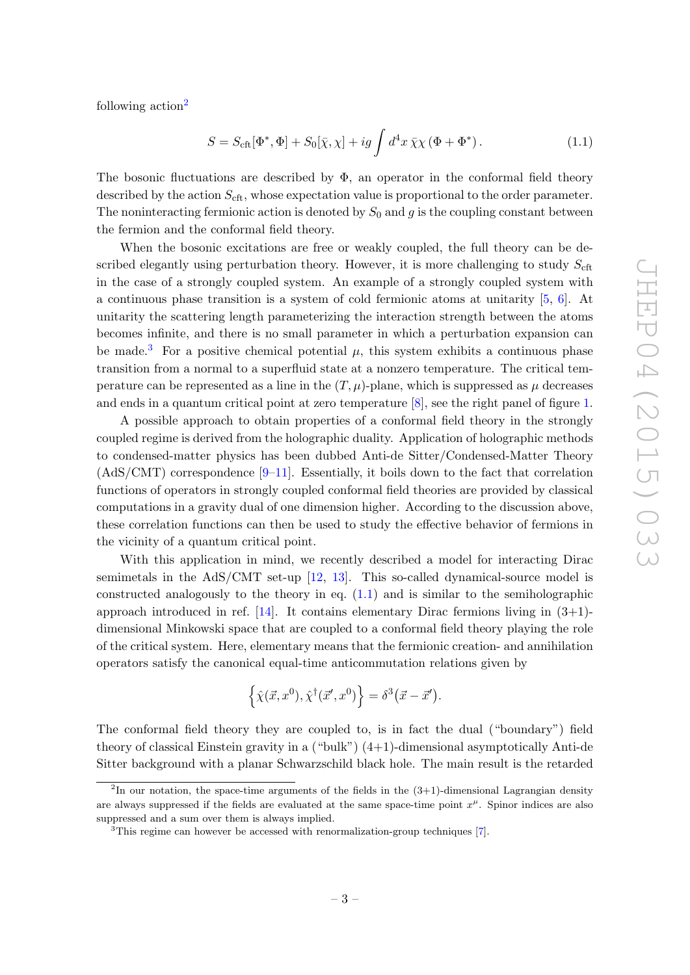following action<sup>[2](#page-3-0)</sup>

<span id="page-3-2"></span>
$$
S = S_{\text{cft}}[\Phi^*, \Phi] + S_0[\bar{\chi}, \chi] + ig \int d^4x \,\bar{\chi}\chi \left(\Phi + \Phi^*\right). \tag{1.1}
$$

The bosonic fluctuations are described by  $\Phi$ , an operator in the conformal field theory described by the action  $S_{\text{cft}}$ , whose expectation value is proportional to the order parameter. The noninteracting fermionic action is denoted by  $S_0$  and g is the coupling constant between the fermion and the conformal field theory.

When the bosonic excitations are free or weakly coupled, the full theory can be described elegantly using perturbation theory. However, it is more challenging to study  $S_{\text{cft}}$ in the case of a strongly coupled system. An example of a strongly coupled system with a continuous phase transition is a system of cold fermionic atoms at unitarity [\[5,](#page-39-1) [6\]](#page-39-2). At unitarity the scattering length parameterizing the interaction strength between the atoms becomes infinite, and there is no small parameter in which a perturbation expansion can be made.<sup>[3](#page-3-1)</sup> For a positive chemical potential  $\mu$ , this system exhibits a continuous phase transition from a normal to a superfluid state at a nonzero temperature. The critical temperature can be represented as a line in the  $(T, \mu)$ -plane, which is suppressed as  $\mu$  decreases and ends in a quantum critical point at zero temperature [\[8\]](#page-39-3), see the right panel of figure [1.](#page-4-0)

A possible approach to obtain properties of a conformal field theory in the strongly coupled regime is derived from the holographic duality. Application of holographic methods to condensed-matter physics has been dubbed Anti-de Sitter/Condensed-Matter Theory  $(AdS/CMT)$  correspondence [\[9](#page-39-4)[–11\]](#page-39-5). Essentially, it boils down to the fact that correlation functions of operators in strongly coupled conformal field theories are provided by classical computations in a gravity dual of one dimension higher. According to the discussion above, these correlation functions can then be used to study the effective behavior of fermions in the vicinity of a quantum critical point.

With this application in mind, we recently described a model for interacting Dirac semimetals in the AdS/CMT set-up [\[12,](#page-39-6) [13\]](#page-39-7). This so-called dynamical-source model is constructed analogously to the theory in eq.  $(1.1)$  and is similar to the semiholographic approach introduced in ref.  $[14]$ . It contains elementary Dirac fermions living in  $(3+1)$ dimensional Minkowski space that are coupled to a conformal field theory playing the role of the critical system. Here, elementary means that the fermionic creation- and annihilation operators satisfy the canonical equal-time anticommutation relations given by

$$
\left\{ \hat{\chi}(\vec{x}, x^0), \hat{\chi}^{\dagger}(\vec{x}', x^0) \right\} = \delta^3(\vec{x} - \vec{x}').
$$

The conformal field theory they are coupled to, is in fact the dual ("boundary") field theory of classical Einstein gravity in a ("bulk") (4+1)-dimensional asymptotically Anti-de Sitter background with a planar Schwarzschild black hole. The main result is the retarded

<span id="page-3-0"></span><sup>&</sup>lt;sup>2</sup>In our notation, the space-time arguments of the fields in the  $(3+1)$ -dimensional Lagrangian density are always suppressed if the fields are evaluated at the same space-time point  $x^{\mu}$ . Spinor indices are also suppressed and a sum over them is always implied.

<span id="page-3-1"></span><sup>3</sup>This regime can however be accessed with renormalization-group techniques [\[7\]](#page-39-9).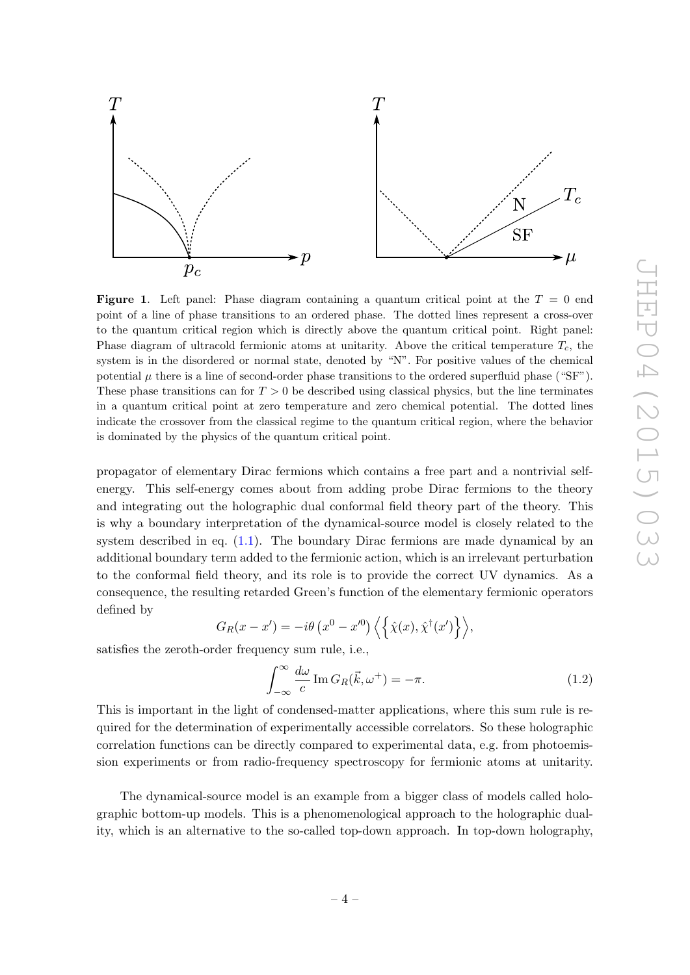

<span id="page-4-0"></span>**Figure 1.** Left panel: Phase diagram containing a quantum critical point at the  $T = 0$  end point of a line of phase transitions to an ordered phase. The dotted lines represent a cross-over to the quantum critical region which is directly above the quantum critical point. Right panel: Phase diagram of ultracold fermionic atoms at unitarity. Above the critical temperature  $T_c$ , the system is in the disordered or normal state, denoted by "N". For positive values of the chemical potential  $\mu$  there is a line of second-order phase transitions to the ordered superfluid phase ("SF"). These phase transitions can for  $T > 0$  be described using classical physics, but the line terminates in a quantum critical point at zero temperature and zero chemical potential. The dotted lines indicate the crossover from the classical regime to the quantum critical region, where the behavior is dominated by the physics of the quantum critical point.

propagator of elementary Dirac fermions which contains a free part and a nontrivial selfenergy. This self-energy comes about from adding probe Dirac fermions to the theory and integrating out the holographic dual conformal field theory part of the theory. This is why a boundary interpretation of the dynamical-source model is closely related to the system described in eq.  $(1.1)$ . The boundary Dirac fermions are made dynamical by an additional boundary term added to the fermionic action, which is an irrelevant perturbation to the conformal field theory, and its role is to provide the correct UV dynamics. As a consequence, the resulting retarded Green's function of the elementary fermionic operators defined by

$$
G_R(x - x') = -i\theta \left( x^0 - x'^0 \right) \left\langle \left\{ \hat{\chi}(x), \hat{\chi}^\dagger(x') \right\} \right\rangle,
$$

satisfies the zeroth-order frequency sum rule, i.e.,

<span id="page-4-1"></span>
$$
\int_{-\infty}^{\infty} \frac{d\omega}{c} \operatorname{Im} G_R(\vec{k}, \omega^+) = -\pi.
$$
 (1.2)

This is important in the light of condensed-matter applications, where this sum rule is required for the determination of experimentally accessible correlators. So these holographic correlation functions can be directly compared to experimental data, e.g. from photoemission experiments or from radio-frequency spectroscopy for fermionic atoms at unitarity.

The dynamical-source model is an example from a bigger class of models called holographic bottom-up models. This is a phenomenological approach to the holographic duality, which is an alternative to the so-called top-down approach. In top-down holography,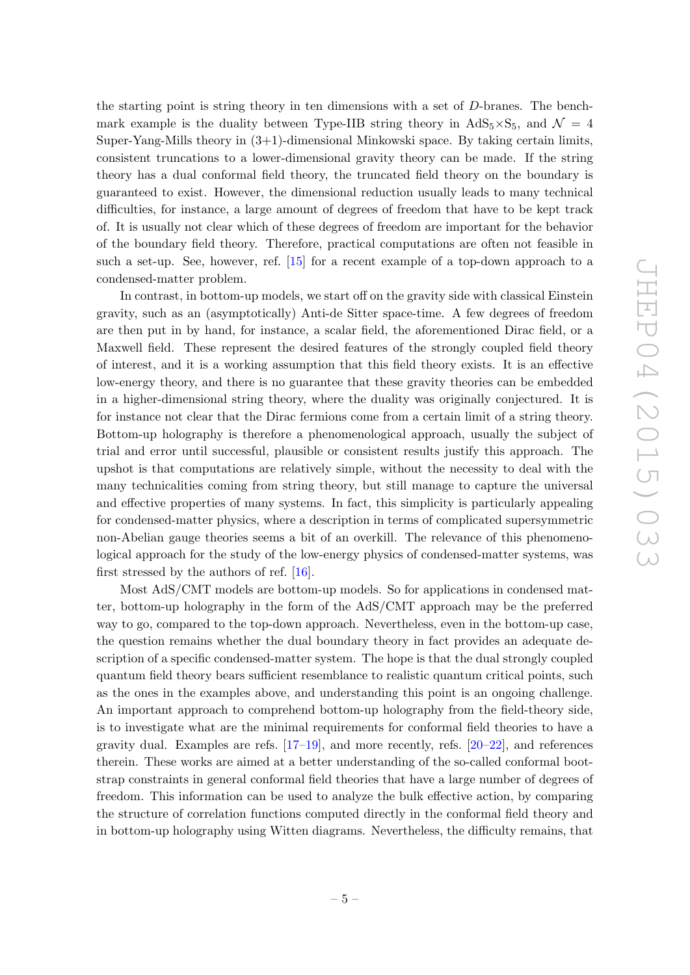the starting point is string theory in ten dimensions with a set of D-branes. The benchmark example is the duality between Type-IIB string theory in  $AdS_5 \times S_5$ , and  $\mathcal{N} = 4$ Super-Yang-Mills theory in  $(3+1)$ -dimensional Minkowski space. By taking certain limits, consistent truncations to a lower-dimensional gravity theory can be made. If the string theory has a dual conformal field theory, the truncated field theory on the boundary is guaranteed to exist. However, the dimensional reduction usually leads to many technical difficulties, for instance, a large amount of degrees of freedom that have to be kept track of. It is usually not clear which of these degrees of freedom are important for the behavior of the boundary field theory. Therefore, practical computations are often not feasible in such a set-up. See, however, ref. [\[15\]](#page-39-10) for a recent example of a top-down approach to a condensed-matter problem.

In contrast, in bottom-up models, we start off on the gravity side with classical Einstein gravity, such as an (asymptotically) Anti-de Sitter space-time. A few degrees of freedom are then put in by hand, for instance, a scalar field, the aforementioned Dirac field, or a Maxwell field. These represent the desired features of the strongly coupled field theory of interest, and it is a working assumption that this field theory exists. It is an effective low-energy theory, and there is no guarantee that these gravity theories can be embedded in a higher-dimensional string theory, where the duality was originally conjectured. It is for instance not clear that the Dirac fermions come from a certain limit of a string theory. Bottom-up holography is therefore a phenomenological approach, usually the subject of trial and error until successful, plausible or consistent results justify this approach. The upshot is that computations are relatively simple, without the necessity to deal with the many technicalities coming from string theory, but still manage to capture the universal and effective properties of many systems. In fact, this simplicity is particularly appealing for condensed-matter physics, where a description in terms of complicated supersymmetric non-Abelian gauge theories seems a bit of an overkill. The relevance of this phenomenological approach for the study of the low-energy physics of condensed-matter systems, was first stressed by the authors of ref. [\[16\]](#page-39-11).

Most AdS/CMT models are bottom-up models. So for applications in condensed matter, bottom-up holography in the form of the AdS/CMT approach may be the preferred way to go, compared to the top-down approach. Nevertheless, even in the bottom-up case, the question remains whether the dual boundary theory in fact provides an adequate description of a specific condensed-matter system. The hope is that the dual strongly coupled quantum field theory bears sufficient resemblance to realistic quantum critical points, such as the ones in the examples above, and understanding this point is an ongoing challenge. An important approach to comprehend bottom-up holography from the field-theory side, is to investigate what are the minimal requirements for conformal field theories to have a gravity dual. Examples are refs.  $[17-19]$  $[17-19]$ , and more recently, refs.  $[20-22]$ , and references therein. These works are aimed at a better understanding of the so-called conformal bootstrap constraints in general conformal field theories that have a large number of degrees of freedom. This information can be used to analyze the bulk effective action, by comparing the structure of correlation functions computed directly in the conformal field theory and in bottom-up holography using Witten diagrams. Nevertheless, the difficulty remains, that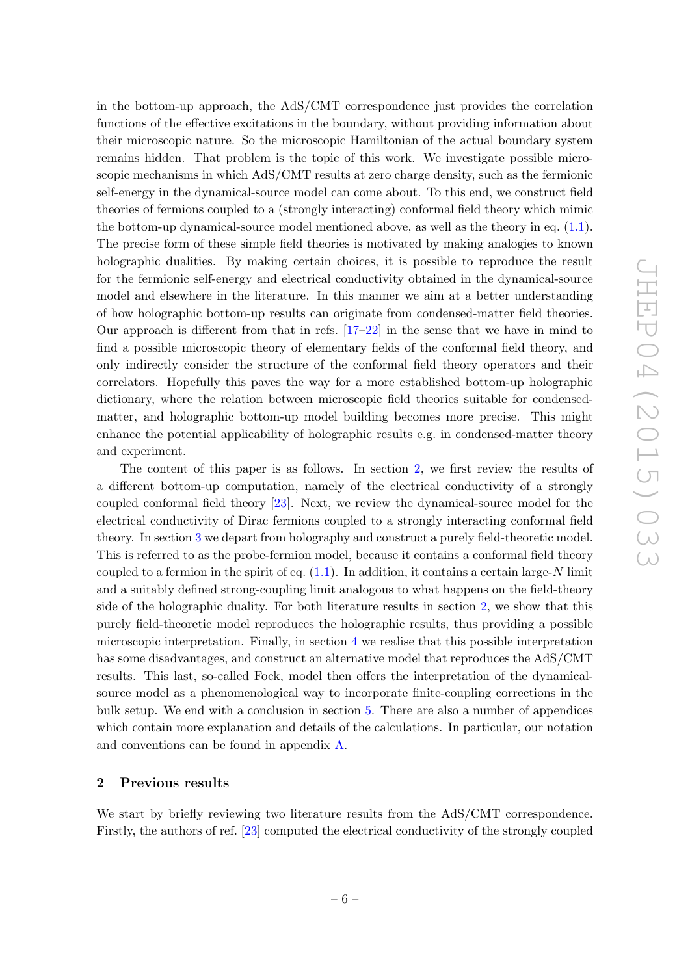in the bottom-up approach, the AdS/CMT correspondence just provides the correlation functions of the effective excitations in the boundary, without providing information about their microscopic nature. So the microscopic Hamiltonian of the actual boundary system remains hidden. That problem is the topic of this work. We investigate possible microscopic mechanisms in which AdS/CMT results at zero charge density, such as the fermionic self-energy in the dynamical-source model can come about. To this end, we construct field theories of fermions coupled to a (strongly interacting) conformal field theory which mimic the bottom-up dynamical-source model mentioned above, as well as the theory in eq.  $(1.1)$ . The precise form of these simple field theories is motivated by making analogies to known holographic dualities. By making certain choices, it is possible to reproduce the result for the fermionic self-energy and electrical conductivity obtained in the dynamical-source model and elsewhere in the literature. In this manner we aim at a better understanding of how holographic bottom-up results can originate from condensed-matter field theories. Our approach is different from that in refs. [\[17–](#page-39-12)[22\]](#page-39-15) in the sense that we have in mind to find a possible microscopic theory of elementary fields of the conformal field theory, and only indirectly consider the structure of the conformal field theory operators and their correlators. Hopefully this paves the way for a more established bottom-up holographic dictionary, where the relation between microscopic field theories suitable for condensedmatter, and holographic bottom-up model building becomes more precise. This might enhance the potential applicability of holographic results e.g. in condensed-matter theory and experiment.

The content of this paper is as follows. In section [2,](#page-6-0) we first review the results of a different bottom-up computation, namely of the electrical conductivity of a strongly coupled conformal field theory [\[23\]](#page-40-0). Next, we review the dynamical-source model for the electrical conductivity of Dirac fermions coupled to a strongly interacting conformal field theory. In section [3](#page-9-0) we depart from holography and construct a purely field-theoretic model. This is referred to as the probe-fermion model, because it contains a conformal field theory coupled to a fermion in the spirit of eq.  $(1.1)$ . In addition, it contains a certain large-N limit and a suitably defined strong-coupling limit analogous to what happens on the field-theory side of the holographic duality. For both literature results in section [2,](#page-6-0) we show that this purely field-theoretic model reproduces the holographic results, thus providing a possible microscopic interpretation. Finally, in section [4](#page-22-0) we realise that this possible interpretation has some disadvantages, and construct an alternative model that reproduces the AdS/CMT results. This last, so-called Fock, model then offers the interpretation of the dynamicalsource model as a phenomenological way to incorporate finite-coupling corrections in the bulk setup. We end with a conclusion in section [5.](#page-29-0) There are also a number of appendices which contain more explanation and details of the calculations. In particular, our notation and conventions can be found in appendix [A.](#page-30-0)

# <span id="page-6-0"></span>2 Previous results

We start by briefly reviewing two literature results from the AdS/CMT correspondence. Firstly, the authors of ref. [\[23\]](#page-40-0) computed the electrical conductivity of the strongly coupled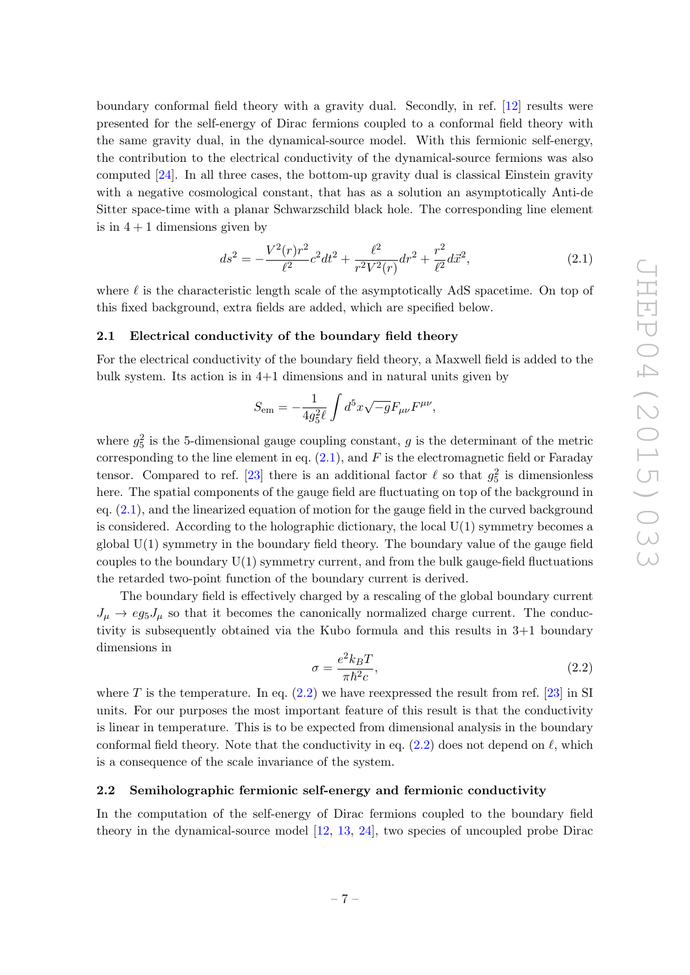boundary conformal field theory with a gravity dual. Secondly, in ref. [\[12\]](#page-39-6) results were presented for the self-energy of Dirac fermions coupled to a conformal field theory with the same gravity dual, in the dynamical-source model. With this fermionic self-energy, the contribution to the electrical conductivity of the dynamical-source fermions was also computed [\[24\]](#page-40-1). In all three cases, the bottom-up gravity dual is classical Einstein gravity with a negative cosmological constant, that has as a solution an asymptotically Anti-de Sitter space-time with a planar Schwarzschild black hole. The corresponding line element is in  $4+1$  dimensions given by

<span id="page-7-2"></span>
$$
ds^{2} = -\frac{V^{2}(r)r^{2}}{\ell^{2}}c^{2}dt^{2} + \frac{\ell^{2}}{r^{2}V^{2}(r)}dr^{2} + \frac{r^{2}}{\ell^{2}}d\vec{x}^{2},
$$
\n(2.1)

where  $\ell$  is the characteristic length scale of the asymptotically AdS spacetime. On top of this fixed background, extra fields are added, which are specified below.

#### <span id="page-7-0"></span>2.1 Electrical conductivity of the boundary field theory

For the electrical conductivity of the boundary field theory, a Maxwell field is added to the bulk system. Its action is in 4+1 dimensions and in natural units given by

$$
S_{\rm em} = -\frac{1}{4g_5^2\ell} \int d^5x \sqrt{-g} F_{\mu\nu} F^{\mu\nu},
$$

where  $g_5^2$  is the 5-dimensional gauge coupling constant, g is the determinant of the metric corresponding to the line element in eq.  $(2.1)$ , and F is the electromagnetic field or Faraday tensor. Compared to ref. [\[23\]](#page-40-0) there is an additional factor  $\ell$  so that  $g_5^2$  is dimensionless here. The spatial components of the gauge field are fluctuating on top of the background in eq. [\(2.1\)](#page-7-2), and the linearized equation of motion for the gauge field in the curved background is considered. According to the holographic dictionary, the local  $U(1)$  symmetry becomes a global U(1) symmetry in the boundary field theory. The boundary value of the gauge field couples to the boundary  $U(1)$  symmetry current, and from the bulk gauge-field fluctuations the retarded two-point function of the boundary current is derived.

The boundary field is effectively charged by a rescaling of the global boundary current  $J_{\mu} \rightarrow eg_5J_{\mu}$  so that it becomes the canonically normalized charge current. The conductivity is subsequently obtained via the Kubo formula and this results in 3+1 boundary dimensions in

<span id="page-7-3"></span>
$$
\sigma = \frac{e^2 k_B T}{\pi \hbar^2 c},\tag{2.2}
$$

where T is the temperature. In eq.  $(2.2)$  we have reexpressed the result from ref. [\[23\]](#page-40-0) in SI units. For our purposes the most important feature of this result is that the conductivity is linear in temperature. This is to be expected from dimensional analysis in the boundary conformal field theory. Note that the conductivity in eq.  $(2.2)$  does not depend on  $\ell$ , which is a consequence of the scale invariance of the system.

# <span id="page-7-1"></span>2.2 Semiholographic fermionic self-energy and fermionic conductivity

In the computation of the self-energy of Dirac fermions coupled to the boundary field theory in the dynamical-source model [\[12,](#page-39-6) [13,](#page-39-7) [24\]](#page-40-1), two species of uncoupled probe Dirac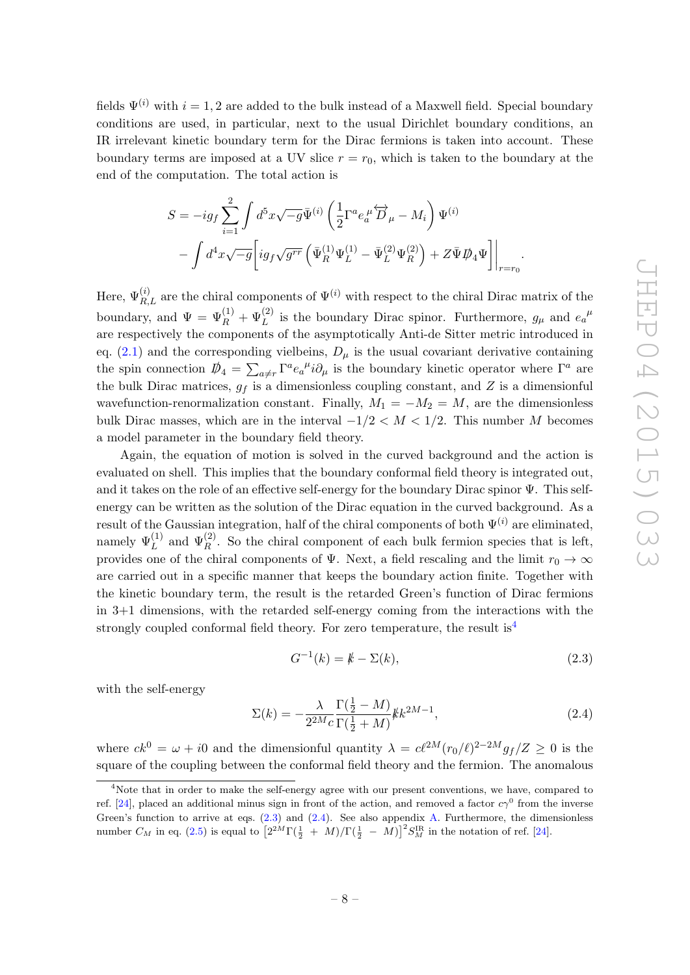fields  $\Psi^{(i)}$  with  $i = 1, 2$  are added to the bulk instead of a Maxwell field. Special boundary conditions are used, in particular, next to the usual Dirichlet boundary conditions, an IR irrelevant kinetic boundary term for the Dirac fermions is taken into account. These boundary terms are imposed at a UV slice  $r = r_0$ , which is taken to the boundary at the end of the computation. The total action is

$$
S = -ig_f \sum_{i=1}^{2} \int d^5 x \sqrt{-g} \bar{\Psi}^{(i)} \left( \frac{1}{2} \Gamma^a e_a^{\mu} \overleftrightarrow{D}_{\mu} - M_i \right) \Psi^{(i)} - \int d^4 x \sqrt{-g} \left[ ig_f \sqrt{g^{rr}} \left( \bar{\Psi}_R^{(1)} \Psi_L^{(1)} - \bar{\Psi}_L^{(2)} \Psi_R^{(2)} \right) + Z \bar{\Psi} \mathcal{D}_4 \Psi \right] \Big|_{r=r_0}.
$$

Here,  $\Psi_{R,L}^{(i)}$  are the chiral components of  $\Psi^{(i)}$  with respect to the chiral Dirac matrix of the boundary, and  $\Psi = \Psi_R^{(1)} + \Psi_L^{(2)}$  is the boundary Dirac spinor. Furthermore,  $g_\mu$  and  $e_a^{\mu}$ are respectively the components of the asymptotically Anti-de Sitter metric introduced in eq.  $(2.1)$  and the corresponding vielbeins,  $D_{\mu}$  is the usual covariant derivative containing the spin connection  $\psi_4 = \sum_{a \neq r} \Gamma^a e_a{}^{\mu} i \partial_{\mu}$  is the boundary kinetic operator where  $\Gamma^a$  are the bulk Dirac matrices,  $g_f$  is a dimensionless coupling constant, and Z is a dimensionful wavefunction-renormalization constant. Finally,  $M_1 = -M_2 = M$ , are the dimensionless bulk Dirac masses, which are in the interval  $-1/2 < M < 1/2$ . This number M becomes a model parameter in the boundary field theory.

Again, the equation of motion is solved in the curved background and the action is evaluated on shell. This implies that the boundary conformal field theory is integrated out, and it takes on the role of an effective self-energy for the boundary Dirac spinor  $\Psi$ . This selfenergy can be written as the solution of the Dirac equation in the curved background. As a result of the Gaussian integration, half of the chiral components of both  $\Psi^{(i)}$  are eliminated, namely  $\Psi_L^{(1)}$  and  $\Psi_R^{(2)}$ . So the chiral component of each bulk fermion species that is left, provides one of the chiral components of Ψ. Next, a field rescaling and the limit  $r_0 \to \infty$ are carried out in a specific manner that keeps the boundary action finite. Together with the kinetic boundary term, the result is the retarded Green's function of Dirac fermions in 3+1 dimensions, with the retarded self-energy coming from the interactions with the strongly coupled conformal field theory. For zero temperature, the result  $is<sup>4</sup>$  $is<sup>4</sup>$  $is<sup>4</sup>$ 

<span id="page-8-1"></span>
$$
G^{-1}(k) = k - \Sigma(k),
$$
\n(2.3)

with the self-energy

<span id="page-8-2"></span>
$$
\Sigma(k) = -\frac{\lambda}{2^{2M}c} \frac{\Gamma(\frac{1}{2} - M)}{\Gamma(\frac{1}{2} + M)} k k^{2M - 1},
$$
\n(2.4)

where  $ck^0 = \omega + i0$  and the dimensionful quantity  $\lambda = c\ell^{2M}(r_0/\ell)^{2-2M}g_f/Z \geq 0$  is the square of the coupling between the conformal field theory and the fermion. The anomalous

<span id="page-8-0"></span><sup>&</sup>lt;sup>4</sup>Note that in order to make the self-energy agree with our present conventions, we have, compared to ref. [\[24\]](#page-40-1), placed an additional minus sign in front of the action, and removed a factor  $c\gamma^0$  from the inverse Green's function to arrive at eqs. [\(2.3\)](#page-8-1) and [\(2.4\)](#page-8-2). See also appendix [A.](#page-30-0) Furthermore, the dimensionless number  $C_M$  in eq. [\(2.5\)](#page-9-1) is equal to  $\left[2^{2M}\Gamma(\frac{1}{2} + M)/\Gamma(\frac{1}{2} - M)\right]^2 S_M^{\text{IR}}$  in the notation of ref. [\[24\]](#page-40-1).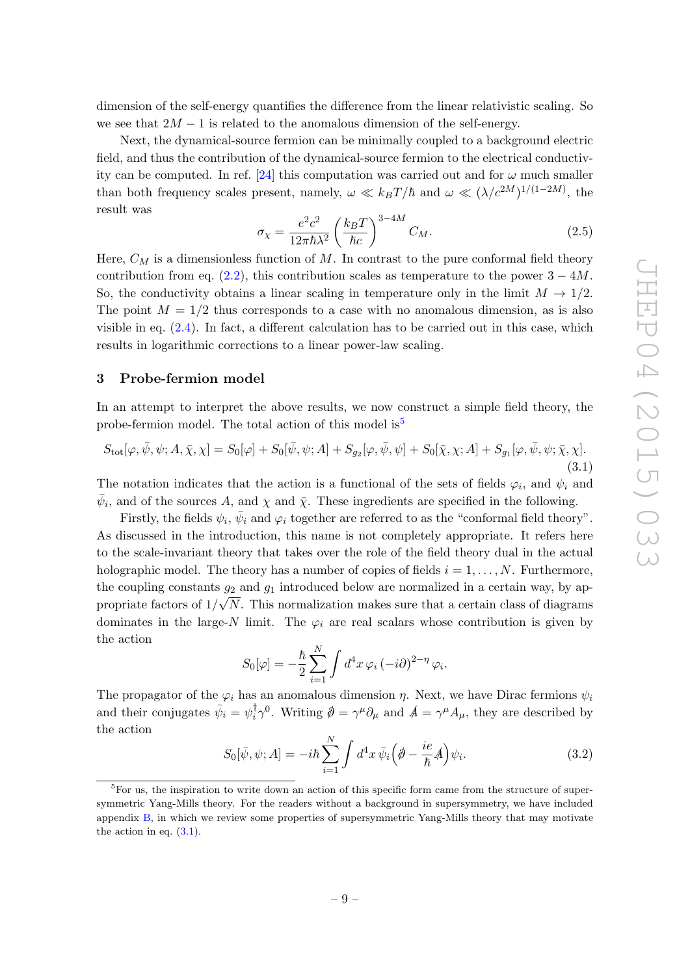dimension of the self-energy quantifies the difference from the linear relativistic scaling. So we see that  $2M - 1$  is related to the anomalous dimension of the self-energy.

Next, the dynamical-source fermion can be minimally coupled to a background electric field, and thus the contribution of the dynamical-source fermion to the electrical conductiv-ity can be computed. In ref. [\[24\]](#page-40-1) this computation was carried out and for  $\omega$  much smaller than both frequency scales present, namely,  $\omega \ll k_B T / \hbar$  and  $\omega \ll (\lambda / c^{2M})^{1/(1-2M)}$ , the result was

<span id="page-9-1"></span>
$$
\sigma_{\chi} = \frac{e^2 c^2}{12\pi \hbar \lambda^2} \left(\frac{k_B T}{\hbar c}\right)^{3-4M} C_M.
$$
\n(2.5)

Here,  $C_M$  is a dimensionless function of M. In contrast to the pure conformal field theory contribution from eq. [\(2.2\)](#page-7-3), this contribution scales as temperature to the power  $3 - 4M$ . So, the conductivity obtains a linear scaling in temperature only in the limit  $M \to 1/2$ . The point  $M = 1/2$  thus corresponds to a case with no anomalous dimension, as is also visible in eq.  $(2.4)$ . In fact, a different calculation has to be carried out in this case, which results in logarithmic corrections to a linear power-law scaling.

# <span id="page-9-0"></span>3 Probe-fermion model

In an attempt to interpret the above results, we now construct a simple field theory, the probe-fermion model. The total action of this model is  $5^5$  $5^5$ 

<span id="page-9-3"></span>
$$
S_{\text{tot}}[\varphi,\bar{\psi},\psi;A,\bar{\chi},\chi] = S_0[\varphi] + S_0[\bar{\psi},\psi;A] + S_{g_2}[\varphi,\bar{\psi},\psi] + S_0[\bar{\chi},\chi;A] + S_{g_1}[\varphi,\bar{\psi},\psi;\bar{\chi},\chi].
$$
\n(3.1)

The notation indicates that the action is a functional of the sets of fields  $\varphi_i$ , and  $\psi_i$  and  $\bar{\psi}_i$ , and of the sources A, and  $\chi$  and  $\bar{\chi}$ . These ingredients are specified in the following.

Firstly, the fields  $\psi_i$ ,  $\bar{\psi}_i$  and  $\varphi_i$  together are referred to as the "conformal field theory". As discussed in the introduction, this name is not completely appropriate. It refers here to the scale-invariant theory that takes over the role of the field theory dual in the actual holographic model. The theory has a number of copies of fields  $i = 1, \ldots, N$ . Furthermore, the coupling constants  $g_2$  and  $g_1$  introduced below are normalized in a certain way, by appropriate factors of  $1/\sqrt{N}$ . This normalization makes sure that a certain class of diagrams dominates in the large-N limit. The  $\varphi_i$  are real scalars whose contribution is given by the action

$$
S_0[\varphi] = -\frac{\hbar}{2} \sum_{i=1}^N \int d^4x \,\varphi_i \, (-i\partial)^{2-\eta} \,\varphi_i.
$$

The propagator of the  $\varphi_i$  has an anomalous dimension  $\eta$ . Next, we have Dirac fermions  $\psi_i$ and their conjugates  $\bar{\psi}_i = \psi_i^{\dagger}$  $\int_{i}^{\dagger} \gamma^{0}$ . Writing  $\hat{\phi} = \gamma^{\mu} \partial_{\mu}$  and  $\hat{\phi} = \gamma^{\mu} A_{\mu}$ , they are described by the action

<span id="page-9-4"></span>
$$
S_0[\bar{\psi}, \psi; A] = -i\hbar \sum_{i=1}^{N} \int d^4x \,\bar{\psi}_i \Big(\phi - \frac{ie}{\hbar}A\Big)\psi_i.
$$
 (3.2)

<span id="page-9-2"></span> ${}^{5}$ For us, the inspiration to write down an action of this specific form came from the structure of supersymmetric Yang-Mills theory. For the readers without a background in supersymmetry, we have included appendix [B,](#page-31-0) in which we review some properties of supersymmetric Yang-Mills theory that may motivate the action in eq. [\(3.1\)](#page-9-3).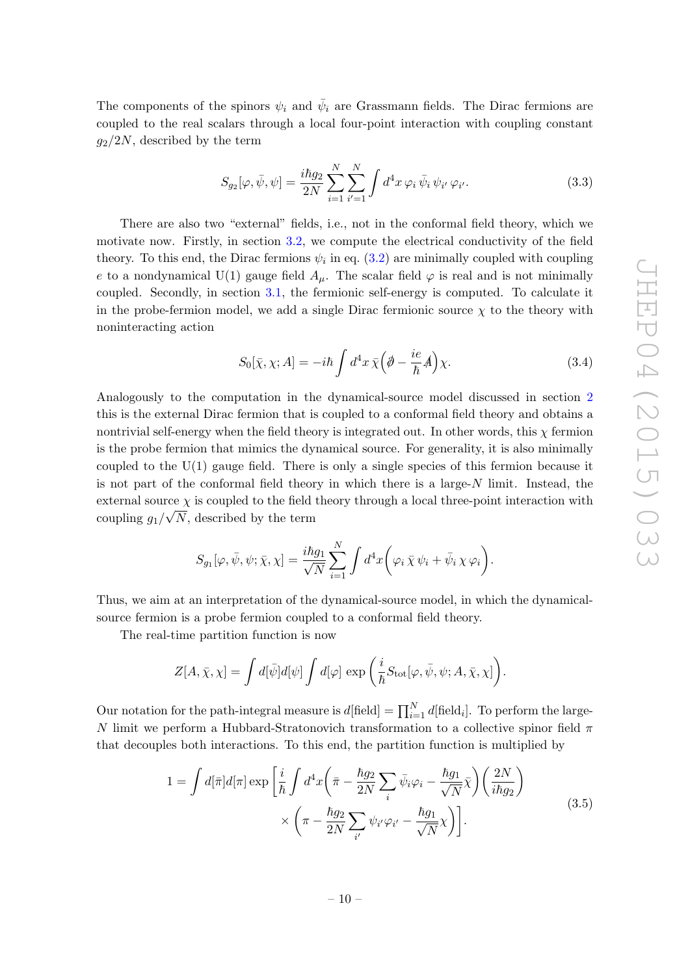The components of the spinors  $\psi_i$  and  $\bar{\psi}_i$  are Grassmann fields. The Dirac fermions are coupled to the real scalars through a local four-point interaction with coupling constant  $g_2/2N$ , described by the term

$$
S_{g_2}[\varphi, \bar{\psi}, \psi] = \frac{i\hbar g_2}{2N} \sum_{i=1}^{N} \sum_{i'=1}^{N} \int d^4x \,\varphi_i \,\bar{\psi}_i \,\psi_{i'} \,\varphi_{i'}.
$$
 (3.3)

There are also two "external" fields, i.e., not in the conformal field theory, which we motivate now. Firstly, in section [3.2,](#page-15-0) we compute the electrical conductivity of the field theory. To this end, the Dirac fermions  $\psi_i$  in eq. [\(3.2\)](#page-9-4) are minimally coupled with coupling e to a nondynamical U(1) gauge field  $A_{\mu}$ . The scalar field  $\varphi$  is real and is not minimally coupled. Secondly, in section [3.1,](#page-13-0) the fermionic self-energy is computed. To calculate it in the probe-fermion model, we add a single Dirac fermionic source  $\chi$  to the theory with noninteracting action

<span id="page-10-0"></span>
$$
S_0[\bar{\chi}, \chi; A] = -i\hbar \int d^4x \,\bar{\chi} \Big(\partial - \frac{ie}{\hbar}A\Big)\chi.
$$
 (3.4)

Analogously to the computation in the dynamical-source model discussed in section [2](#page-6-0) this is the external Dirac fermion that is coupled to a conformal field theory and obtains a nontrivial self-energy when the field theory is integrated out. In other words, this  $\chi$  fermion is the probe fermion that mimics the dynamical source. For generality, it is also minimally coupled to the  $U(1)$  gauge field. There is only a single species of this fermion because it is not part of the conformal field theory in which there is a large- $N$  limit. Instead, the external source  $\chi$  is coupled to the field theory through a local three-point interaction with coupling  $g_1/\sqrt{N}$ , described by the term

$$
S_{g_1}[\varphi, \bar{\psi}, \psi; \bar{\chi}, \chi] = \frac{i\hbar g_1}{\sqrt{N}} \sum_{i=1}^N \int d^4x \bigg( \varphi_i \bar{\chi} \psi_i + \bar{\psi}_i \chi \varphi_i \bigg).
$$

Thus, we aim at an interpretation of the dynamical-source model, in which the dynamicalsource fermion is a probe fermion coupled to a conformal field theory.

The real-time partition function is now

$$
Z[A,\bar{\chi},\chi] = \int d[\bar{\psi}]d[\psi] \int d[\varphi] \exp\left(\frac{i}{\hbar}S_{\rm tot}[\varphi,\bar{\psi},\psi;A,\bar{\chi},\chi]\right).
$$

Our notation for the path-integral measure is  $d[\text{field}] = \prod_{i=1}^{N} d[\text{field}_i]$ . To perform the large-N limit we perform a Hubbard-Stratonovich transformation to a collective spinor field π that decouples both interactions. To this end, the partition function is multiplied by

$$
1 = \int d[\bar{\pi}]d[\pi] \exp\left[\frac{i}{\hbar} \int d^4x \left(\bar{\pi} - \frac{\hbar g_2}{2N} \sum_i \bar{\psi}_i \varphi_i - \frac{\hbar g_1}{\sqrt{N}} \bar{\chi}\right) \left(\frac{2N}{i\hbar g_2}\right) \times \left(\pi - \frac{\hbar g_2}{2N} \sum_{i'} \psi_{i'} \varphi_{i'} - \frac{\hbar g_1}{\sqrt{N}} \chi\right)\right].
$$
\n(3.5)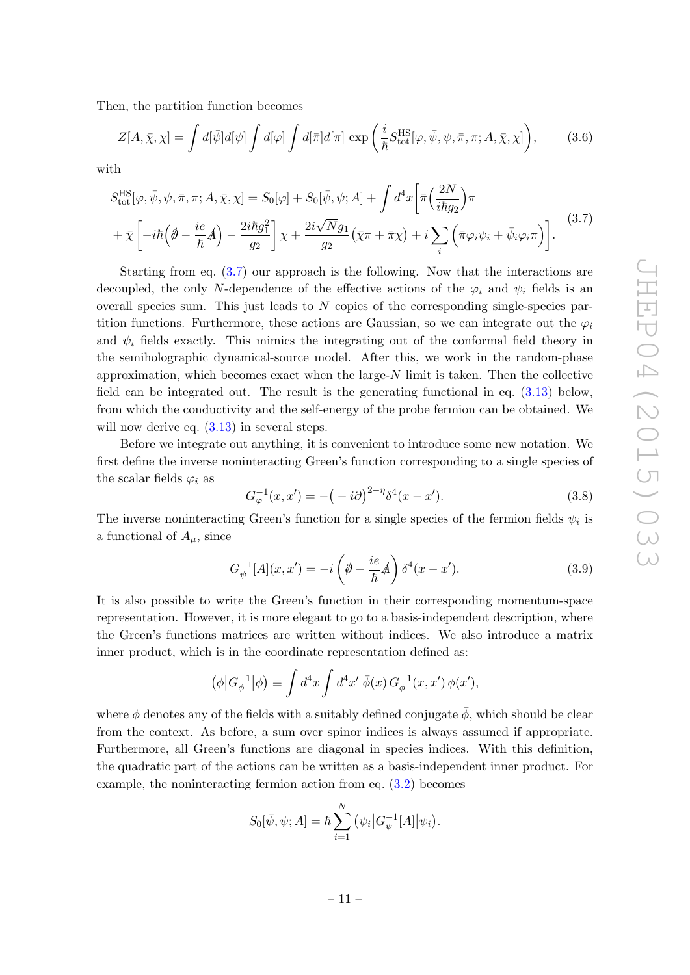Then, the partition function becomes

<span id="page-11-1"></span>
$$
Z[A,\bar{\chi},\chi] = \int d[\bar{\psi}]d[\psi] \int d[\varphi] \int d[\bar{\pi}]d[\pi] \exp\left(\frac{i}{\hbar}S_{\text{tot}}^{\text{HS}}[\varphi,\bar{\psi},\psi,\bar{\pi},\pi;A,\bar{\chi},\chi]\right),\tag{3.6}
$$

with

<span id="page-11-0"></span>
$$
S_{\text{tot}}^{\text{HS}}[\varphi, \bar{\psi}, \psi, \bar{\pi}, \pi; A, \bar{\chi}, \chi] = S_0[\varphi] + S_0[\bar{\psi}, \psi; A] + \int d^4x \left[ \bar{\pi} \left( \frac{2N}{i\hbar g_2} \right) \pi + \bar{\chi} \left[ -i\hbar \left( \partial - \frac{ie}{\hbar} A \right) - \frac{2i\hbar g_1^2}{g_2} \right] \chi + \frac{2i\sqrt{N}g_1}{g_2} \left( \bar{\chi}\pi + \bar{\pi}\chi \right) + i \sum_i \left( \bar{\pi}\varphi_i\psi_i + \bar{\psi}_i\varphi_i\pi \right) \right]. \tag{3.7}
$$

Starting from eq. [\(3.7\)](#page-11-0) our approach is the following. Now that the interactions are decoupled, the only N-dependence of the effective actions of the  $\varphi_i$  and  $\psi_i$  fields is an overall species sum. This just leads to N copies of the corresponding single-species partition functions. Furthermore, these actions are Gaussian, so we can integrate out the  $\varphi_i$ and  $\psi_i$  fields exactly. This mimics the integrating out of the conformal field theory in the semiholographic dynamical-source model. After this, we work in the random-phase approximation, which becomes exact when the large- $N$  limit is taken. Then the collective field can be integrated out. The result is the generating functional in eq. [\(3.13\)](#page-13-1) below, from which the conductivity and the self-energy of the probe fermion can be obtained. We will now derive eq.  $(3.13)$  in several steps.

Before we integrate out anything, it is convenient to introduce some new notation. We first define the inverse noninteracting Green's function corresponding to a single species of the scalar fields  $\varphi_i$  as

<span id="page-11-2"></span>
$$
G_{\varphi}^{-1}(x, x') = -(-i\partial)^{2-\eta} \delta^4(x - x'). \tag{3.8}
$$

The inverse noninteracting Green's function for a single species of the fermion fields  $\psi_i$  is a functional of  $A_\mu$ , since

<span id="page-11-3"></span>
$$
G_{\psi}^{-1}[A](x, x') = -i \left(\phi - \frac{ie}{\hbar}A\right) \delta^{4}(x - x'). \tag{3.9}
$$

It is also possible to write the Green's function in their corresponding momentum-space representation. However, it is more elegant to go to a basis-independent description, where the Green's functions matrices are written without indices. We also introduce a matrix inner product, which is in the coordinate representation defined as:

$$
(\phi | G_{\phi}^{-1} | \phi) \equiv \int d^4x \int d^4x' \, \bar{\phi}(x) \, G_{\phi}^{-1}(x, x') \, \phi(x'),
$$

where  $\phi$  denotes any of the fields with a suitably defined conjugate  $\bar{\phi}$ , which should be clear from the context. As before, a sum over spinor indices is always assumed if appropriate. Furthermore, all Green's functions are diagonal in species indices. With this definition, the quadratic part of the actions can be written as a basis-independent inner product. For example, the noninteracting fermion action from eq. [\(3.2\)](#page-9-4) becomes

$$
S_0[\bar{\psi}, \psi; A] = \hbar \sum_{i=1}^{N} (\psi_i | G_{\psi}^{-1}[A] | \psi_i).
$$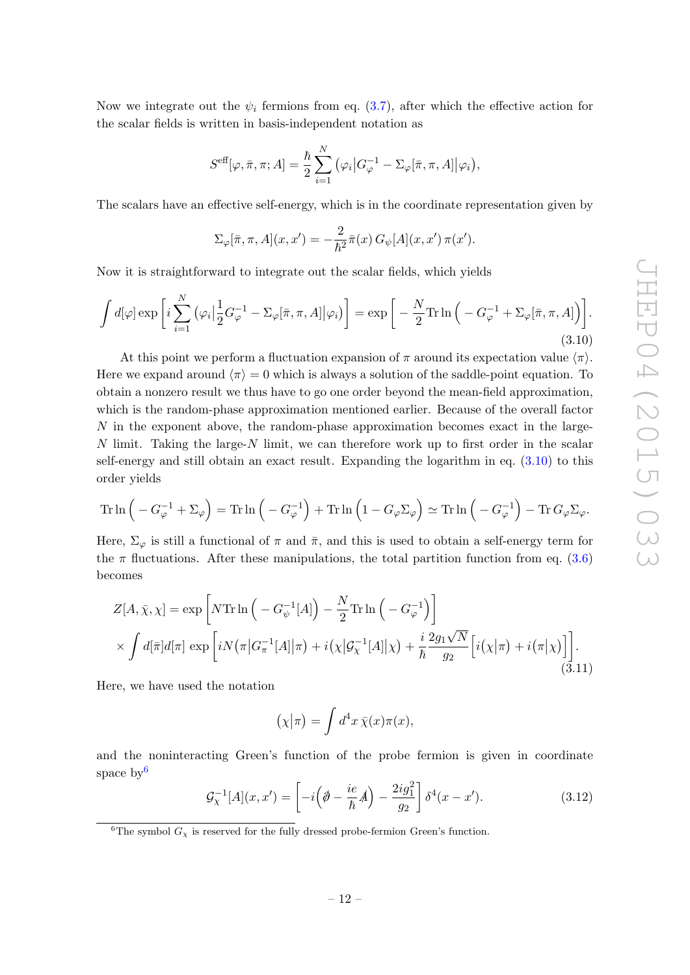Now we integrate out the  $\psi_i$  fermions from eq. [\(3.7\)](#page-11-0), after which the effective action for the scalar fields is written in basis-independent notation as

$$
S^{\text{eff}}[\varphi,\bar{\pi},\pi;A]=\frac{\hbar}{2}\sum_{i=1}^N\big(\varphi_i\big|G_{\varphi}^{-1}-\Sigma_{\varphi}[\bar{\pi},\pi,A]\big|\varphi_i\big),
$$

The scalars have an effective self-energy, which is in the coordinate representation given by

$$
\Sigma_{\varphi}[\overline{\pi}, \pi, A](x, x') = -\frac{2}{\hbar^2} \overline{\pi}(x) G_{\psi}[A](x, x') \pi(x').
$$

Now it is straightforward to integrate out the scalar fields, which yields

<span id="page-12-0"></span>
$$
\int d[\varphi] \exp\left[i\sum_{i=1}^{N} (\varphi_{i}|\frac{1}{2}G_{\varphi}^{-1} - \Sigma_{\varphi}[\bar{\pi}, \pi, A]|\varphi_{i})\right] = \exp\left[-\frac{N}{2}\text{Tr}\ln\left(-G_{\varphi}^{-1} + \Sigma_{\varphi}[\bar{\pi}, \pi, A]\right)\right].
$$
\n(3.10)

At this point we perform a fluctuation expansion of  $\pi$  around its expectation value  $\langle \pi \rangle$ . Here we expand around  $\langle \pi \rangle = 0$  which is always a solution of the saddle-point equation. To obtain a nonzero result we thus have to go one order beyond the mean-field approximation, which is the random-phase approximation mentioned earlier. Because of the overall factor  $N$  in the exponent above, the random-phase approximation becomes exact in the large-N limit. Taking the large-N limit, we can therefore work up to first order in the scalar self-energy and still obtain an exact result. Expanding the logarithm in eq. [\(3.10\)](#page-12-0) to this order yields

$$
\operatorname{Tr} \ln \left( -G_{\varphi}^{-1} + \Sigma_{\varphi} \right) = \operatorname{Tr} \ln \left( -G_{\varphi}^{-1} \right) + \operatorname{Tr} \ln \left( 1 - G_{\varphi} \Sigma_{\varphi} \right) \simeq \operatorname{Tr} \ln \left( -G_{\varphi}^{-1} \right) - \operatorname{Tr} G_{\varphi} \Sigma_{\varphi}.
$$

Here,  $\Sigma_{\varphi}$  is still a functional of  $\pi$  and  $\bar{\pi}$ , and this is used to obtain a self-energy term for the  $\pi$  fluctuations. After these manipulations, the total partition function from eq. [\(3.6\)](#page-11-1) becomes

<span id="page-12-2"></span>
$$
Z[A, \bar{\chi}, \chi] = \exp\left[N\operatorname{Tr}\ln\left(-G_{\psi}^{-1}[A]\right) - \frac{N}{2}\operatorname{Tr}\ln\left(-G_{\varphi}^{-1}\right)\right]
$$

$$
\times \int d[\bar{\pi}]d[\pi] \exp\left[iN(\pi|G_{\pi}^{-1}[A]|\pi) + i(\chi|\mathcal{G}_{\chi}^{-1}[A]|\chi) + \frac{i}{\hbar}\frac{2g_1\sqrt{N}}{g_2}\left[i(\chi|\pi) + i(\pi|\chi)\right]\right].
$$
\n(3.11)

Here, we have used the notation

$$
(\chi|\pi) = \int d^4x \,\overline{\chi}(x)\pi(x),
$$

and the noninteracting Green's function of the probe fermion is given in coordinate space  $bv^6$  $bv^6$ 

$$
\mathcal{G}_{\chi}^{-1}[A](x,x') = \left[ -i\left(\phi - \frac{ie}{\hbar}A\right) - \frac{2ig_1^2}{g_2} \right] \delta^4(x - x'). \tag{3.12}
$$

<span id="page-12-1"></span><sup>6</sup>The symbol  $G_\chi$  is reserved for the fully dressed probe-fermion Green's function.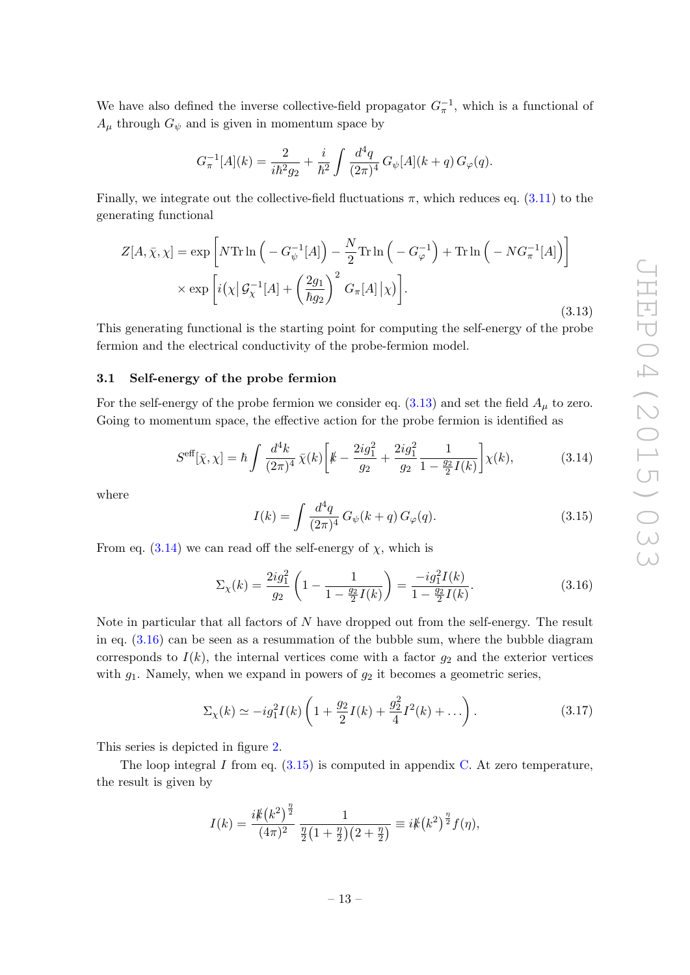We have also defined the inverse collective-field propagator  $G_{\pi}^{-1}$ , which is a functional of  $A_{\mu}$  through  $G_{\psi}$  and is given in momentum space by

$$
G_{\pi}^{-1}[A](k) = \frac{2}{i\hbar^2 g_2} + \frac{i}{\hbar^2} \int \frac{d^4q}{(2\pi)^4} G_{\psi}[A](k+q) G_{\varphi}(q).
$$

Finally, we integrate out the collective-field fluctuations  $\pi$ , which reduces eq. [\(3.11\)](#page-12-2) to the generating functional

<span id="page-13-1"></span>
$$
Z[A, \bar{\chi}, \chi] = \exp\left[N\operatorname{Tr}\ln\left(-G_{\psi}^{-1}[A]\right) - \frac{N}{2}\operatorname{Tr}\ln\left(-G_{\varphi}^{-1}\right) + \operatorname{Tr}\ln\left(-NG_{\pi}^{-1}[A]\right)\right]
$$

$$
\times \exp\left[i\left(\chi\right|\mathcal{G}_{\chi}^{-1}[A] + \left(\frac{2g_1}{\hbar g_2}\right)^2 G_{\pi}[A]\left|\chi\right|\right].
$$
(3.13)

This generating functional is the starting point for computing the self-energy of the probe fermion and the electrical conductivity of the probe-fermion model.

# <span id="page-13-0"></span>3.1 Self-energy of the probe fermion

For the self-energy of the probe fermion we consider eq.  $(3.13)$  and set the field  $A<sub>\mu</sub>$  to zero. Going to momentum space, the effective action for the probe fermion is identified as

<span id="page-13-2"></span>
$$
S^{\text{eff}}[\bar{\chi}, \chi] = \hbar \int \frac{d^4k}{(2\pi)^4} \bar{\chi}(k) \left[ k - \frac{2ig_1^2}{g_2} + \frac{2ig_1^2}{g_2} \frac{1}{1 - \frac{g_2}{2}I(k)} \right] \chi(k), \tag{3.14}
$$

where

<span id="page-13-4"></span>
$$
I(k) = \int \frac{d^4q}{(2\pi)^4} G_{\psi}(k+q) G_{\varphi}(q).
$$
 (3.15)

From eq.  $(3.14)$  we can read off the self-energy of  $\chi$ , which is

<span id="page-13-3"></span>
$$
\Sigma_{\chi}(k) = \frac{2ig_1^2}{g_2} \left(1 - \frac{1}{1 - \frac{g_2}{2}I(k)}\right) = \frac{-ig_1^2 I(k)}{1 - \frac{g_2}{2}I(k)}.\tag{3.16}
$$

Note in particular that all factors of N have dropped out from the self-energy. The result in eq. [\(3.16\)](#page-13-3) can be seen as a resummation of the bubble sum, where the bubble diagram corresponds to  $I(k)$ , the internal vertices come with a factor  $g_2$  and the exterior vertices with  $g_1$ . Namely, when we expand in powers of  $g_2$  it becomes a geometric series,

<span id="page-13-5"></span>
$$
\Sigma_{\chi}(k) \simeq -ig_1^2 I(k) \left(1 + \frac{g_2}{2} I(k) + \frac{g_2^2}{4} I^2(k) + \dots \right). \tag{3.17}
$$

This series is depicted in figure [2.](#page-14-0)

The loop integral  $I$  from eq.  $(3.15)$  is computed in appendix [C.](#page-33-0) At zero temperature, the result is given by

$$
I(k) = \frac{i k (k^2)^{\frac{\eta}{2}}}{(4\pi)^2} \frac{1}{\frac{\eta}{2}(1+\frac{\eta}{2})(2+\frac{\eta}{2})} \equiv i k (k^2)^{\frac{\eta}{2}} f(\eta),
$$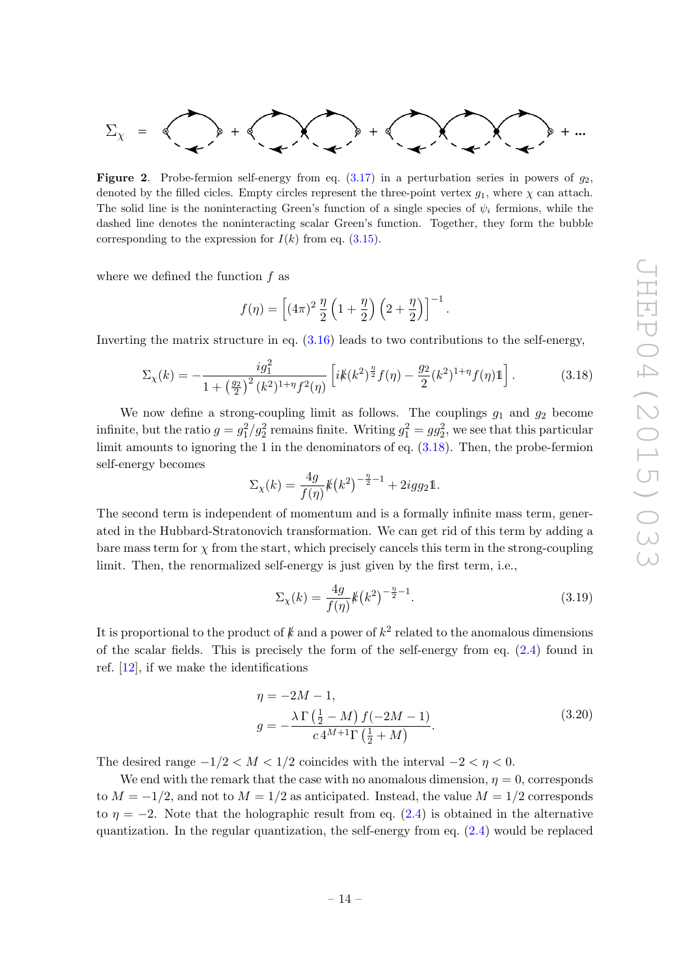

<span id="page-14-0"></span>**Figure 2.** Probe-fermion self-energy from eq.  $(3.17)$  in a perturbation series in powers of  $q_2$ , denoted by the filled cicles. Empty circles represent the three-point vertex  $g_1$ , where  $\chi$  can attach. The solid line is the noninteracting Green's function of a single species of  $\psi_i$  fermions, while the dashed line denotes the noninteracting scalar Green's function. Together, they form the bubble corresponding to the expression for  $I(k)$  from eq. [\(3.15\)](#page-13-4).

where we defined the function  $f$  as

$$
f(\eta) = \left[ (4\pi)^2 \frac{\eta}{2} \left( 1 + \frac{\eta}{2} \right) \left( 2 + \frac{\eta}{2} \right) \right]^{-1}.
$$

Inverting the matrix structure in eq.  $(3.16)$  leads to two contributions to the self-energy,

<span id="page-14-1"></span>
$$
\Sigma_{\chi}(k) = -\frac{i g_1^2}{1 + \left(\frac{g_2}{2}\right)^2 (k^2)^{1 + \eta} f^2(\eta)} \left[ i k \, (k^2)^{\frac{\eta}{2}} f(\eta) - \frac{g_2}{2} (k^2)^{1 + \eta} f(\eta) \mathbb{1} \right]. \tag{3.18}
$$

We now define a strong-coupling limit as follows. The couplings  $g_1$  and  $g_2$  become infinite, but the ratio  $g = g_1^2/g_2^2$  remains finite. Writing  $g_1^2 = gg_2^2$ , we see that this particular limit amounts to ignoring the 1 in the denominators of eq. [\(3.18\)](#page-14-1). Then, the probe-fermion self-energy becomes

$$
\Sigma_{\chi}(k) = \frac{4g}{f(\eta)} k(k^2)^{-\frac{\eta}{2}-1} + 2igg_2 1.
$$

The second term is independent of momentum and is a formally infinite mass term, generated in the Hubbard-Stratonovich transformation. We can get rid of this term by adding a bare mass term for  $\chi$  from the start, which precisely cancels this term in the strong-coupling limit. Then, the renormalized self-energy is just given by the first term, i.e.,

<span id="page-14-2"></span>
$$
\Sigma_{\chi}(k) = \frac{4g}{f(\eta)} k(k^2)^{-\frac{\eta}{2}-1}.
$$
\n(3.19)

It is proportional to the product of  $k$  and a power of  $k^2$  related to the anomalous dimensions of the scalar fields. This is precisely the form of the self-energy from eq. [\(2.4\)](#page-8-2) found in ref. [\[12\]](#page-39-6), if we make the identifications

$$
\eta = -2M - 1,
$$
  
\n
$$
g = -\frac{\lambda \Gamma(\frac{1}{2} - M) f(-2M - 1)}{c 4^{M+1} \Gamma(\frac{1}{2} + M)}.
$$
\n(3.20)

The desired range  $-1/2 < M < 1/2$  coincides with the interval  $-2 < \eta < 0$ .

We end with the remark that the case with no anomalous dimension,  $\eta = 0$ , corresponds to  $M = -1/2$ , and not to  $M = 1/2$  as anticipated. Instead, the value  $M = 1/2$  corresponds to  $\eta = -2$ . Note that the holographic result from eq. [\(2.4\)](#page-8-2) is obtained in the alternative quantization. In the regular quantization, the self-energy from eq.  $(2.4)$  would be replaced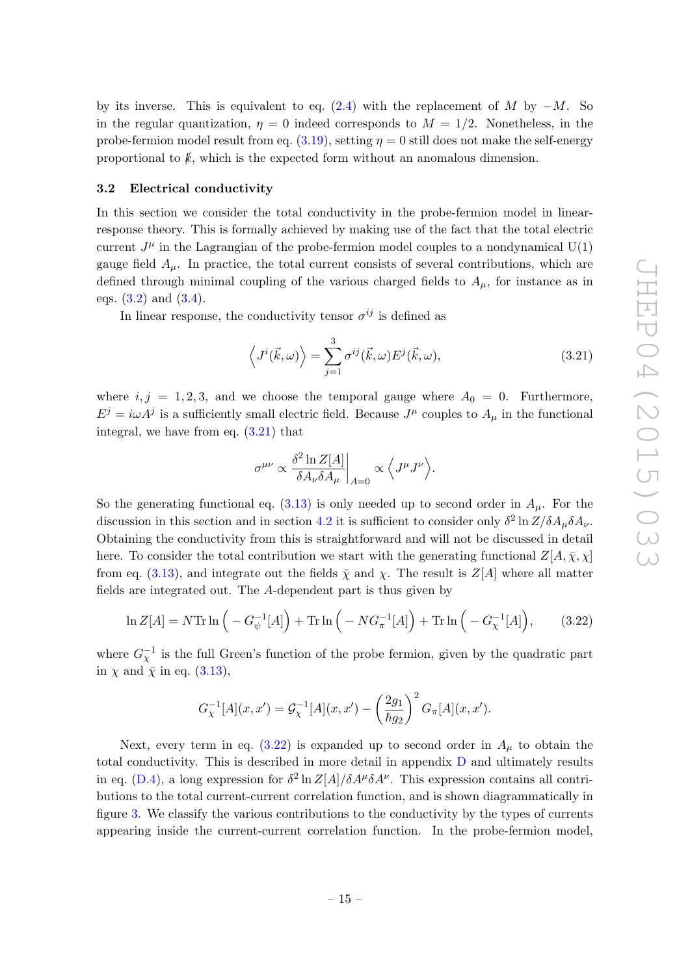by its inverse. This is equivalent to eq. [\(2.4\)](#page-8-2) with the replacement of M by  $-M$ . So in the regular quantization,  $\eta = 0$  indeed corresponds to  $M = 1/2$ . Nonetheless, in the probe-fermion model result from eq.  $(3.19)$ , setting  $\eta = 0$  still does not make the self-energy proportional to  $k$ , which is the expected form without an anomalous dimension.

#### <span id="page-15-0"></span>3.2 Electrical conductivity

In this section we consider the total conductivity in the probe-fermion model in linearresponse theory. This is formally achieved by making use of the fact that the total electric current  $J^{\mu}$  in the Lagrangian of the probe-fermion model couples to a nondynamical  $U(1)$ gauge field  $A_{\mu}$ . In practice, the total current consists of several contributions, which are defined through minimal coupling of the various charged fields to  $A_{\mu}$ , for instance as in eqs.  $(3.2)$  and  $(3.4)$ .

In linear response, the conductivity tensor  $\sigma^{ij}$  is defined as

<span id="page-15-1"></span>
$$
\langle J^i(\vec{k}, \omega) \rangle = \sum_{j=1}^3 \sigma^{ij}(\vec{k}, \omega) E^j(\vec{k}, \omega), \qquad (3.21)
$$

where  $i, j = 1, 2, 3$ , and we choose the temporal gauge where  $A_0 = 0$ . Furthermore,  $E^j = i\omega A^j$  is a sufficiently small electric field. Because  $J^{\mu}$  couples to  $A_{\mu}$  in the functional integral, we have from eq.  $(3.21)$  that

$$
\sigma^{\mu\nu} \propto \frac{\delta^2 \ln Z[A]}{\delta A_\nu \delta A_\mu} \bigg|_{A=0} \propto \Big\langle J^\mu J^\nu \Big\rangle.
$$

So the generating functional eq.  $(3.13)$  is only needed up to second order in  $A<sub>\mu</sub>$ . For the discussion in this section and in section [4.2](#page-26-0) it is sufficient to consider only  $\delta^2 \ln Z / \delta A_\mu \delta A_\nu$ . Obtaining the conductivity from this is straightforward and will not be discussed in detail here. To consider the total contribution we start with the generating functional  $Z[A, \bar{\chi}, \chi]$ from eq. [\(3.13\)](#page-13-1), and integrate out the fields  $\bar{\chi}$  and  $\chi$ . The result is  $Z[A]$  where all matter fields are integrated out. The A-dependent part is thus given by

<span id="page-15-2"></span>
$$
\ln Z[A] = N \text{Tr} \ln \left( -G_{\psi}^{-1}[A] \right) + \text{Tr} \ln \left( -NG_{\pi}^{-1}[A] \right) + \text{Tr} \ln \left( -G_{\chi}^{-1}[A] \right), \tag{3.22}
$$

where  $G_{\chi}^{-1}$  is the full Green's function of the probe fermion, given by the quadratic part in  $\chi$  and  $\bar{\chi}$  in eq. [\(3.13\)](#page-13-1),

$$
G_{\chi}^{-1}[A](x, x') = \mathcal{G}_{\chi}^{-1}[A](x, x') - \left(\frac{2g_1}{\hbar g_2}\right)^2 G_{\pi}[A](x, x').
$$

Next, every term in eq.  $(3.22)$  is expanded up to second order in  $A_\mu$  to obtain the total conductivity. This is described in more detail in appendix [D](#page-36-0) and ultimately results in eq. [\(D.4\)](#page-37-0), a long expression for  $\delta^2 \ln Z[A]/\delta A^{\mu} \delta A^{\nu}$ . This expression contains all contributions to the total current-current correlation function, and is shown diagrammatically in figure [3.](#page-16-0) We classify the various contributions to the conductivity by the types of currents appearing inside the current-current correlation function. In the probe-fermion model,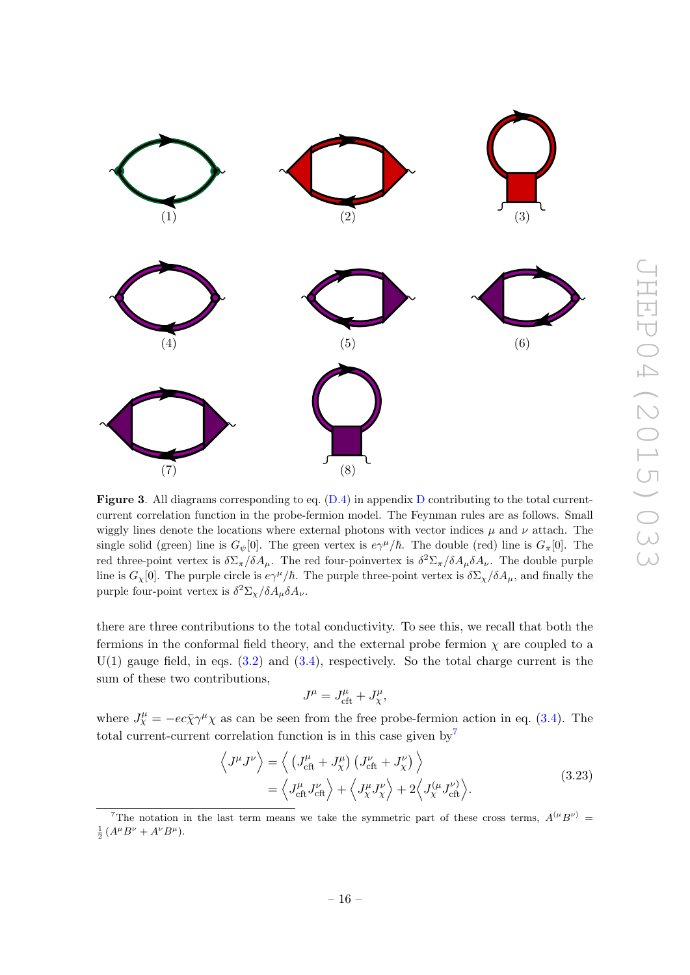

<span id="page-16-0"></span>**Figure 3.** All diagrams corresponding to eq.  $(D.4)$  $(D.4)$  $(D.4)$  in appendix D contributing to the total currentcurrent correlation function in the probe-fermion model. The Feynman rules are as follows. Small wiggly lines denote the locations where external photons with vector indices  $\mu$  and  $\nu$  attach. The single solid (green) line is  $G_{\psi}[0]$ . The green vertex is  $e\gamma^{\mu}/\hbar$ . The double (red) line is  $G_{\pi}[0]$ . The red three-point vertex is  $\delta \Sigma_{\pi}/\delta A_{\mu}$ . The red four-poinvertex is  $\delta^2 \Sigma_{\pi}/\delta A_{\mu} \delta A_{\nu}$ . The double purple line is  $G_\chi[0]$ . The purple circle is  $e\gamma^\mu/\hbar$ . The purple three-point vertex is  $\delta\Sigma_\chi/\delta A_\mu$ , and finally the purple four-point vertex is  $\delta^2 \Sigma_{\chi}/\delta A_{\mu} \delta A_{\nu}$ .

there are three contributions to the total conductivity. To see this, we recall that both the fermions in the conformal field theory, and the external probe fermion  $\chi$  are coupled to a  $U(1)$  gauge field, in eqs.  $(3.2)$  and  $(3.4)$ , respectively. So the total charge current is the sum of these two contributions,

$$
J^{\mu} = J^{\mu}_{\text{cft}} + J^{\mu}_{\chi},
$$

where  $J^{\mu}_{\chi} = -ec\bar{\chi}\gamma^{\mu}\chi$  as can be seen from the free probe-fermion action in eq. [\(3.4\)](#page-10-0). The total current-current correlation function is in this case given by<sup>[7](#page-16-1)</sup>

<span id="page-16-2"></span>
$$
\left\langle J^{\mu}J^{\nu}\right\rangle = \left\langle \left(J_{\text{cft}}^{\mu} + J_{\chi}^{\mu}\right)\left(J_{\text{cft}}^{\nu} + J_{\chi}^{\nu}\right) \right\rangle
$$
  
=  $\left\langle J_{\text{cft}}^{\mu}J_{\text{cft}}^{\nu}\right\rangle + \left\langle J_{\chi}^{\mu}J_{\chi}^{\nu}\right\rangle + 2\left\langle J_{\chi}^{(\mu}J_{\text{cft}}^{\nu)}\right\rangle.$  (3.23)

<span id="page-16-1"></span><sup>7</sup>The notation in the last term means we take the symmetric part of these cross terms,  $A^{(\mu}B^{\nu)}$  =  $\frac{1}{2} (A^{\mu} B^{\nu} + A^{\nu} B^{\mu}).$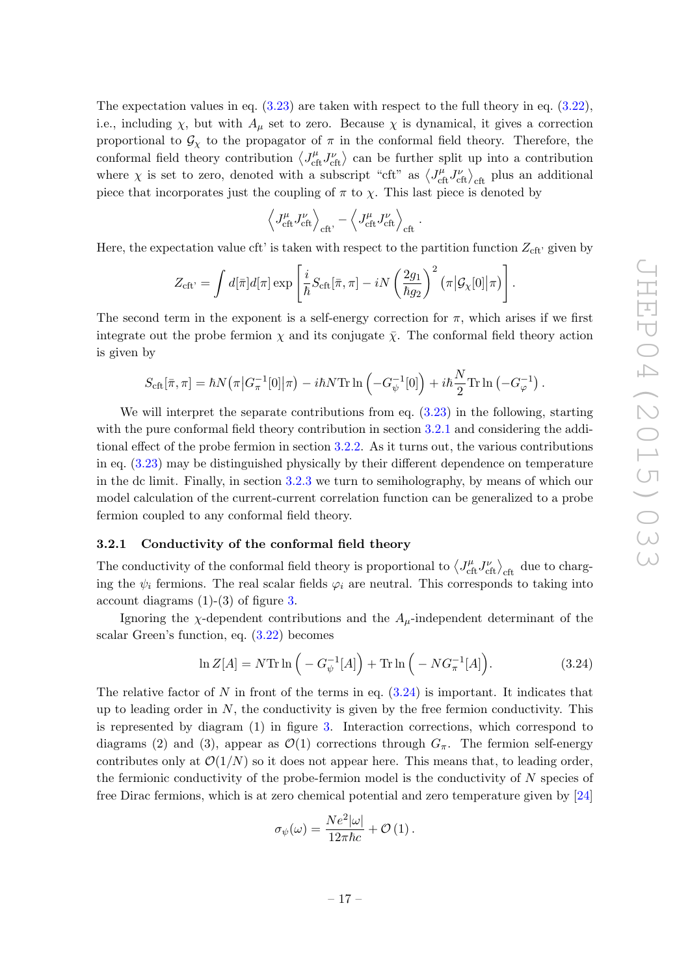The expectation values in eq.  $(3.23)$  are taken with respect to the full theory in eq.  $(3.22)$ , i.e., including  $\chi$ , but with  $A_\mu$  set to zero. Because  $\chi$  is dynamical, it gives a correction proportional to  $\mathcal{G}_{\chi}$  to the propagator of  $\pi$  in the conformal field theory. Therefore, the conformal field theory contribution  $\langle J_{\text{cft}}^{\mu} J_{\text{cft}}^{\nu} \rangle$  can be further split up into a contribution where  $\chi$  is set to zero, denoted with a subscript "cft" as  $\langle J_{\text{cft}}^{\mu} J_{\text{cft}}^{\nu} \rangle_{\text{cft}}$  plus an additional piece that incorporates just the coupling of  $\pi$  to  $\chi$ . This last piece is denoted by

$$
\left\langle J_{\text{cft}}^{\mu} J_{\text{cft}}^{\nu}\right\rangle_{\text{cft}},-\left\langle J_{\text{cft}}^{\mu} J_{\text{cft}}^{\nu}\right\rangle_{\text{cft}}
$$

.

Here, the expectation value cft' is taken with respect to the partition function  $Z_{\text{cft}}$  given by

$$
Z_{\rm cft'} = \int d[\bar{\pi}] d[\pi] \exp\left[\frac{i}{\hbar} S_{\rm cft}[\bar{\pi}, \pi] - iN \left(\frac{2g_1}{\hbar g_2}\right)^2 (\pi | \mathcal{G}_\chi[0] | \pi)\right].
$$

The second term in the exponent is a self-energy correction for  $\pi$ , which arises if we first integrate out the probe fermion  $\chi$  and its conjugate  $\bar{\chi}$ . The conformal field theory action is given by

$$
S_{\rm cft}[\bar{\pi},\pi] = \hbar N(\pi |G_{\pi}^{-1}[0]|\pi) - i\hbar N \mathrm{Tr} \ln \left(-G_{\psi}^{-1}[0]\right) + i\hbar \frac{N}{2} \mathrm{Tr} \ln \left(-G_{\varphi}^{-1}\right).
$$

We will interpret the separate contributions from eq. [\(3.23\)](#page-16-2) in the following, starting with the pure conformal field theory contribution in section [3.2.1](#page-17-0) and considering the additional effect of the probe fermion in section [3.2.2.](#page-18-0) As it turns out, the various contributions in eq. [\(3.23\)](#page-16-2) may be distinguished physically by their different dependence on temperature in the dc limit. Finally, in section [3.2.3](#page-20-0) we turn to semiholography, by means of which our model calculation of the current-current correlation function can be generalized to a probe fermion coupled to any conformal field theory.

#### <span id="page-17-0"></span>3.2.1 Conductivity of the conformal field theory

The conductivity of the conformal field theory is proportional to  $\langle J_{\text{cft}}^{\mu} J_{\text{cft}}^{\nu} \rangle_{\text{cft}}$  due to charging the  $\psi_i$  fermions. The real scalar fields  $\varphi_i$  are neutral. This corresponds to taking into account diagrams  $(1)-(3)$  of figure [3.](#page-16-0)

Ignoring the  $\chi$ -dependent contributions and the  $A_\mu$ -independent determinant of the scalar Green's function, eq. [\(3.22\)](#page-15-2) becomes

<span id="page-17-1"></span>
$$
\ln Z[A] = N \text{Tr} \ln \left( -G_{\psi}^{-1}[A] \right) + \text{Tr} \ln \left( -NG_{\pi}^{-1}[A] \right). \tag{3.24}
$$

The relative factor of N in front of the terms in eq.  $(3.24)$  is important. It indicates that up to leading order in  $N$ , the conductivity is given by the free fermion conductivity. This is represented by diagram (1) in figure [3.](#page-16-0) Interaction corrections, which correspond to diagrams (2) and (3), appear as  $\mathcal{O}(1)$  corrections through  $G_\pi$ . The fermion self-energy contributes only at  $\mathcal{O}(1/N)$  so it does not appear here. This means that, to leading order, the fermionic conductivity of the probe-fermion model is the conductivity of  $N$  species of free Dirac fermions, which is at zero chemical potential and zero temperature given by [\[24\]](#page-40-1)

$$
\sigma_{\psi}(\omega) = \frac{Ne^2|\omega|}{12\pi\hbar c} + \mathcal{O}(1).
$$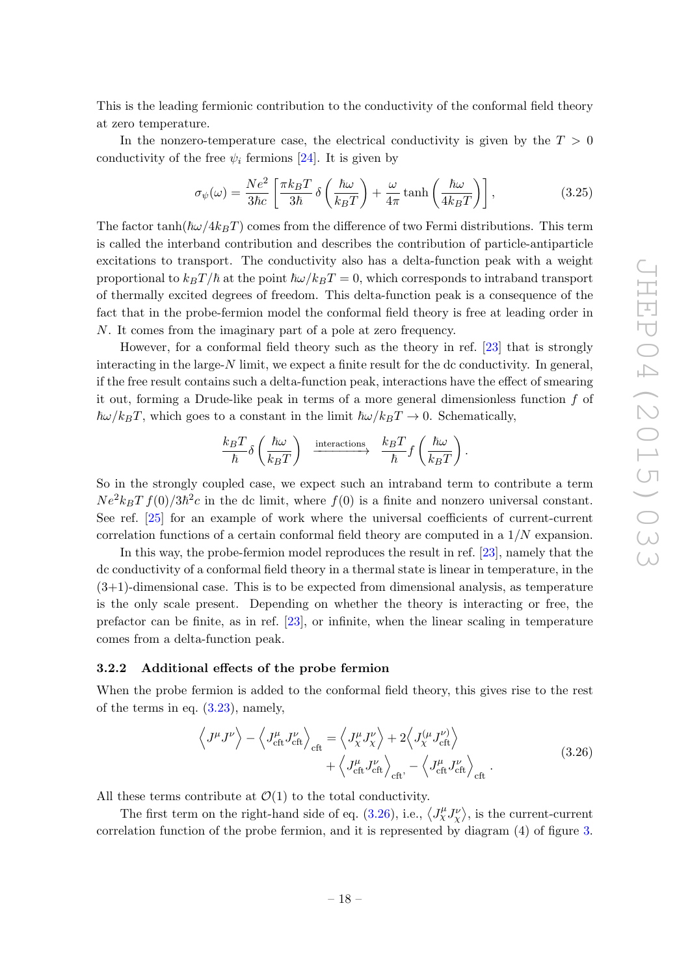This is the leading fermionic contribution to the conductivity of the conformal field theory at zero temperature.

In the nonzero-temperature case, the electrical conductivity is given by the  $T > 0$ conductivity of the free  $\psi_i$  fermions [\[24\]](#page-40-1). It is given by

$$
\sigma_{\psi}(\omega) = \frac{Ne^2}{3\hbar c} \left[ \frac{\pi k_B T}{3\hbar} \delta \left( \frac{\hbar \omega}{k_B T} \right) + \frac{\omega}{4\pi} \tanh \left( \frac{\hbar \omega}{4k_B T} \right) \right],
$$
\n(3.25)

The factor tanh( $\hbar\omega/4k_BT$ ) comes from the difference of two Fermi distributions. This term is called the interband contribution and describes the contribution of particle-antiparticle excitations to transport. The conductivity also has a delta-function peak with a weight proportional to  $k_BT/\hbar$  at the point  $\hbar\omega/k_BT = 0$ , which corresponds to intraband transport of thermally excited degrees of freedom. This delta-function peak is a consequence of the fact that in the probe-fermion model the conformal field theory is free at leading order in N. It comes from the imaginary part of a pole at zero frequency.

However, for a conformal field theory such as the theory in ref. [\[23\]](#page-40-0) that is strongly interacting in the large- $N$  limit, we expect a finite result for the dc conductivity. In general, if the free result contains such a delta-function peak, interactions have the effect of smearing it out, forming a Drude-like peak in terms of a more general dimensionless function  $f$  of  $\hbar\omega/k_BT$ , which goes to a constant in the limit  $\hbar\omega/k_BT \rightarrow 0$ . Schematically,

$$
\frac{k_BT}{\hbar}\delta\left(\frac{\hbar\omega}{k_BT}\right)\ \xrightarrow{\text{interactions}}\ \frac{k_BT}{\hbar}f\left(\frac{\hbar\omega}{k_BT}\right).
$$

So in the strongly coupled case, we expect such an intraband term to contribute a term  $Ne^{2}k_{B}Tf(0)/3\hbar^{2}c$  in the dc limit, where  $f(0)$  is a finite and nonzero universal constant. See ref.  $[25]$  for an example of work where the universal coefficients of current-current correlation functions of a certain conformal field theory are computed in a  $1/N$  expansion.

In this way, the probe-fermion model reproduces the result in ref. [\[23\]](#page-40-0), namely that the dc conductivity of a conformal field theory in a thermal state is linear in temperature, in the  $(3+1)$ -dimensional case. This is to be expected from dimensional analysis, as temperature is the only scale present. Depending on whether the theory is interacting or free, the prefactor can be finite, as in ref. [\[23\]](#page-40-0), or infinite, when the linear scaling in temperature comes from a delta-function peak.

#### <span id="page-18-0"></span>3.2.2 Additional effects of the probe fermion

When the probe fermion is added to the conformal field theory, this gives rise to the rest of the terms in eq.  $(3.23)$ , namely,

<span id="page-18-1"></span>
$$
\left\langle J^{\mu}J^{\nu}\right\rangle - \left\langle J_{\text{cft}}^{\mu}J_{\text{cft}}^{\nu}\right\rangle_{\text{cft}} = \left\langle J_{\chi}^{\mu}J_{\chi}^{\nu}\right\rangle + 2\left\langle J_{\chi}^{(\mu}J_{\text{cft}}^{\nu)}\right\rangle + \left\langle J_{\text{cft}}^{\mu}J_{\text{cft}}^{\nu}\right\rangle_{\text{cft}} - \left\langle J_{\text{cft}}^{\mu}J_{\text{cft}}^{\nu}\right\rangle_{\text{cft}}.
$$
\n(3.26)

All these terms contribute at  $\mathcal{O}(1)$  to the total conductivity.

The first term on the right-hand side of eq. [\(3.26\)](#page-18-1), i.e.,  $\langle J_X^{\mu} J_X^{\nu} \rangle$ , is the current-current correlation function of the probe fermion, and it is represented by diagram (4) of figure [3.](#page-16-0)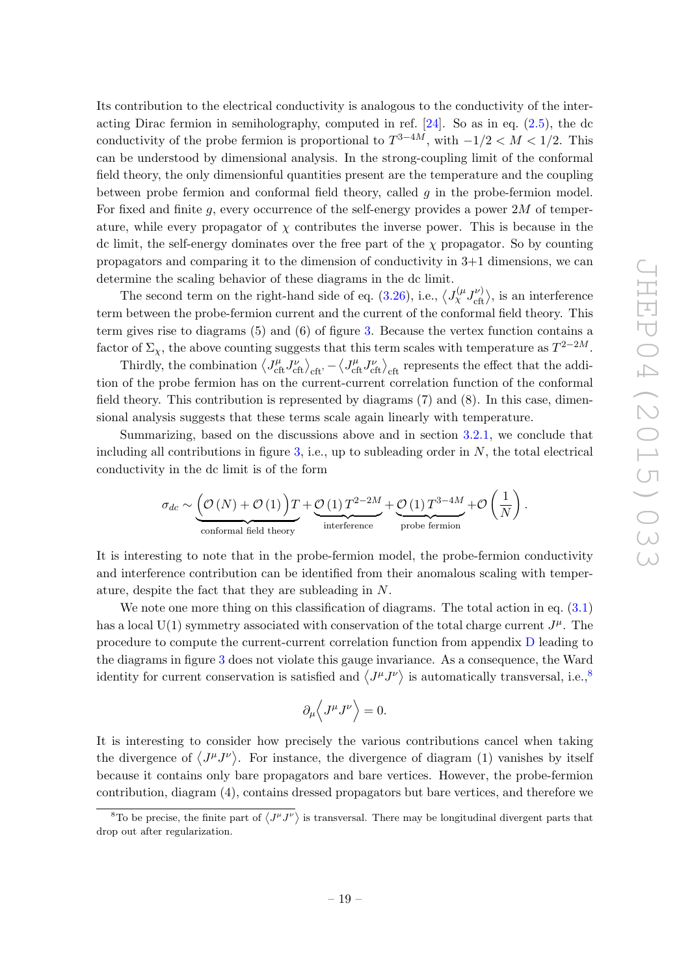Its contribution to the electrical conductivity is analogous to the conductivity of the interacting Dirac fermion in semiholography, computed in ref.  $[24]$ . So as in eq.  $(2.5)$ , the dc conductivity of the probe fermion is proportional to  $T^{3-4M}$ , with  $-1/2 < M < 1/2$ . This can be understood by dimensional analysis. In the strong-coupling limit of the conformal field theory, the only dimensionful quantities present are the temperature and the coupling between probe fermion and conformal field theory, called  $g$  in the probe-fermion model. For fixed and finite q, every occurrence of the self-energy provides a power  $2M$  of temperature, while every propagator of  $\chi$  contributes the inverse power. This is because in the dc limit, the self-energy dominates over the free part of the  $\chi$  propagator. So by counting propagators and comparing it to the dimension of conductivity in 3+1 dimensions, we can determine the scaling behavior of these diagrams in the dc limit.

The second term on the right-hand side of eq. [\(3.26\)](#page-18-1), i.e.,  $\langle J_{\chi}^{(\mu} J_{\text{cft}}^{\nu)} \rangle$ , is an interference term between the probe-fermion current and the current of the conformal field theory. This term gives rise to diagrams (5) and (6) of figure [3.](#page-16-0) Because the vertex function contains a factor of  $\Sigma_{\chi}$ , the above counting suggests that this term scales with temperature as  $T^{2-2M}$ .

Thirdly, the combination  $\langle J_{\text{cft}}^{\mu} J_{\text{cft}}^{\nu} \rangle_{\text{cft}} - \langle J_{\text{cft}}^{\mu} J_{\text{cft}}^{\nu} \rangle_{\text{cft}}$  represents the effect that the addition of the probe fermion has on the current-current correlation function of the conformal field theory. This contribution is represented by diagrams (7) and (8). In this case, dimensional analysis suggests that these terms scale again linearly with temperature.

Summarizing, based on the discussions above and in section [3.2.1,](#page-17-0) we conclude that including all contributions in figure  $3$ , i.e., up to subleading order in  $N$ , the total electrical conductivity in the dc limit is of the form

$$
\sigma_{dc} \sim \underbrace{\left(\mathcal{O}\left(N\right)+\mathcal{O}\left(1\right)\right)T}_{\text{conformal field theory}} + \underbrace{\mathcal{O}\left(1\right)T^{2-2M}}_{\text{interference}} + \underbrace{\mathcal{O}\left(1\right)T^{3-4M}}_{\text{probe fermion}} + \mathcal{O}\left(\frac{1}{N}\right).
$$

It is interesting to note that in the probe-fermion model, the probe-fermion conductivity and interference contribution can be identified from their anomalous scaling with temperature, despite the fact that they are subleading in N.

We note one more thing on this classification of diagrams. The total action in eq.  $(3.1)$ has a local U(1) symmetry associated with conservation of the total charge current  $J^{\mu}$ . The procedure to compute the current-current correlation function from appendix [D](#page-36-0) leading to the diagrams in figure [3](#page-16-0) does not violate this gauge invariance. As a consequence, the Ward identity for current conservation is satisfied and  $\langle J^{\mu}J^{\nu}\rangle$  is automatically transversal, i.e.,<sup>[8](#page-19-0)</sup>

$$
\partial_{\mu} \left\langle J^{\mu} J^{\nu} \right\rangle = 0.
$$

It is interesting to consider how precisely the various contributions cancel when taking the divergence of  $\langle J^{\mu}J^{\nu}\rangle$ . For instance, the divergence of diagram (1) vanishes by itself because it contains only bare propagators and bare vertices. However, the probe-fermion contribution, diagram (4), contains dressed propagators but bare vertices, and therefore we

<span id="page-19-0"></span><sup>&</sup>lt;sup>8</sup>To be precise, the finite part of  $\langle J^{\mu}J^{\nu}\rangle$  is transversal. There may be longitudinal divergent parts that drop out after regularization.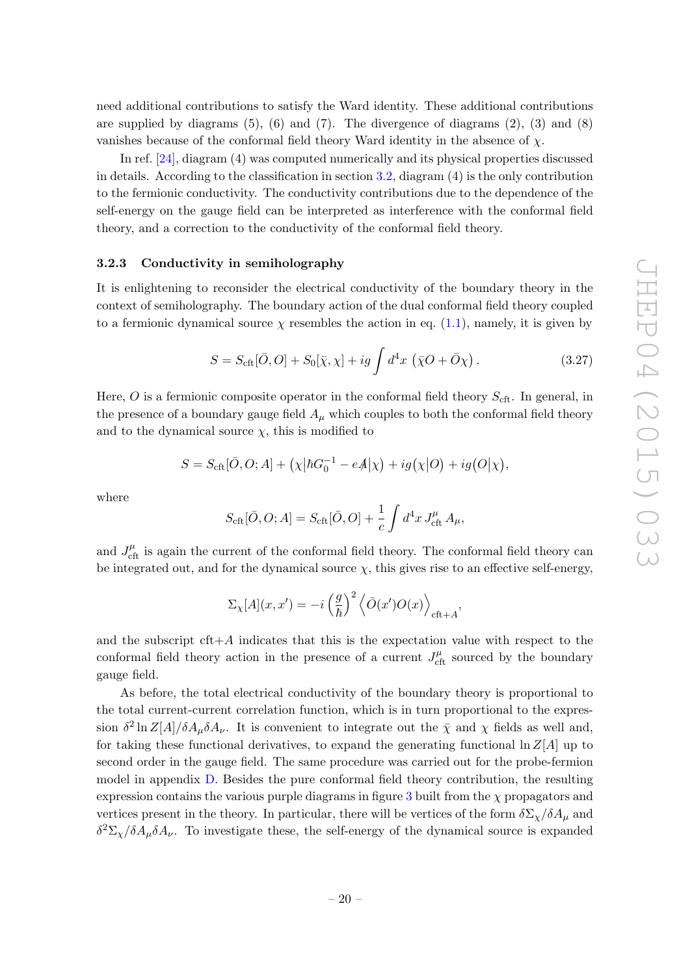need additional contributions to satisfy the Ward identity. These additional contributions are supplied by diagrams  $(5)$ ,  $(6)$  and  $(7)$ . The divergence of diagrams  $(2)$ ,  $(3)$  and  $(8)$ vanishes because of the conformal field theory Ward identity in the absence of  $\chi$ .

In ref. [\[24\]](#page-40-1), diagram (4) was computed numerically and its physical properties discussed in details. According to the classification in section [3.2,](#page-15-0) diagram (4) is the only contribution to the fermionic conductivity. The conductivity contributions due to the dependence of the self-energy on the gauge field can be interpreted as interference with the conformal field theory, and a correction to the conductivity of the conformal field theory.

# <span id="page-20-0"></span>3.2.3 Conductivity in semiholography

It is enlightening to reconsider the electrical conductivity of the boundary theory in the context of semiholography. The boundary action of the dual conformal field theory coupled to a fermionic dynamical source  $\chi$  resembles the action in eq. [\(1.1\)](#page-3-2), namely, it is given by

<span id="page-20-1"></span>
$$
S = S_{\rm cft}[\bar{O}, O] + S_0[\bar{\chi}, \chi] + ig \int d^4x \, (\bar{\chi}O + \bar{O}\chi) \,. \tag{3.27}
$$

Here, O is a fermionic composite operator in the conformal field theory  $S_{\text{cft}}$ . In general, in the presence of a boundary gauge field  $A_\mu$  which couples to both the conformal field theory and to the dynamical source  $\chi$ , this is modified to

$$
S = S_{\rm cft}[\bar{O}, O; A] + (\chi | \hbar G_0^{-1} - eA | \chi) + ig(\chi | O) + ig(O | \chi),
$$

where

$$
S_{\rm cft}[\bar{O}, O; A] = S_{\rm cft}[\bar{O}, O] + \frac{1}{c} \int d^4x J_{\rm cft}^{\mu} A_{\mu},
$$

and  $J_{\text{cft}}^{\mu}$  is again the current of the conformal field theory. The conformal field theory can be integrated out, and for the dynamical source  $\chi$ , this gives rise to an effective self-energy,

$$
\Sigma_{\chi}[A](x, x') = -i \left(\frac{g}{\hbar}\right)^2 \left\langle \bar{O}(x')O(x) \right\rangle_{\text{cft} + A},
$$

and the subscript  $\text{cft}+A$  indicates that this is the expectation value with respect to the conformal field theory action in the presence of a current  $J_{\text{cft}}^{\mu}$  sourced by the boundary gauge field.

As before, the total electrical conductivity of the boundary theory is proportional to the total current-current correlation function, which is in turn proportional to the expression  $\delta^2 \ln Z[A]/\delta A_\mu \delta A_\nu$ . It is convenient to integrate out the  $\bar{\chi}$  and  $\chi$  fields as well and, for taking these functional derivatives, to expand the generating functional  $\ln Z[A]$  up to second order in the gauge field. The same procedure was carried out for the probe-fermion model in appendix [D.](#page-36-0) Besides the pure conformal field theory contribution, the resulting expression contains the various purple diagrams in figure [3](#page-16-0) built from the  $\chi$  propagators and vertices present in the theory. In particular, there will be vertices of the form  $\delta \Sigma_{\chi}/\delta A_{\mu}$  and  $\delta^2 \Sigma_{\chi}/\delta A_{\mu} \delta A_{\nu}$ . To investigate these, the self-energy of the dynamical source is expanded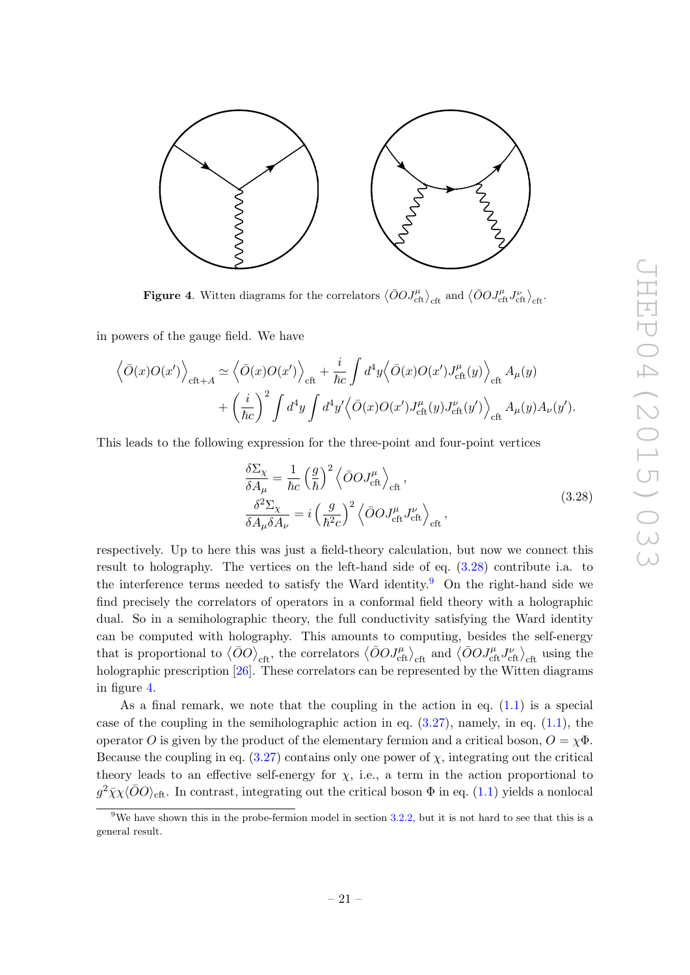

<span id="page-21-2"></span>**Figure 4.** Witten diagrams for the correlators  $\langle \bar{O}O J_{\text{cft}}^{\mu} \rangle_{\text{cft}}$  and  $\langle \bar{O}O J_{\text{cft}}^{\mu} J_{\text{cft}}^{\nu} \rangle_{\text{cft}}$ 

in powers of the gauge field. We have

$$
\left\langle \bar{O}(x)O(x') \right\rangle_{\text{cft}+A} \simeq \left\langle \bar{O}(x)O(x') \right\rangle_{\text{cft}} + \frac{i}{\hbar c} \int d^4y \left\langle \bar{O}(x)O(x')J_{\text{cft}}^{\mu}(y) \right\rangle_{\text{cft}} A_{\mu}(y) + \left(\frac{i}{\hbar c}\right)^2 \int d^4y \int d^4y' \left\langle \bar{O}(x)O(x')J_{\text{cft}}^{\mu}(y)J_{\text{cft}}^{\nu}(y') \right\rangle_{\text{cft}} A_{\mu}(y)A_{\nu}(y').
$$

This leads to the following expression for the three-point and four-point vertices

<span id="page-21-0"></span>
$$
\frac{\delta \Sigma_{\chi}}{\delta A_{\mu}} = \frac{1}{\hbar c} \left(\frac{g}{\hbar}\right)^2 \left\langle \bar{O} O J_{\text{cft}}^{\mu} \right\rangle_{\text{cft}},
$$
\n
$$
\frac{\delta^2 \Sigma_{\chi}}{\delta A_{\mu} \delta A_{\nu}} = i \left(\frac{g}{\hbar^2 c}\right)^2 \left\langle \bar{O} O J_{\text{cft}}^{\mu} J_{\text{cft}}^{\nu} \right\rangle_{\text{cft}},
$$
\n(3.28)

respectively. Up to here this was just a field-theory calculation, but now we connect this result to holography. The vertices on the left-hand side of eq. [\(3.28\)](#page-21-0) contribute i.a. to the interference terms needed to satisfy the Ward identity.<sup>[9](#page-21-1)</sup> On the right-hand side we find precisely the correlators of operators in a conformal field theory with a holographic dual. So in a semiholographic theory, the full conductivity satisfying the Ward identity can be computed with holography. This amounts to computing, besides the self-energy that is proportional to  $\langle \bar{O}O \rangle_{\text{cft}}$ , the correlators  $\langle \bar{O}O J_{\text{cft}}^{\mu} \rangle_{\text{cft}}$  and  $\langle \bar{O}O J_{\text{cft}}^{\mu} J_{\text{cft}}^{\nu} \rangle_{\text{cft}}$  using the holographic prescription [\[26\]](#page-40-3). These correlators can be represented by the Witten diagrams in figure [4.](#page-21-2)

As a final remark, we note that the coupling in the action in eq. [\(1.1\)](#page-3-2) is a special case of the coupling in the semiholographic action in eq.  $(3.27)$ , namely, in eq.  $(1.1)$ , the operator O is given by the product of the elementary fermion and a critical boson,  $O = \chi \Phi$ . Because the coupling in eq.  $(3.27)$  contains only one power of  $\chi$ , integrating out the critical theory leads to an effective self-energy for  $\chi$ , i.e., a term in the action proportional to  $g^2 \bar{\chi} \chi \langle \bar{O}O \rangle_{\text{cft}}$ . In contrast, integrating out the critical boson  $\Phi$  in eq. [\(1.1\)](#page-3-2) yields a nonlocal

<span id="page-21-1"></span><sup>&</sup>lt;sup>9</sup>We have shown this in the probe-fermion model in section [3.2.2,](#page-18-0) but it is not hard to see that this is a general result.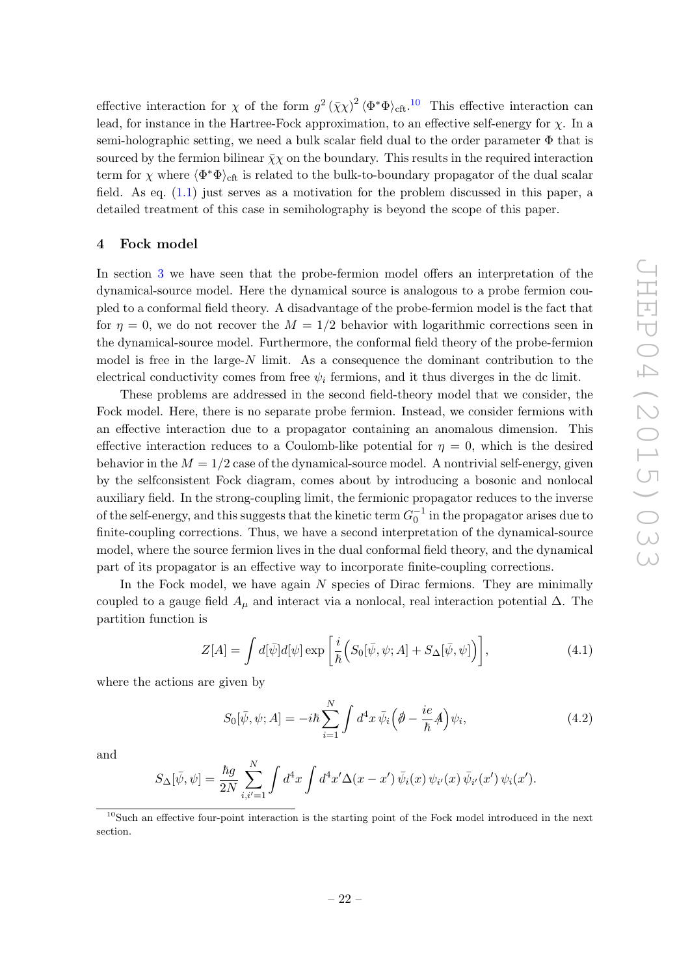effective interaction for  $\chi$  of the form  $g^2 (\bar{\chi}\chi)^2 \langle \Phi^* \Phi \rangle_{\text{cft}}$ .<sup>[10](#page-22-1)</sup> This effective interaction can lead, for instance in the Hartree-Fock approximation, to an effective self-energy for  $\chi$ . In a semi-holographic setting, we need a bulk scalar field dual to the order parameter  $\Phi$  that is sourced by the fermion bilinear  $\bar{\chi}\chi$  on the boundary. This results in the required interaction term for  $\chi$  where  $\langle \Phi^* \Phi \rangle_{\text{cft}}$  is related to the bulk-to-boundary propagator of the dual scalar field. As eq. [\(1.1\)](#page-3-2) just serves as a motivation for the problem discussed in this paper, a detailed treatment of this case in semiholography is beyond the scope of this paper.

#### <span id="page-22-0"></span>4 Fock model

In section [3](#page-9-0) we have seen that the probe-fermion model offers an interpretation of the dynamical-source model. Here the dynamical source is analogous to a probe fermion coupled to a conformal field theory. A disadvantage of the probe-fermion model is the fact that for  $\eta = 0$ , we do not recover the  $M = 1/2$  behavior with logarithmic corrections seen in the dynamical-source model. Furthermore, the conformal field theory of the probe-fermion model is free in the large- $N$  limit. As a consequence the dominant contribution to the electrical conductivity comes from free  $\psi_i$  fermions, and it thus diverges in the dc limit.

These problems are addressed in the second field-theory model that we consider, the Fock model. Here, there is no separate probe fermion. Instead, we consider fermions with an effective interaction due to a propagator containing an anomalous dimension. This effective interaction reduces to a Coulomb-like potential for  $\eta = 0$ , which is the desired behavior in the  $M = 1/2$  case of the dynamical-source model. A nontrivial self-energy, given by the selfconsistent Fock diagram, comes about by introducing a bosonic and nonlocal auxiliary field. In the strong-coupling limit, the fermionic propagator reduces to the inverse of the self-energy, and this suggests that the kinetic term  $G_0^{-1}$  in the propagator arises due to finite-coupling corrections. Thus, we have a second interpretation of the dynamical-source model, where the source fermion lives in the dual conformal field theory, and the dynamical part of its propagator is an effective way to incorporate finite-coupling corrections.

In the Fock model, we have again N species of Dirac fermions. They are minimally coupled to a gauge field  $A_\mu$  and interact via a nonlocal, real interaction potential  $\Delta$ . The partition function is

$$
Z[A] = \int d[\bar{\psi}]d[\psi] \exp\left[\frac{i}{\hbar}\Big(S_0[\bar{\psi}, \psi; A] + S_\Delta[\bar{\psi}, \psi]\Big)\right],\tag{4.1}
$$

where the actions are given by

$$
S_0[\bar{\psi}, \psi; A] = -i\hbar \sum_{i=1}^{N} \int d^4x \,\bar{\psi}_i \Big(\phi - \frac{ie}{\hbar}A\Big)\psi_i,\tag{4.2}
$$

and

$$
S_{\Delta}[\bar{\psi}, \psi] = \frac{\hbar g}{2N} \sum_{i,i'=1}^{N} \int d^4x \int d^4x' \Delta(x - x') \, \bar{\psi}_i(x) \, \psi_{i'}(x) \, \bar{\psi}_{i'}(x') \, \psi_i(x').
$$

<span id="page-22-1"></span><sup>10</sup>Such an effective four-point interaction is the starting point of the Fock model introduced in the next section.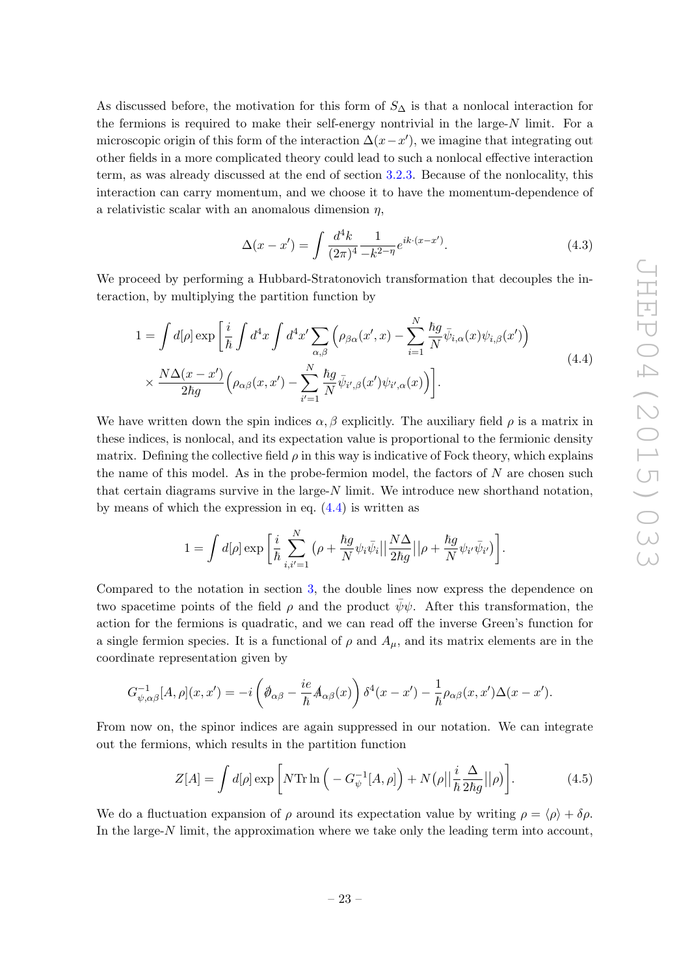As discussed before, the motivation for this form of  $S_\Delta$  is that a nonlocal interaction for the fermions is required to make their self-energy nontrivial in the large- $N$  limit. For a microscopic origin of this form of the interaction  $\Delta(x-x')$ , we imagine that integrating out other fields in a more complicated theory could lead to such a nonlocal effective interaction term, as was already discussed at the end of section [3.2.3.](#page-20-0) Because of the nonlocality, this interaction can carry momentum, and we choose it to have the momentum-dependence of a relativistic scalar with an anomalous dimension  $\eta$ ,

$$
\Delta(x - x') = \int \frac{d^4k}{(2\pi)^4} \frac{1}{-k^{2-\eta}} e^{ik \cdot (x - x')}.
$$
\n(4.3)

We proceed by performing a Hubbard-Stratonovich transformation that decouples the interaction, by multiplying the partition function by

<span id="page-23-0"></span>
$$
1 = \int d[\rho] \exp\left[\frac{i}{\hbar} \int d^4x \int d^4x' \sum_{\alpha,\beta} \left(\rho_{\beta\alpha}(x',x) - \sum_{i=1}^N \frac{\hbar g}{N} \bar{\psi}_{i,\alpha}(x)\psi_{i,\beta}(x')\right) \right] \times \frac{N\Delta(x-x')}{2\hbar g} \left(\rho_{\alpha\beta}(x,x') - \sum_{i'=1}^N \frac{\hbar g}{N} \bar{\psi}_{i',\beta}(x')\psi_{i',\alpha}(x)\right) \right].
$$
\n(4.4)

We have written down the spin indices  $\alpha$ , β explicitly. The auxiliary field  $\rho$  is a matrix in these indices, is nonlocal, and its expectation value is proportional to the fermionic density matrix. Defining the collective field  $\rho$  in this way is indicative of Fock theory, which explains the name of this model. As in the probe-fermion model, the factors of  $N$  are chosen such that certain diagrams survive in the large- $N$  limit. We introduce new shorthand notation, by means of which the expression in eq.  $(4.4)$  is written as

$$
1 = \int d[\rho] \exp \bigg[ \frac{i}{\hbar} \sum_{i,i'=1}^N \big( \rho + \frac{\hbar g}{N} \psi_i \bar{\psi}_i \big| \big| \frac{N\Delta}{2\hbar g} \big| \big| \rho + \frac{\hbar g}{N} \psi_{i'} \bar{\psi}_{i'} \big) \bigg].
$$

Compared to the notation in section [3,](#page-9-0) the double lines now express the dependence on two spacetime points of the field  $\rho$  and the product  $\bar{\psi}\psi$ . After this transformation, the action for the fermions is quadratic, and we can read off the inverse Green's function for a single fermion species. It is a functional of  $\rho$  and  $A_\mu$ , and its matrix elements are in the coordinate representation given by

$$
G_{\psi,\alpha\beta}^{-1}[A,\rho](x,x') = -i\left(\partial_{\alpha\beta} - \frac{ie}{\hbar}A_{\alpha\beta}(x)\right)\delta^4(x-x') - \frac{1}{\hbar}\rho_{\alpha\beta}(x,x')\Delta(x-x').
$$

From now on, the spinor indices are again suppressed in our notation. We can integrate out the fermions, which results in the partition function

<span id="page-23-1"></span>
$$
Z[A] = \int d[\rho] \exp\left[N \text{Tr} \ln\left(-G_{\psi}^{-1}[A,\rho]\right) + N(\rho \vert \vert \frac{i}{\hbar} \frac{\Delta}{2\hbar g} \vert \vert \rho)\right]. \tag{4.5}
$$

We do a fluctuation expansion of  $\rho$  around its expectation value by writing  $\rho = \langle \rho \rangle + \delta \rho$ . In the large- $N$  limit, the approximation where we take only the leading term into account,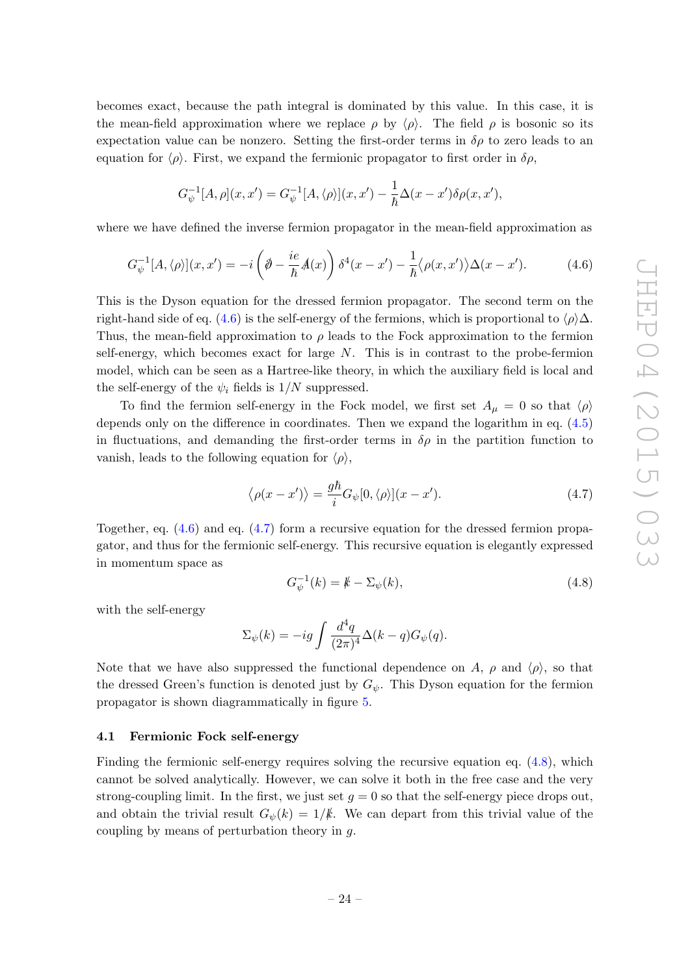becomes exact, because the path integral is dominated by this value. In this case, it is the mean-field approximation where we replace  $\rho$  by  $\langle \rho \rangle$ . The field  $\rho$  is bosonic so its expectation value can be nonzero. Setting the first-order terms in  $\delta \rho$  to zero leads to an equation for  $\langle \rho \rangle$ . First, we expand the fermionic propagator to first order in  $\delta \rho$ ,

$$
G_{\psi}^{-1}[A,\rho](x,x') = G_{\psi}^{-1}[A,\langle \rho \rangle](x,x') - \frac{1}{\hbar}\Delta(x-x')\delta\rho(x,x'),
$$

where we have defined the inverse fermion propagator in the mean-field approximation as

<span id="page-24-1"></span>
$$
G_{\psi}^{-1}[A,\langle \rho \rangle](x,x') = -i\left(\partial - \frac{ie}{\hbar}A(x)\right)\delta^4(x-x') - \frac{1}{\hbar}\langle \rho(x,x')\rangle\Delta(x-x').\tag{4.6}
$$

This is the Dyson equation for the dressed fermion propagator. The second term on the right-hand side of eq. [\(4.6\)](#page-24-1) is the self-energy of the fermions, which is proportional to  $\langle \rho \rangle \Delta$ . Thus, the mean-field approximation to  $\rho$  leads to the Fock approximation to the fermion self-energy, which becomes exact for large  $N$ . This is in contrast to the probe-fermion model, which can be seen as a Hartree-like theory, in which the auxiliary field is local and the self-energy of the  $\psi_i$  fields is  $1/N$  suppressed.

To find the fermion self-energy in the Fock model, we first set  $A_\mu = 0$  so that  $\langle \rho \rangle$ depends only on the difference in coordinates. Then we expand the logarithm in eq. [\(4.5\)](#page-23-1) in fluctuations, and demanding the first-order terms in  $\delta \rho$  in the partition function to vanish, leads to the following equation for  $\langle \rho \rangle$ ,

<span id="page-24-2"></span>
$$
\langle \rho(x - x') \rangle = \frac{g\hbar}{i} G_{\psi}[0, \langle \rho \rangle](x - x'). \tag{4.7}
$$

Together, eq.  $(4.6)$  and eq.  $(4.7)$  form a recursive equation for the dressed fermion propagator, and thus for the fermionic self-energy. This recursive equation is elegantly expressed in momentum space as

<span id="page-24-3"></span>
$$
G_{\psi}^{-1}(k) = k - \Sigma_{\psi}(k),
$$
\n(4.8)

with the self-energy

$$
\Sigma_{\psi}(k) = -ig \int \frac{d^4q}{(2\pi)^4} \Delta(k-q) G_{\psi}(q).
$$

Note that we have also suppressed the functional dependence on A,  $\rho$  and  $\langle \rho \rangle$ , so that the dressed Green's function is denoted just by  $G_{\psi}$ . This Dyson equation for the fermion propagator is shown diagrammatically in figure [5.](#page-25-0)

#### <span id="page-24-0"></span>4.1 Fermionic Fock self-energy

Finding the fermionic self-energy requires solving the recursive equation eq. [\(4.8\)](#page-24-3), which cannot be solved analytically. However, we can solve it both in the free case and the very strong-coupling limit. In the first, we just set  $g = 0$  so that the self-energy piece drops out, and obtain the trivial result  $G_{\psi}(k) = 1/k$ . We can depart from this trivial value of the coupling by means of perturbation theory in g.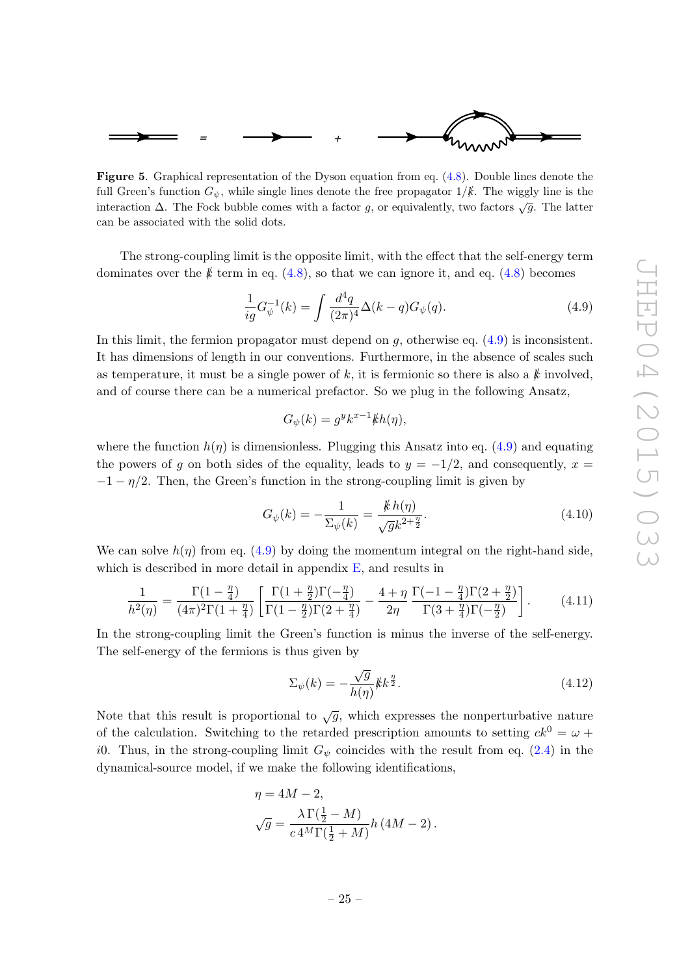

<span id="page-25-0"></span>Figure 5. Graphical representation of the Dyson equation from eq. [\(4.8\)](#page-24-3). Double lines denote the full Green's function  $G_{\psi}$ , while single lines denote the free propagator  $1/k$ . The wiggly line is the interaction  $\Delta$ . The Fock bubble comes with a factor g, or equivalently, two factors  $\sqrt{g}$ . The latter can be associated with the solid dots.

The strong-coupling limit is the opposite limit, with the effect that the self-energy term dominates over the  $k$  term in eq. [\(4.8\)](#page-24-3), so that we can ignore it, and eq. (4.8) becomes

<span id="page-25-1"></span>
$$
\frac{1}{ig}G_{\psi}^{-1}(k) = \int \frac{d^4q}{(2\pi)^4} \Delta(k-q)G_{\psi}(q). \tag{4.9}
$$

In this limit, the fermion propagator must depend on  $q$ , otherwise eq.  $(4.9)$  is inconsistent. It has dimensions of length in our conventions. Furthermore, in the absence of scales such as temperature, it must be a single power of k, it is fermionic so there is also a  $k$  involved, and of course there can be a numerical prefactor. So we plug in the following Ansatz,

$$
G_{\psi}(k) = g^y k^{x-1} k h(\eta),
$$

where the function  $h(\eta)$  is dimensionless. Plugging this Ansatz into eq. [\(4.9\)](#page-25-1) and equating the powers of g on both sides of the equality, leads to  $y = -1/2$ , and consequently,  $x =$  $-1 - \eta/2$ . Then, the Green's function in the strong-coupling limit is given by

<span id="page-25-3"></span>
$$
G_{\psi}(k) = -\frac{1}{\Sigma_{\psi}(k)} = \frac{\not k h(\eta)}{\sqrt{g}k^{2 + \frac{\eta}{2}}}.
$$
\n(4.10)

We can solve  $h(\eta)$  from eq. [\(4.9\)](#page-25-1) by doing the momentum integral on the right-hand side, which is described in more detail in appendix  $E$ , and results in

<span id="page-25-4"></span>
$$
\frac{1}{h^2(\eta)} = \frac{\Gamma(1-\frac{\eta}{4})}{(4\pi)^2 \Gamma(1+\frac{\eta}{4})} \left[ \frac{\Gamma(1+\frac{\eta}{2})\Gamma(-\frac{\eta}{4})}{\Gamma(1-\frac{\eta}{2})\Gamma(2+\frac{\eta}{4})} - \frac{4+\eta}{2\eta} \frac{\Gamma(-1-\frac{\eta}{4})\Gamma(2+\frac{\eta}{2})}{\Gamma(3+\frac{\eta}{4})\Gamma(-\frac{\eta}{2})} \right].
$$
 (4.11)

In the strong-coupling limit the Green's function is minus the inverse of the self-energy. The self-energy of the fermions is thus given by

<span id="page-25-2"></span>
$$
\Sigma_{\psi}(k) = -\frac{\sqrt{g}}{h(\eta)} k k^{\frac{\eta}{2}}.
$$
\n(4.12)

Note that this result is proportional to  $\sqrt{g}$ , which expresses the nonperturbative nature of the calculation. Switching to the retarded prescription amounts to setting  $ck^0 = \omega +$ i0. Thus, in the strong-coupling limit  $G_{\psi}$  coincides with the result from eq. [\(2.4\)](#page-8-2) in the dynamical-source model, if we make the following identifications,

$$
\eta = 4M - 2,
$$
  
\n
$$
\sqrt{g} = \frac{\lambda \Gamma(\frac{1}{2} - M)}{c 4^M \Gamma(\frac{1}{2} + M)} h (4M - 2).
$$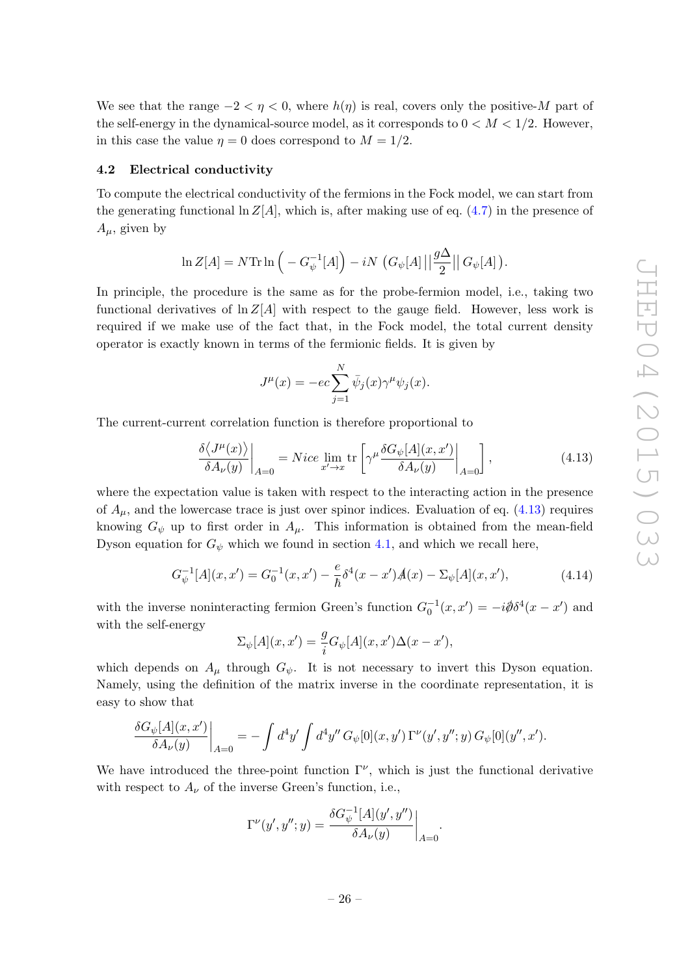We see that the range  $-2 < \eta < 0$ , where  $h(\eta)$  is real, covers only the positive-M part of the self-energy in the dynamical-source model, as it corresponds to  $0 < M < 1/2$ . However, in this case the value  $\eta = 0$  does correspond to  $M = 1/2$ .

#### <span id="page-26-0"></span>4.2 Electrical conductivity

To compute the electrical conductivity of the fermions in the Fock model, we can start from the generating functional  $\ln Z[A]$ , which is, after making use of eq. [\(4.7\)](#page-24-2) in the presence of  $A_{\mu}$ , given by

$$
\ln Z[A] = N \mathrm{Tr} \ln \left( -G_{\psi}^{-1}[A] \right) - iN \left( G_{\psi}[A] \left| \left| \frac{g\Delta}{2} \right| \right| G_{\psi}[A] \right).
$$

In principle, the procedure is the same as for the probe-fermion model, i.e., taking two functional derivatives of  $\ln Z[A]$  with respect to the gauge field. However, less work is required if we make use of the fact that, in the Fock model, the total current density operator is exactly known in terms of the fermionic fields. It is given by

$$
J^{\mu}(x) = -ec \sum_{j=1}^{N} \bar{\psi}_j(x) \gamma^{\mu} \psi_j(x).
$$

The current-current correlation function is therefore proportional to

<span id="page-26-1"></span>
$$
\frac{\delta \langle J^{\mu}(x) \rangle}{\delta A_{\nu}(y)} \bigg|_{A=0} = Nice \lim_{x' \to x} \text{tr} \left[ \gamma^{\mu} \frac{\delta G_{\psi}[A](x, x')}{\delta A_{\nu}(y)} \bigg|_{A=0} \right], \tag{4.13}
$$

where the expectation value is taken with respect to the interacting action in the presence of  $A_{\mu}$ , and the lowercase trace is just over spinor indices. Evaluation of eq. [\(4.13\)](#page-26-1) requires knowing  $G_{\psi}$  up to first order in  $A_{\mu}$ . This information is obtained from the mean-field Dyson equation for  $G_{\psi}$  which we found in section [4.1,](#page-24-0) and which we recall here,

<span id="page-26-2"></span>
$$
G_{\psi}^{-1}[A](x, x') = G_0^{-1}(x, x') - \frac{e}{\hbar} \delta^4(x - x') \mathcal{A}(x) - \Sigma_{\psi}[A](x, x'), \tag{4.14}
$$

with the inverse noninteracting fermion Green's function  $G_0^{-1}(x, x') = -i\partial\!\!\!\!/\,\delta^4(x - x')$  and with the self-energy

$$
\Sigma_{\psi}[A](x, x') = \frac{g}{i} G_{\psi}[A](x, x') \Delta(x - x'),
$$

which depends on  $A_\mu$  through  $G_\psi$ . It is not necessary to invert this Dyson equation. Namely, using the definition of the matrix inverse in the coordinate representation, it is easy to show that

$$
\left. \frac{\delta G_{\psi}[A](x, x')}{\delta A_{\nu}(y)} \right|_{A=0} = - \int d^4 y' \int d^4 y'' G_{\psi}[0](x, y') \Gamma^{\nu}(y', y''; y) G_{\psi}[0](y'', x').
$$

We have introduced the three-point function  $\Gamma^{\nu}$ , which is just the functional derivative with respect to  $A_{\nu}$  of the inverse Green's function, i.e.,

$$
\Gamma^\nu(y',y'';y) = \frac{\delta G_\psi^{-1}[A](y',y'')}{\delta A_\nu(y)}\bigg|_{A=0}.
$$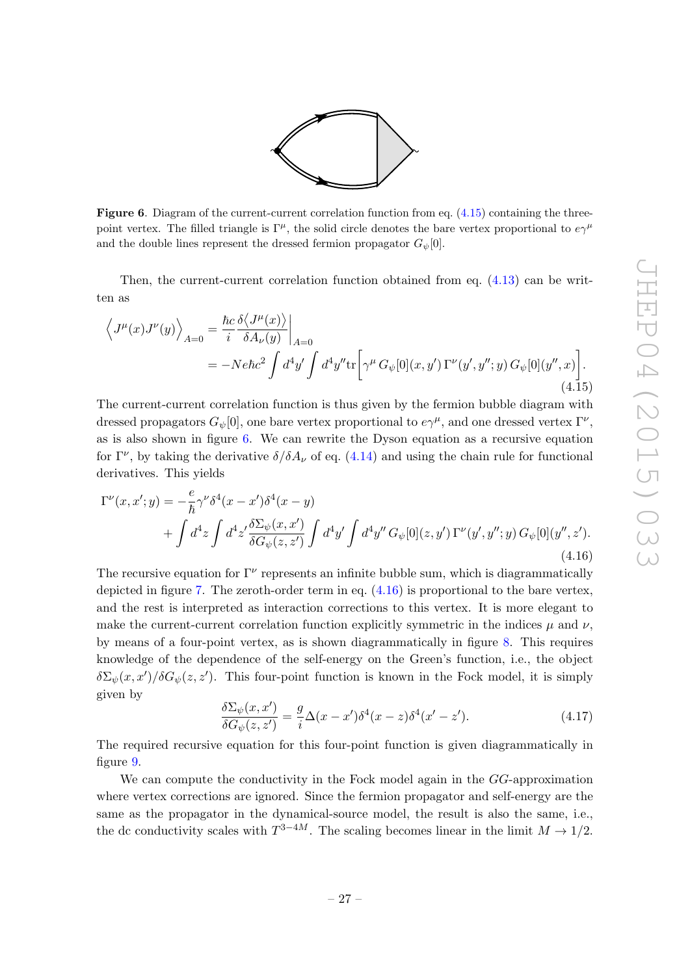

<span id="page-27-1"></span>**Figure 6.** Diagram of the current-current correlation function from eq.  $(4.15)$  containing the threepoint vertex. The filled triangle is  $\Gamma^{\mu}$ , the solid circle denotes the bare vertex proportional to  $e\gamma^{\mu}$ and the double lines represent the dressed fermion propagator  $G_{\psi}[0]$ .

Then, the current-current correlation function obtained from eq.  $(4.13)$  can be written as

<span id="page-27-0"></span>
$$
\left\langle J^{\mu}(x)J^{\nu}(y)\right\rangle_{A=0} = \frac{\hbar c}{i} \frac{\delta \langle J^{\mu}(x)\rangle}{\delta A_{\nu}(y)}\Big|_{A=0}
$$
  
= 
$$
-Ne\hbar c^{2} \int d^{4}y' \int d^{4}y'' \text{tr}\left[\gamma^{\mu} G_{\psi}[0](x, y') \Gamma^{\nu}(y', y''; y) G_{\psi}[0](y'', x)\right].
$$
(4.15)

The current-current correlation function is thus given by the fermion bubble diagram with dressed propagators  $G_{\psi}[0]$ , one bare vertex proportional to  $e\gamma^{\mu}$ , and one dressed vertex  $\Gamma^{\nu}$ , as is also shown in figure [6.](#page-27-1) We can rewrite the Dyson equation as a recursive equation for  $\Gamma^{\nu}$ , by taking the derivative  $\delta/\delta A_{\nu}$  of eq. [\(4.14\)](#page-26-2) and using the chain rule for functional derivatives. This yields

<span id="page-27-2"></span>
$$
\Gamma^{\nu}(x, x'; y) = -\frac{e}{\hbar} \gamma^{\nu} \delta^{4}(x - x') \delta^{4}(x - y) + \int d^{4}z \int d^{4}z' \frac{\delta \Sigma_{\psi}(x, x')}{\delta G_{\psi}(z, z')} \int d^{4}y' \int d^{4}y'' G_{\psi}[0](z, y') \Gamma^{\nu}(y', y''; y) G_{\psi}[0](y'', z').
$$
\n(4.16)

The recursive equation for  $\Gamma^{\nu}$  represents an infinite bubble sum, which is diagrammatically depicted in figure [7.](#page-28-1) The zeroth-order term in eq.  $(4.16)$  is proportional to the bare vertex, and the rest is interpreted as interaction corrections to this vertex. It is more elegant to make the current-current correlation function explicitly symmetric in the indices  $\mu$  and  $\nu$ , by means of a four-point vertex, as is shown diagrammatically in figure [8.](#page-28-2) This requires knowledge of the dependence of the self-energy on the Green's function, i.e., the object  $\delta \Sigma_{\psi}(x, x')/\delta G_{\psi}(z, z')$ . This four-point function is known in the Fock model, it is simply given by

<span id="page-27-3"></span>
$$
\frac{\delta \Sigma_{\psi}(x, x')}{\delta G_{\psi}(z, z')} = \frac{g}{i} \Delta(x - x') \delta^4(x - z) \delta^4(x' - z'). \tag{4.17}
$$

The required recursive equation for this four-point function is given diagrammatically in figure [9.](#page-28-3)

We can compute the conductivity in the Fock model again in the GG-approximation where vertex corrections are ignored. Since the fermion propagator and self-energy are the same as the propagator in the dynamical-source model, the result is also the same, i.e., the dc conductivity scales with  $T^{3-4M}$ . The scaling becomes linear in the limit  $M \to 1/2$ .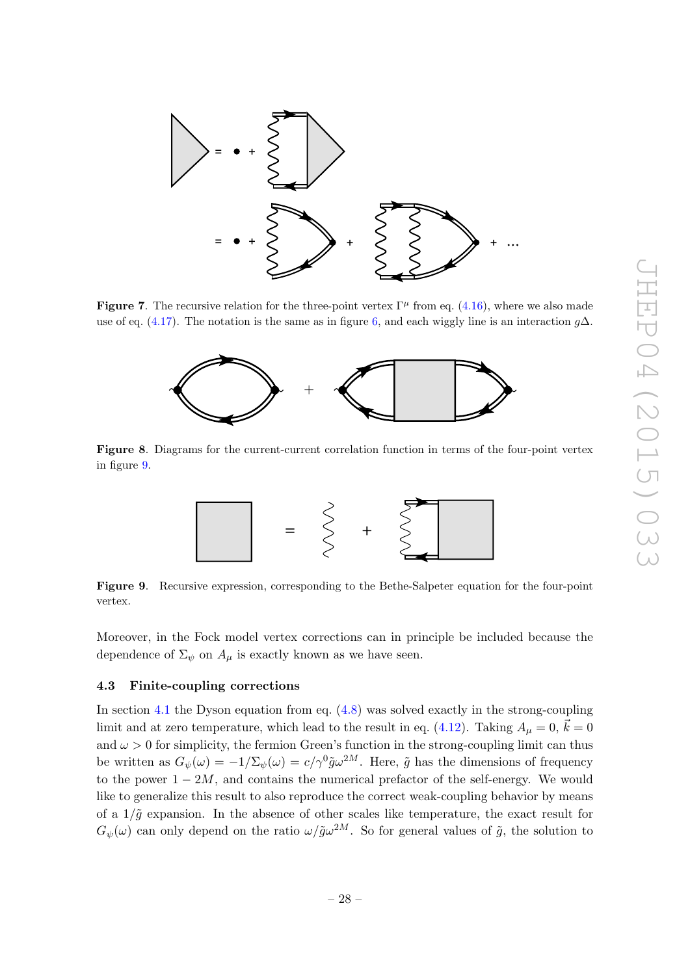

**Figure 7.** The recursive relation for the three-point vertex  $\Gamma^{\mu}$  from eq. [\(4.16\)](#page-27-2), where we also made use of eq. [\(4.17\)](#page-27-3). The notation is the same as in figure [6,](#page-27-1) and each wiggly line is an interaction  $g\Delta$ .

<span id="page-28-1"></span>

<span id="page-28-2"></span>Figure 8. Diagrams for the current-current correlation function in terms of the four-point vertex in figure [9.](#page-28-3)



<span id="page-28-3"></span>Figure 9. Recursive expression, corresponding to the Bethe-Salpeter equation for the four-point vertex.

Moreover, in the Fock model vertex corrections can in principle be included because the dependence of  $\Sigma_{\psi}$  on  $A_{\mu}$  is exactly known as we have seen.

# <span id="page-28-0"></span>4.3 Finite-coupling corrections

In section [4.1](#page-24-0) the Dyson equation from eq. [\(4.8\)](#page-24-3) was solved exactly in the strong-coupling limit and at zero temperature, which lead to the result in eq. [\(4.12\)](#page-25-2). Taking  $A_{\mu} = 0$ ,  $\vec{k} = 0$ and  $\omega > 0$  for simplicity, the fermion Green's function in the strong-coupling limit can thus be written as  $G_{\psi}(\omega) = -1/\Sigma_{\psi}(\omega) = c/\gamma^0 \tilde{g} \omega^{2M}$ . Here,  $\tilde{g}$  has the dimensions of frequency to the power  $1 - 2M$ , and contains the numerical prefactor of the self-energy. We would like to generalize this result to also reproduce the correct weak-coupling behavior by means of a  $1/\tilde{q}$  expansion. In the absence of other scales like temperature, the exact result for  $G_{\psi}(\omega)$  can only depend on the ratio  $\omega/\tilde{g}\omega^{2M}$ . So for general values of  $\tilde{g}$ , the solution to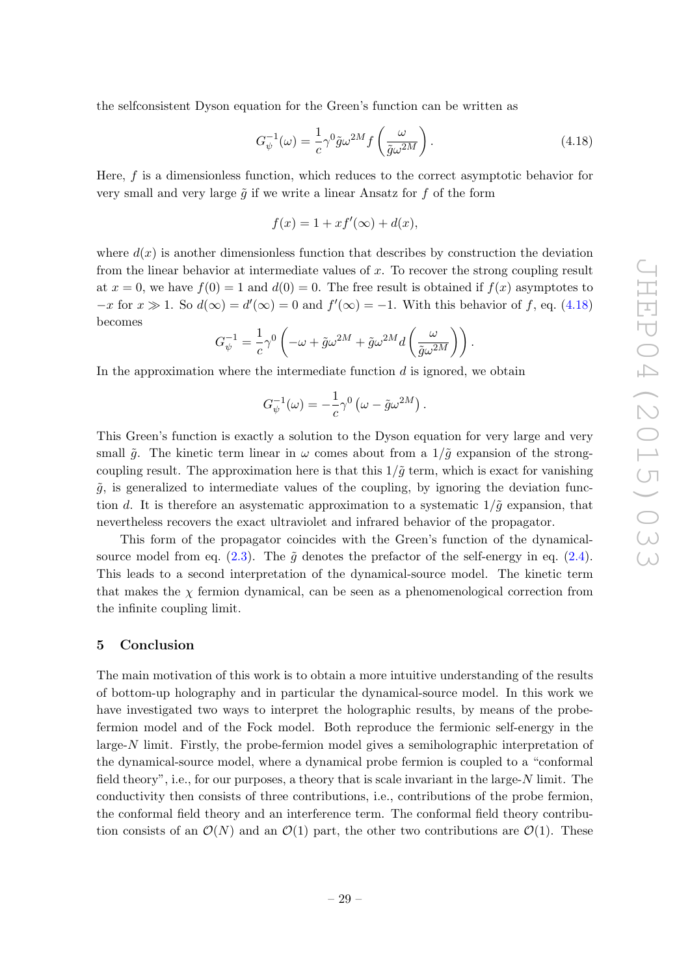the selfconsistent Dyson equation for the Green's function can be written as

<span id="page-29-1"></span>
$$
G_{\psi}^{-1}(\omega) = \frac{1}{c} \gamma^0 \tilde{g} \omega^{2M} f\left(\frac{\omega}{\tilde{g} \omega^{2M}}\right).
$$
 (4.18)

Here,  $f$  is a dimensionless function, which reduces to the correct asymptotic behavior for very small and very large  $\tilde{g}$  if we write a linear Ansatz for f of the form

$$
f(x) = 1 + xf'(\infty) + d(x),
$$

where  $d(x)$  is another dimensionless function that describes by construction the deviation from the linear behavior at intermediate values of x. To recover the strong coupling result at  $x = 0$ , we have  $f(0) = 1$  and  $d(0) = 0$ . The free result is obtained if  $f(x)$  asymptotes to  $-x$  for  $x \gg 1$ . So  $d(\infty) = d'(\infty) = 0$  and  $f'(\infty) = -1$ . With this behavior of f, eq. [\(4.18\)](#page-29-1) becomes

$$
G_{\psi}^{-1} = \frac{1}{c}\gamma^0\left(-\omega + \tilde{g}\omega^{2M} + \tilde{g}\omega^{2M}d\left(\frac{\omega}{\tilde{g}\omega^{2M}}\right)\right).
$$

In the approximation where the intermediate function  $d$  is ignored, we obtain

$$
G_{\psi}^{-1}(\omega) = -\frac{1}{c}\gamma^0\left(\omega - \tilde{g}\omega^{2M}\right).
$$

This Green's function is exactly a solution to the Dyson equation for very large and very small  $\tilde{g}$ . The kinetic term linear in  $\omega$  comes about from a  $1/\tilde{g}$  expansion of the strongcoupling result. The approximation here is that this  $1/\tilde{g}$  term, which is exact for vanishing  $\tilde{q}$ , is generalized to intermediate values of the coupling, by ignoring the deviation function d. It is therefore an asystematic approximation to a systematic  $1/\tilde{q}$  expansion, that nevertheless recovers the exact ultraviolet and infrared behavior of the propagator.

This form of the propagator coincides with the Green's function of the dynamicalsource model from eq.  $(2.3)$ . The  $\tilde{q}$  denotes the prefactor of the self-energy in eq.  $(2.4)$ . This leads to a second interpretation of the dynamical-source model. The kinetic term that makes the  $\chi$  fermion dynamical, can be seen as a phenomenological correction from the infinite coupling limit.

#### <span id="page-29-0"></span>5 Conclusion

The main motivation of this work is to obtain a more intuitive understanding of the results of bottom-up holography and in particular the dynamical-source model. In this work we have investigated two ways to interpret the holographic results, by means of the probefermion model and of the Fock model. Both reproduce the fermionic self-energy in the large-N limit. Firstly, the probe-fermion model gives a semiholographic interpretation of the dynamical-source model, where a dynamical probe fermion is coupled to a "conformal field theory", i.e., for our purposes, a theory that is scale invariant in the large- $N$  limit. The conductivity then consists of three contributions, i.e., contributions of the probe fermion, the conformal field theory and an interference term. The conformal field theory contribution consists of an  $\mathcal{O}(N)$  and an  $\mathcal{O}(1)$  part, the other two contributions are  $\mathcal{O}(1)$ . These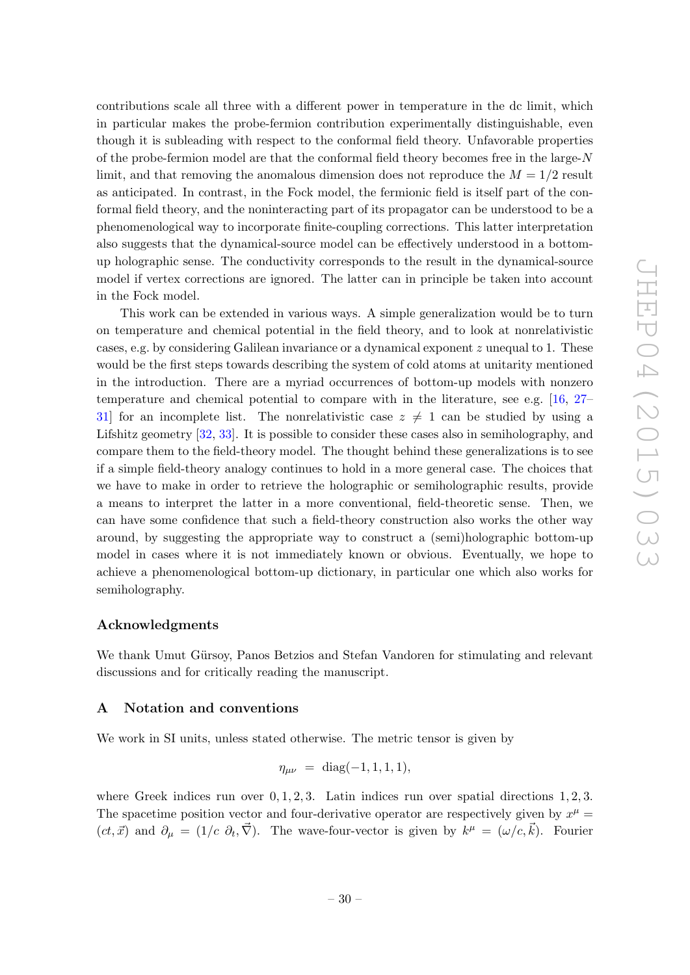contributions scale all three with a different power in temperature in the dc limit, which in particular makes the probe-fermion contribution experimentally distinguishable, even though it is subleading with respect to the conformal field theory. Unfavorable properties of the probe-fermion model are that the conformal field theory becomes free in the large-N limit, and that removing the anomalous dimension does not reproduce the  $M = 1/2$  result as anticipated. In contrast, in the Fock model, the fermionic field is itself part of the conformal field theory, and the noninteracting part of its propagator can be understood to be a phenomenological way to incorporate finite-coupling corrections. This latter interpretation also suggests that the dynamical-source model can be effectively understood in a bottomup holographic sense. The conductivity corresponds to the result in the dynamical-source model if vertex corrections are ignored. The latter can in principle be taken into account in the Fock model.

This work can be extended in various ways. A simple generalization would be to turn on temperature and chemical potential in the field theory, and to look at nonrelativistic cases, e.g. by considering Galilean invariance or a dynamical exponent  $z$  unequal to 1. These would be the first steps towards describing the system of cold atoms at unitarity mentioned in the introduction. There are a myriad occurrences of bottom-up models with nonzero temperature and chemical potential to compare with in the literature, see e.g. [\[16,](#page-39-11) [27–](#page-40-4) [31\]](#page-40-5) for an incomplete list. The nonrelativistic case  $z \neq 1$  can be studied by using a Lifshitz geometry [\[32,](#page-40-6) [33\]](#page-40-7). It is possible to consider these cases also in semiholography, and compare them to the field-theory model. The thought behind these generalizations is to see if a simple field-theory analogy continues to hold in a more general case. The choices that we have to make in order to retrieve the holographic or semiholographic results, provide a means to interpret the latter in a more conventional, field-theoretic sense. Then, we can have some confidence that such a field-theory construction also works the other way around, by suggesting the appropriate way to construct a (semi)holographic bottom-up model in cases where it is not immediately known or obvious. Eventually, we hope to achieve a phenomenological bottom-up dictionary, in particular one which also works for semiholography.

# Acknowledgments

We thank Umut Gürsoy, Panos Betzios and Stefan Vandoren for stimulating and relevant discussions and for critically reading the manuscript.

#### <span id="page-30-0"></span>A Notation and conventions

We work in SI units, unless stated otherwise. The metric tensor is given by

$$
\eta_{\mu\nu} = \text{diag}(-1, 1, 1, 1),
$$

where Greek indices run over  $0, 1, 2, 3$ . Latin indices run over spatial directions 1, 2, 3. The spacetime position vector and four-derivative operator are respectively given by  $x^{\mu} =$  $(ct, \vec{x})$  and  $\partial_{\mu} = (1/c \partial_t, \vec{\nabla})$ . The wave-four-vector is given by  $k^{\mu} = (\omega/c, \vec{k})$ . Fourier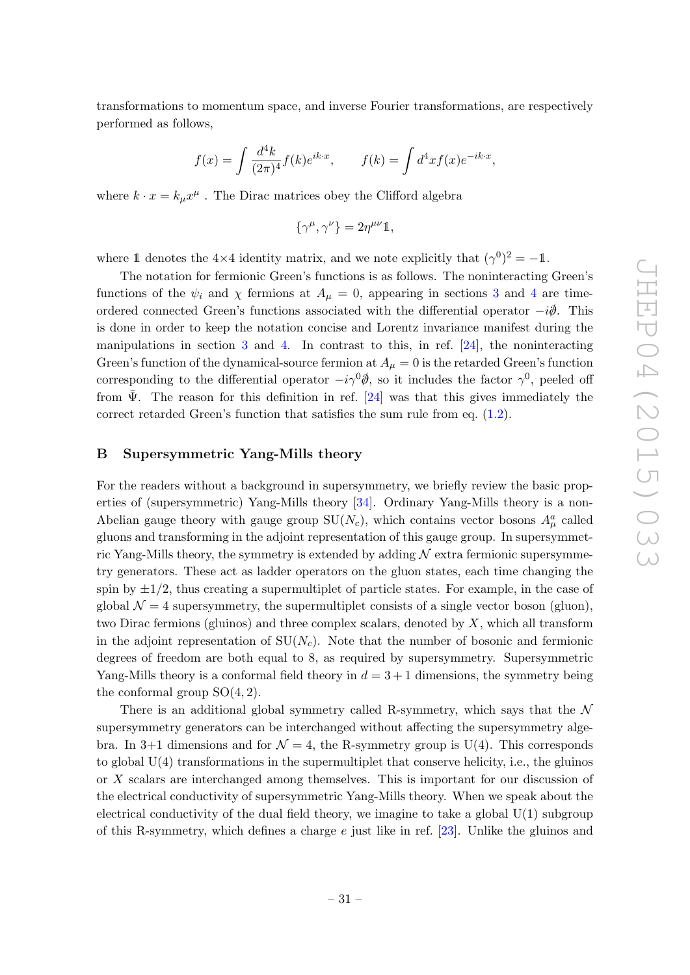transformations to momentum space, and inverse Fourier transformations, are respectively performed as follows,

$$
f(x) = \int \frac{d^4k}{(2\pi)^4} f(k)e^{ik \cdot x}, \qquad f(k) = \int d^4x f(x)e^{-ik \cdot x},
$$

where  $k \cdot x = k_{\mu} x^{\mu}$ . The Dirac matrices obey the Clifford algebra

$$
\{\gamma^{\mu}, \gamma^{\nu}\} = 2\eta^{\mu\nu}\mathbb{1},
$$

where 1 denotes the 4×4 identity matrix, and we note explicitly that  $(\gamma^0)^2 = -1$ .

The notation for fermionic Green's functions is as follows. The noninteracting Green's functions of the  $\psi_i$  and  $\chi$  fermions at  $A_\mu = 0$ , appearing in sections [3](#page-9-0) and [4](#page-22-0) are timeordered connected Green's functions associated with the differential operator  $-i\partial$ . This is done in order to keep the notation concise and Lorentz invariance manifest during the manipulations in section [3](#page-9-0) and [4.](#page-22-0) In contrast to this, in ref. [\[24\]](#page-40-1), the noninteracting Green's function of the dynamical-source fermion at  $A_\mu = 0$  is the retarded Green's function corresponding to the differential operator  $-i\gamma^0\dot{\theta}$ , so it includes the factor  $\gamma^0$ , peeled off from  $\Psi$ . The reason for this definition in ref. [[24\]](#page-40-1) was that this gives immediately the correct retarded Green's function that satisfies the sum rule from eq. [\(1.2\)](#page-4-1).

# <span id="page-31-0"></span>B Supersymmetric Yang-Mills theory

For the readers without a background in supersymmetry, we briefly review the basic properties of (supersymmetric) Yang-Mills theory [\[34\]](#page-40-8). Ordinary Yang-Mills theory is a non-Abelian gauge theory with gauge group  $SU(N_c)$ , which contains vector bosons  $A^a_\mu$  called gluons and transforming in the adjoint representation of this gauge group. In supersymmetric Yang-Mills theory, the symmetry is extended by adding  $N$  extra fermionic supersymmetry generators. These act as ladder operators on the gluon states, each time changing the spin by  $\pm 1/2$ , thus creating a supermultiplet of particle states. For example, in the case of global  $\mathcal{N} = 4$  supersymmetry, the supermultiplet consists of a single vector boson (gluon), two Dirac fermions (gluinos) and three complex scalars, denoted by  $X$ , which all transform in the adjoint representation of  $SU(N_c)$ . Note that the number of bosonic and fermionic degrees of freedom are both equal to 8, as required by supersymmetry. Supersymmetric Yang-Mills theory is a conformal field theory in  $d = 3 + 1$  dimensions, the symmetry being the conformal group  $SO(4, 2)$ .

There is an additional global symmetry called R-symmetry, which says that the  $\mathcal N$ supersymmetry generators can be interchanged without affecting the supersymmetry algebra. In 3+1 dimensions and for  $\mathcal{N} = 4$ , the R-symmetry group is U(4). This corresponds to global  $U(4)$  transformations in the supermultiplet that conserve helicity, i.e., the gluinos or X scalars are interchanged among themselves. This is important for our discussion of the electrical conductivity of supersymmetric Yang-Mills theory. When we speak about the electrical conductivity of the dual field theory, we imagine to take a global  $U(1)$  subgroup of this R-symmetry, which defines a charge  $e$  just like in ref. [\[23\]](#page-40-0). Unlike the gluinos and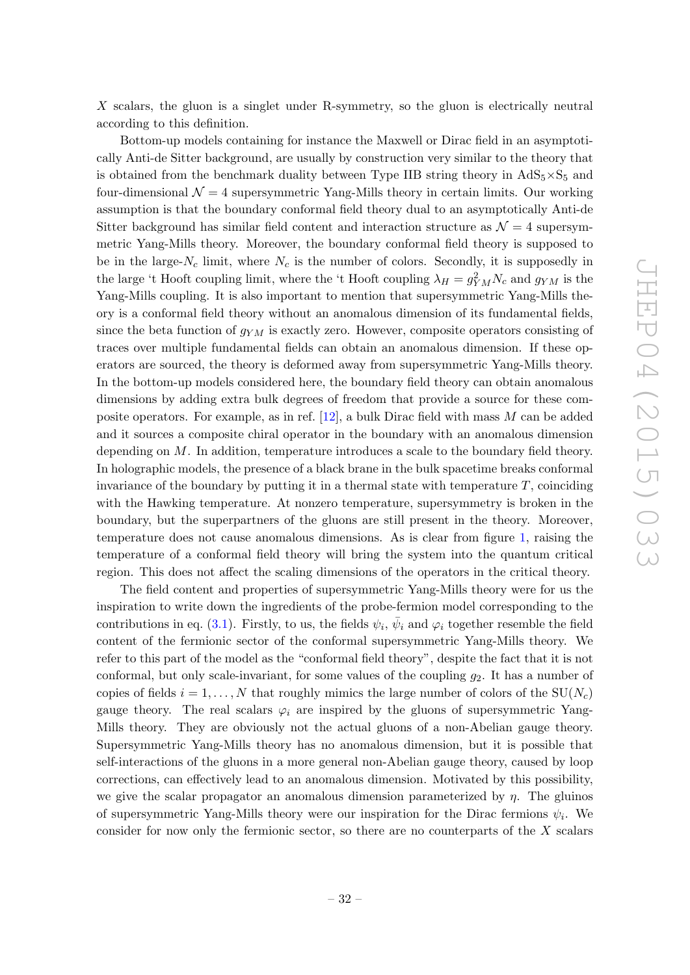X scalars, the gluon is a singlet under R-symmetry, so the gluon is electrically neutral according to this definition.

Bottom-up models containing for instance the Maxwell or Dirac field in an asymptotically Anti-de Sitter background, are usually by construction very similar to the theory that is obtained from the benchmark duality between Type IIB string theory in  $AdS_5 \times S_5$  and four-dimensional  $\mathcal{N} = 4$  supersymmetric Yang-Mills theory in certain limits. Our working assumption is that the boundary conformal field theory dual to an asymptotically Anti-de Sitter background has similar field content and interaction structure as  $\mathcal{N}=4$  supersymmetric Yang-Mills theory. Moreover, the boundary conformal field theory is supposed to be in the large- $N_c$  limit, where  $N_c$  is the number of colors. Secondly, it is supposedly in the large 't Hooft coupling limit, where the 't Hooft coupling  $\lambda_H = g_{YM}^2 N_c$  and  $g_{YM}$  is the Yang-Mills coupling. It is also important to mention that supersymmetric Yang-Mills theory is a conformal field theory without an anomalous dimension of its fundamental fields, since the beta function of  $g_{YM}$  is exactly zero. However, composite operators consisting of traces over multiple fundamental fields can obtain an anomalous dimension. If these operators are sourced, the theory is deformed away from supersymmetric Yang-Mills theory. In the bottom-up models considered here, the boundary field theory can obtain anomalous dimensions by adding extra bulk degrees of freedom that provide a source for these composite operators. For example, as in ref. [\[12\]](#page-39-6), a bulk Dirac field with mass M can be added and it sources a composite chiral operator in the boundary with an anomalous dimension depending on M. In addition, temperature introduces a scale to the boundary field theory. In holographic models, the presence of a black brane in the bulk spacetime breaks conformal invariance of the boundary by putting it in a thermal state with temperature  $T$ , coinciding with the Hawking temperature. At nonzero temperature, supersymmetry is broken in the boundary, but the superpartners of the gluons are still present in the theory. Moreover, temperature does not cause anomalous dimensions. As is clear from figure [1,](#page-4-0) raising the temperature of a conformal field theory will bring the system into the quantum critical region. This does not affect the scaling dimensions of the operators in the critical theory.

The field content and properties of supersymmetric Yang-Mills theory were for us the inspiration to write down the ingredients of the probe-fermion model corresponding to the contributions in eq. [\(3.1\)](#page-9-3). Firstly, to us, the fields  $\psi_i$ ,  $\bar{\psi}_i$  and  $\varphi_i$  together resemble the field content of the fermionic sector of the conformal supersymmetric Yang-Mills theory. We refer to this part of the model as the "conformal field theory", despite the fact that it is not conformal, but only scale-invariant, for some values of the coupling  $g_2$ . It has a number of copies of fields  $i = 1, \ldots, N$  that roughly mimics the large number of colors of the SU( $N_c$ ) gauge theory. The real scalars  $\varphi_i$  are inspired by the gluons of supersymmetric Yang-Mills theory. They are obviously not the actual gluons of a non-Abelian gauge theory. Supersymmetric Yang-Mills theory has no anomalous dimension, but it is possible that self-interactions of the gluons in a more general non-Abelian gauge theory, caused by loop corrections, can effectively lead to an anomalous dimension. Motivated by this possibility, we give the scalar propagator an anomalous dimension parameterized by  $\eta$ . The gluinos of supersymmetric Yang-Mills theory were our inspiration for the Dirac fermions  $\psi_i$ . We consider for now only the fermionic sector, so there are no counterparts of the  $X$  scalars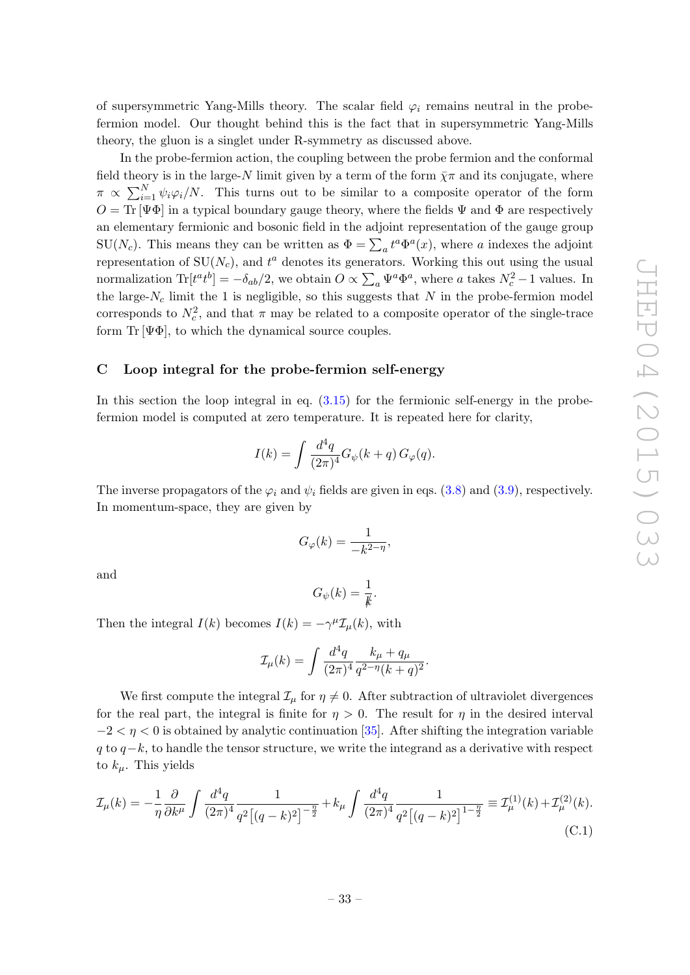of supersymmetric Yang-Mills theory. The scalar field  $\varphi_i$  remains neutral in the probefermion model. Our thought behind this is the fact that in supersymmetric Yang-Mills theory, the gluon is a singlet under R-symmetry as discussed above.

In the probe-fermion action, the coupling between the probe fermion and the conformal field theory is in the large-N limit given by a term of the form  $\bar{\chi}\pi$  and its conjugate, where  $\pi \propto \sum_{i=1}^{N} \psi_i \varphi_i/N$ . This turns out to be similar to a composite operator of the form  $O = \text{Tr}[\Psi \Phi]$  in a typical boundary gauge theory, where the fields  $\Psi$  and  $\Phi$  are respectively an elementary fermionic and bosonic field in the adjoint representation of the gauge group SU(N<sub>c</sub>). This means they can be written as  $\Phi = \sum_a t^a \Phi^a(x)$ , where a indexes the adjoint representation of  $SU(N_c)$ , and  $t^a$  denotes its generators. Working this out using the usual normalization  $\text{Tr}[t^{a}t^{b}] = -\delta_{ab}/2$ , we obtain  $O \propto \sum_{a} \Psi^{a} \Phi^{a}$ , where a takes  $N_{c}^{2} - 1$  values. In the large- $N_c$  limit the 1 is negligible, so this suggests that  $N$  in the probe-fermion model corresponds to  $N_c^2$ , and that  $\pi$  may be related to a composite operator of the single-trace form  $\text{Tr}[\Psi \Phi]$ , to which the dynamical source couples.

# <span id="page-33-0"></span>C Loop integral for the probe-fermion self-energy

In this section the loop integral in eq.  $(3.15)$  for the fermionic self-energy in the probefermion model is computed at zero temperature. It is repeated here for clarity,

$$
I(k) = \int \frac{d^4q}{(2\pi)^4} G_{\psi}(k+q) G_{\varphi}(q).
$$

The inverse propagators of the  $\varphi_i$  and  $\psi_i$  fields are given in eqs. [\(3.8\)](#page-11-2) and [\(3.9\)](#page-11-3), respectively. In momentum-space, they are given by

$$
G_{\varphi}(k) = \frac{1}{-k^{2-\eta}},
$$

and

$$
G_{\psi}(k) = \frac{1}{k}.
$$

Then the integral  $I(k)$  becomes  $I(k) = -\gamma^{\mu} \mathcal{I}_{\mu}(k)$ , with

$$
\mathcal{I}_{\mu}(k) = \int \frac{d^4q}{(2\pi)^4} \frac{k_{\mu} + q_{\mu}}{q^{2-\eta}(k+q)^2}.
$$

We first compute the integral  $\mathcal{I}_{\mu}$  for  $\eta \neq 0$ . After subtraction of ultraviolet divergences for the real part, the integral is finite for  $\eta > 0$ . The result for  $\eta$  in the desired interval  $-2 < \eta < 0$  is obtained by analytic continuation [\[35\]](#page-40-9). After shifting the integration variable q to  $q-k$ , to handle the tensor structure, we write the integrand as a derivative with respect to  $k_{\mu}$ . This yields

<span id="page-33-1"></span>
$$
\mathcal{I}_{\mu}(k) = -\frac{1}{\eta} \frac{\partial}{\partial k^{\mu}} \int \frac{d^4q}{(2\pi)^4} \frac{1}{q^2 \left[ (q-k)^2 \right]^{-\frac{\eta}{2}}} + k_{\mu} \int \frac{d^4q}{(2\pi)^4} \frac{1}{q^2 \left[ (q-k)^2 \right]^{1-\frac{\eta}{2}}} \equiv \mathcal{I}_{\mu}^{(1)}(k) + \mathcal{I}_{\mu}^{(2)}(k). \tag{C.1}
$$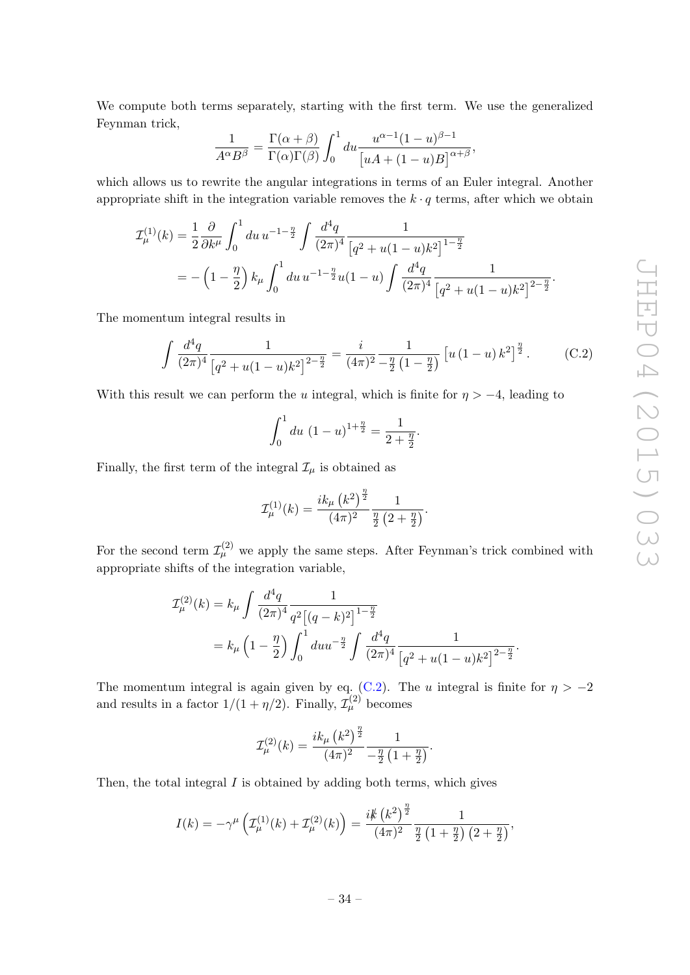We compute both terms separately, starting with the first term. We use the generalized Feynman trick,

$$
\frac{1}{A^{\alpha}B^{\beta}} = \frac{\Gamma(\alpha+\beta)}{\Gamma(\alpha)\Gamma(\beta)} \int_0^1 du \frac{u^{\alpha-1}(1-u)^{\beta-1}}{\left[uA+(1-u)B\right]^{\alpha+\beta}},
$$

which allows us to rewrite the angular integrations in terms of an Euler integral. Another appropriate shift in the integration variable removes the  $k \cdot q$  terms, after which we obtain

$$
\mathcal{I}_{\mu}^{(1)}(k) = \frac{1}{2} \frac{\partial}{\partial k^{\mu}} \int_{0}^{1} du \, u^{-1-\frac{\eta}{2}} \int \frac{d^{4}q}{(2\pi)^{4}} \frac{1}{\left[q^{2} + u(1-u)k^{2}\right]^{1-\frac{\eta}{2}}} \n= -\left(1 - \frac{\eta}{2}\right) k_{\mu} \int_{0}^{1} du \, u^{-1-\frac{\eta}{2}} u(1-u) \int \frac{d^{4}q}{(2\pi)^{4}} \frac{1}{\left[q^{2} + u(1-u)k^{2}\right]^{2-\frac{\eta}{2}}}.
$$

The momentum integral results in

<span id="page-34-0"></span>
$$
\int \frac{d^4q}{(2\pi)^4} \frac{1}{\left[q^2 + u(1-u)k^2\right]^{2-\frac{\eta}{2}}} = \frac{i}{(4\pi)^2} \frac{1}{-\frac{\eta}{2}\left(1-\frac{\eta}{2}\right)} \left[u\left(1-u\right)k^2\right]^{\frac{\eta}{2}}.
$$
 (C.2)

With this result we can perform the u integral, which is finite for  $\eta > -4$ , leading to

$$
\int_0^1 du \ (1-u)^{1+\frac{\eta}{2}} = \frac{1}{2+\frac{\eta}{2}}.
$$

Finally, the first term of the integral  $\mathcal{I}_{\mu}$  is obtained as

$$
\mathcal{I}^{(1)}_{\mu}(k) = \frac{ik_{\mu}\left(k^{2}\right)^{\frac{\eta}{2}}}{(4\pi)^{2}} \frac{1}{\frac{\eta}{2}\left(2+\frac{\eta}{2}\right)}.
$$

For the second term  $\mathcal{I}_{\mu}^{(2)}$  we apply the same steps. After Feynman's trick combined with appropriate shifts of the integration variable,

$$
\mathcal{I}_{\mu}^{(2)}(k) = k_{\mu} \int \frac{d^4q}{(2\pi)^4} \frac{1}{q^2 \left[ (q-k)^2 \right]^{1-\frac{\eta}{2}}} \n= k_{\mu} \left( 1 - \frac{\eta}{2} \right) \int_0^1 du u^{-\frac{\eta}{2}} \int \frac{d^4q}{(2\pi)^4} \frac{1}{\left[ q^2 + u(1-u)k^2 \right]^{2-\frac{\eta}{2}}}.
$$

The momentum integral is again given by eq. [\(C.2\)](#page-34-0). The u integral is finite for  $\eta > -2$ and results in a factor  $1/(1 + \eta/2)$ . Finally,  $\mathcal{I}_{\mu}^{(2)}$  becomes

$$
\mathcal{I}^{(2)}_{\mu}(k)=\frac{i k_{\mu}\left(k^2\right)^{\frac{\eta}{2}}}{(4\pi)^2}\frac{1}{-\frac{\eta}{2}\left(1+\frac{\eta}{2}\right)}.
$$

Then, the total integral  $I$  is obtained by adding both terms, which gives

$$
I(k) = -\gamma^{\mu} \left( \mathcal{I}_{\mu}^{(1)}(k) + \mathcal{I}_{\mu}^{(2)}(k) \right) = \frac{i k \left( k^2 \right)^{\frac{\eta}{2}}}{(4\pi)^2} \frac{1}{\frac{\eta}{2} \left( 1 + \frac{\eta}{2} \right) \left( 2 + \frac{\eta}{2} \right)},
$$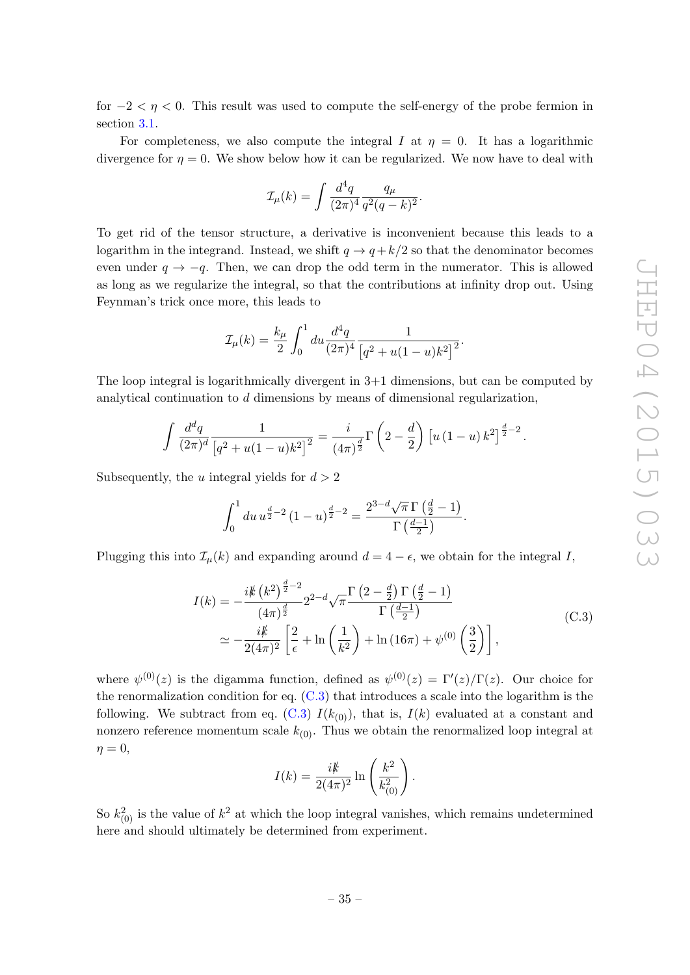for  $-2 < \eta < 0$ . This result was used to compute the self-energy of the probe fermion in section [3.1.](#page-13-0)

For completeness, we also compute the integral I at  $\eta = 0$ . It has a logarithmic divergence for  $\eta = 0$ . We show below how it can be regularized. We now have to deal with

$$
\mathcal{I}_{\mu}(k) = \int \frac{d^4q}{(2\pi)^4} \frac{q_{\mu}}{q^2(q-k)^2}.
$$

To get rid of the tensor structure, a derivative is inconvenient because this leads to a logarithm in the integrand. Instead, we shift  $q \to q + k/2$  so that the denominator becomes even under  $q \rightarrow -q$ . Then, we can drop the odd term in the numerator. This is allowed as long as we regularize the integral, so that the contributions at infinity drop out. Using Feynman's trick once more, this leads to

$$
\mathcal{I}_{\mu}(k) = \frac{k_{\mu}}{2} \int_0^1 du \frac{d^4q}{(2\pi)^4} \frac{1}{\left[q^2 + u(1-u)k^2\right]^2}.
$$

The loop integral is logarithmically divergent in 3+1 dimensions, but can be computed by analytical continuation to d dimensions by means of dimensional regularization,

$$
\int \frac{d^d q}{(2\pi)^d} \frac{1}{\left[q^2 + u(1-u)k^2\right]^2} = \frac{i}{(4\pi)^{\frac{d}{2}}} \Gamma\left(2 - \frac{d}{2}\right) \left[u\left(1-u\right)k^2\right]^{\frac{d}{2}-2}.
$$

Subsequently, the u integral yields for  $d > 2$ 

$$
\int_0^1 du \, u^{\frac{d}{2}-2} \left(1-u\right)^{\frac{d}{2}-2} = \frac{2^{3-d}\sqrt{\pi} \, \Gamma\left(\frac{d}{2}-1\right)}{\Gamma\left(\frac{d-1}{2}\right)}.
$$

Plugging this into  $\mathcal{I}_{\mu}(k)$  and expanding around  $d = 4 - \epsilon$ , we obtain for the integral I,

<span id="page-35-0"></span>
$$
I(k) = -\frac{i k (k^2)^{\frac{d}{2}-2}}{(4\pi)^{\frac{d}{2}}} 2^{2-d} \sqrt{\pi} \frac{\Gamma(2-\frac{d}{2}) \Gamma(\frac{d}{2}-1)}{\Gamma(\frac{d-1}{2})}
$$
  
 
$$
\simeq -\frac{i k}{2(4\pi)^2} \left[ \frac{2}{\epsilon} + \ln\left(\frac{1}{k^2}\right) + \ln(16\pi) + \psi^{(0)}\left(\frac{3}{2}\right) \right],
$$
 (C.3)

where  $\psi^{(0)}(z)$  is the digamma function, defined as  $\psi^{(0)}(z) = \Gamma'(z)/\Gamma(z)$ . Our choice for the renormalization condition for eq.  $(C.3)$  that introduces a scale into the logarithm is the following. We subtract from eq. [\(C.3\)](#page-35-0)  $I(k_{(0)})$ , that is,  $I(k)$  evaluated at a constant and nonzero reference momentum scale  $k_{(0)}$ . Thus we obtain the renormalized loop integral at  $\eta = 0$ ,

$$
I(k) = \frac{i k}{2(4\pi)^2} \ln\left(\frac{k^2}{k_{(0)}^2}\right).
$$

So  $k_{(0)}^2$  is the value of  $k^2$  at which the loop integral vanishes, which remains undetermined here and should ultimately be determined from experiment.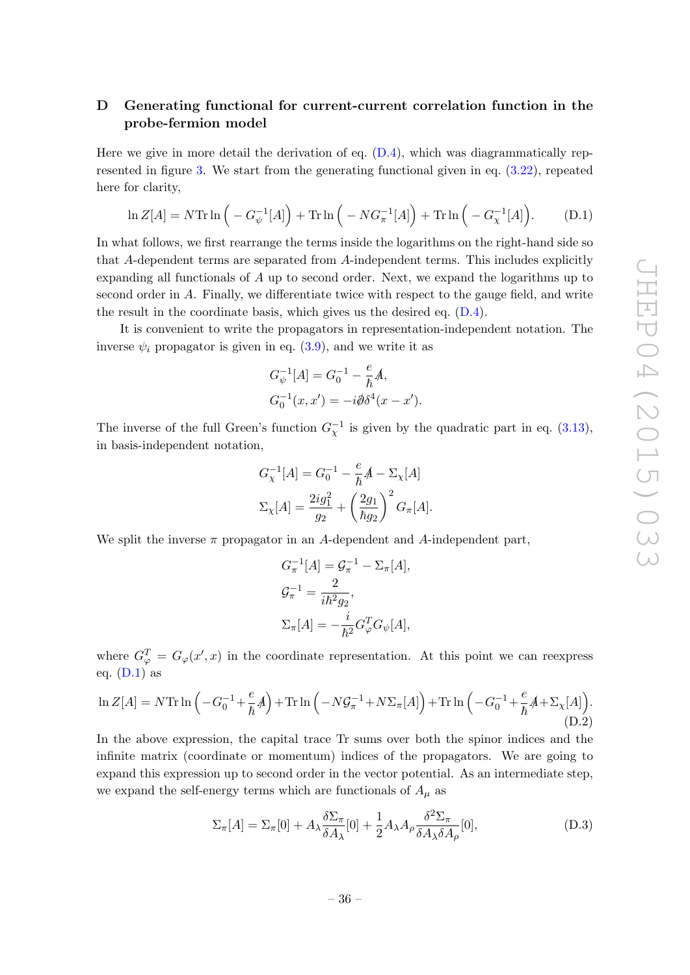# <span id="page-36-0"></span>D Generating functional for current-current correlation function in the probe-fermion model

Here we give in more detail the derivation of eq.  $(D.4)$ , which was diagrammatically represented in figure [3.](#page-16-0) We start from the generating functional given in eq. [\(3.22\)](#page-15-2), repeated here for clarity,

<span id="page-36-1"></span>
$$
\ln Z[A] = N \text{Tr} \ln \left( -G_{\psi}^{-1}[A] \right) + \text{Tr} \ln \left( -NG_{\pi}^{-1}[A] \right) + \text{Tr} \ln \left( -G_{\chi}^{-1}[A] \right). \tag{D.1}
$$

In what follows, we first rearrange the terms inside the logarithms on the right-hand side so that A-dependent terms are separated from A-independent terms. This includes explicitly expanding all functionals of A up to second order. Next, we expand the logarithms up to second order in A. Finally, we differentiate twice with respect to the gauge field, and write the result in the coordinate basis, which gives us the desired eq. [\(D.4\)](#page-37-0).

It is convenient to write the propagators in representation-independent notation. The inverse  $\psi_i$  propagator is given in eq. [\(3.9\)](#page-11-3), and we write it as

$$
G_{\psi}^{-1}[A] = G_0^{-1} - \frac{e}{\hbar}A,
$$
  
\n
$$
G_0^{-1}(x, x') = -i\partial \delta^4(x - x').
$$

The inverse of the full Green's function  $G_{\chi}^{-1}$  is given by the quadratic part in eq. [\(3.13\)](#page-13-1), in basis-independent notation,

$$
G_{\chi}^{-1}[A] = G_0^{-1} - \frac{e}{\hbar}A - \Sigma_{\chi}[A]
$$

$$
\Sigma_{\chi}[A] = \frac{2ig_1^2}{g_2} + \left(\frac{2g_1}{\hbar g_2}\right)^2 G_{\pi}[A].
$$

We split the inverse  $\pi$  propagator in an A-dependent and A-independent part,

$$
G_{\pi}^{-1}[A] = \mathcal{G}_{\pi}^{-1} - \Sigma_{\pi}[A],
$$
  
\n
$$
\mathcal{G}_{\pi}^{-1} = \frac{2}{i\hbar^2 g_2},
$$
  
\n
$$
\Sigma_{\pi}[A] = -\frac{i}{\hbar^2} G_{\varphi}^T G_{\psi}[A],
$$

where  $G_{\varphi}^{T} = G_{\varphi}(x', x)$  in the coordinate representation. At this point we can reexpress eq.  $(D.1)$  as

<span id="page-36-2"></span>
$$
\ln Z[A] = N \text{Tr} \ln \left( -G_0^{-1} + \frac{e}{\hbar} A \right) + \text{Tr} \ln \left( -N \mathcal{G}_{\pi}^{-1} + N \Sigma_{\pi}[A] \right) + \text{Tr} \ln \left( -G_0^{-1} + \frac{e}{\hbar} A + \Sigma_{\chi}[A] \right). \tag{D.2}
$$

In the above expression, the capital trace Tr sums over both the spinor indices and the infinite matrix (coordinate or momentum) indices of the propagators. We are going to expand this expression up to second order in the vector potential. As an intermediate step, we expand the self-energy terms which are functionals of  $A_{\mu}$  as

<span id="page-36-3"></span>
$$
\Sigma_{\pi}[A] = \Sigma_{\pi}[0] + A_{\lambda} \frac{\delta \Sigma_{\pi}}{\delta A_{\lambda}}[0] + \frac{1}{2} A_{\lambda} A_{\rho} \frac{\delta^2 \Sigma_{\pi}}{\delta A_{\lambda} \delta A_{\rho}}[0], \tag{D.3}
$$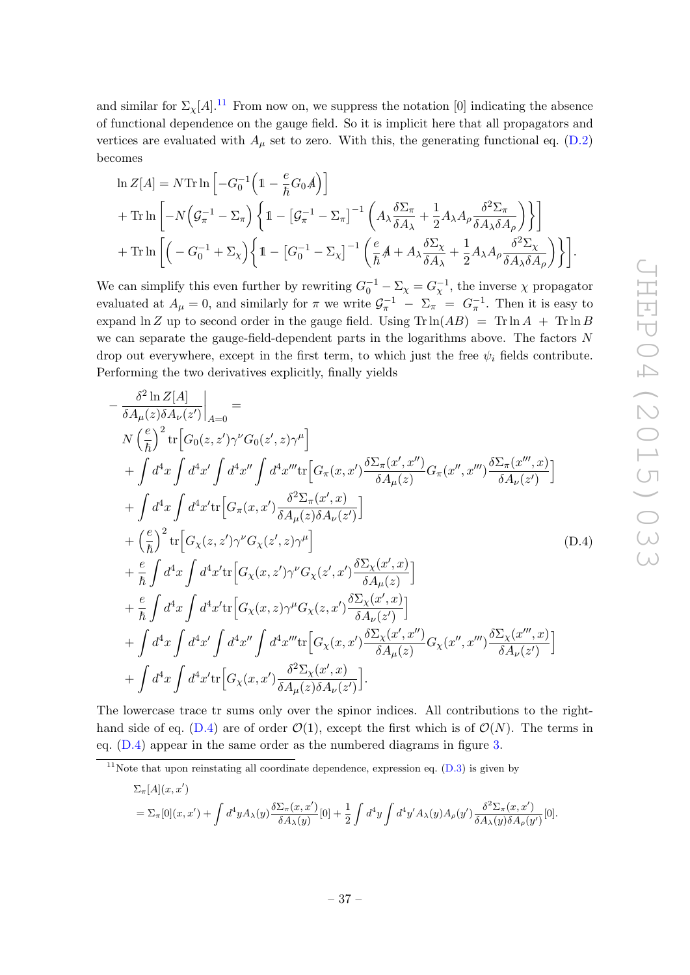and similar for  $\Sigma_{\chi}[A]$ .<sup>[11](#page-37-1)</sup> From now on, we suppress the notation [0] indicating the absence of functional dependence on the gauge field. So it is implicit here that all propagators and vertices are evaluated with  $A_\mu$  set to zero. With this, the generating functional eq. [\(D.2\)](#page-36-2) becomes

$$
\ln Z[A] = N \text{Tr} \ln \left[ -G_0^{-1} \left( 1 - \frac{e}{\hbar} G_0 A \right) \right]
$$
  
+ 
$$
\text{Tr} \ln \left[ -N \left( \mathcal{G}_\pi^{-1} - \Sigma_\pi \right) \left\{ 1 - \left[ \mathcal{G}_\pi^{-1} - \Sigma_\pi \right]^{-1} \left( A_\lambda \frac{\delta \Sigma_\pi}{\delta A_\lambda} + \frac{1}{2} A_\lambda A_\rho \frac{\delta^2 \Sigma_\pi}{\delta A_\lambda \delta A_\rho} \right) \right\} \right]
$$
  
+ 
$$
\text{Tr} \ln \left[ \left( -G_0^{-1} + \Sigma_\chi \right) \left\{ 1 - \left[ G_0^{-1} - \Sigma_\chi \right]^{-1} \left( \frac{e}{\hbar} A + A_\lambda \frac{\delta \Sigma_\chi}{\delta A_\lambda} + \frac{1}{2} A_\lambda A_\rho \frac{\delta^2 \Sigma_\chi}{\delta A_\lambda \delta A_\rho} \right) \right\} \right].
$$

We can simplify this even further by rewriting  $G_0^{-1} - \Sigma_{\chi} = G_{\chi}^{-1}$ , the inverse  $\chi$  propagator evaluated at  $A_{\mu} = 0$ , and similarly for  $\pi$  we write  $\mathcal{G}_{\pi}^{-1} - \Sigma_{\pi} = G_{\pi}^{-1}$ . Then it is easy to expand  $\ln Z$  up to second order in the gauge field. Using  $\text{Tr} \ln(AB) = \text{Tr} \ln A + \text{Tr} \ln B$ we can separate the gauge-field-dependent parts in the logarithms above. The factors  $N$ drop out everywhere, except in the first term, to which just the free  $\psi_i$  fields contribute. Performing the two derivatives explicitly, finally yields

<span id="page-37-0"></span>
$$
-\frac{\delta^{2}\ln Z[A]}{\delta A_{\mu}(z)\delta A_{\nu}(z')}|_{A=0} =
$$
\n
$$
N\left(\frac{e}{\hbar}\right)^{2}\text{tr}\left[G_{0}(z,z')\gamma^{\nu}G_{0}(z',z)\gamma^{\mu}\right]
$$
\n
$$
+\int d^{4}x\int d^{4}x'\int d^{4}x''\int d^{4}x''\text{tr}\left[G_{\pi}(x,x')\frac{\delta\Sigma_{\pi}(x',x'')}{\delta A_{\mu}(z)}G_{\pi}(x'',x''')\frac{\delta\Sigma_{\pi}(x''',x)}{\delta A_{\nu}(z')}\right]
$$
\n
$$
+\int d^{4}x\int d^{4}x'\text{tr}\left[G_{\pi}(x,x')\frac{\delta^{2}\Sigma_{\pi}(x',x)}{\delta A_{\mu}(z)\delta A_{\nu}(z')}\right]
$$
\n
$$
+\left(\frac{e}{\hbar}\right)^{2}\text{tr}\left[G_{\chi}(z,z')\gamma^{\nu}G_{\chi}(z',z)\gamma^{\mu}\right]
$$
\n
$$
+\frac{e}{\hbar}\int d^{4}x\int d^{4}x'\text{tr}\left[G_{\chi}(x,z')\gamma^{\nu}G_{\chi}(z',x')\frac{\delta\Sigma_{\chi}(x',x)}{\delta A_{\mu}(z)}\right]
$$
\n
$$
+\frac{e}{\hbar}\int d^{4}x\int d^{4}x'\text{tr}\left[G_{\chi}(x,z)\gamma^{\mu}G_{\chi}(z,x')\frac{\delta\Sigma_{\chi}(x',x)}{\delta A_{\nu}(z')}\right]
$$
\n
$$
+\int d^{4}x\int d^{4}x'\int d^{4}x''\int d^{4}x'''\text{tr}\left[G_{\chi}(x,x')\frac{\delta\Sigma_{\chi}(x',x'')}{\delta A_{\mu}(z)}G_{\chi}(x'',x''')\frac{\delta\Sigma_{\chi}(x''',x)}{\delta A_{\nu}(z')}\right]
$$
\n
$$
+\int d^{4}x\int d^{4}x'\int d^{4}x''\left[G_{\chi}(x,x')\frac{\delta^{2}\Sigma_{\chi}(x',x)}{\delta A_{\mu}(z)\delta A_{\nu}(z')}\right].
$$
\n(D.4)

The lowercase trace tr sums only over the spinor indices. All contributions to the right-hand side of eq. [\(D.4\)](#page-37-0) are of order  $\mathcal{O}(1)$ , except the first which is of  $\mathcal{O}(N)$ . The terms in eq. [\(D.4\)](#page-37-0) appear in the same order as the numbered diagrams in figure [3.](#page-16-0)

<span id="page-37-1"></span><sup>11</sup>Note that upon reinstating all coordinate dependence, expression eq.  $(D.3)$  is given by

$$
\Sigma_{\pi}[A](x, x') = \Sigma_{\pi}[0](x, x') + \int d^4y A_{\lambda}(y) \frac{\delta \Sigma_{\pi}(x, x')}{\delta A_{\lambda}(y)} [0] + \frac{1}{2} \int d^4y \int d^4y' A_{\lambda}(y) A_{\rho}(y') \frac{\delta^2 \Sigma_{\pi}(x, x')}{\delta A_{\lambda}(y) \delta A_{\rho}(y')} [0].
$$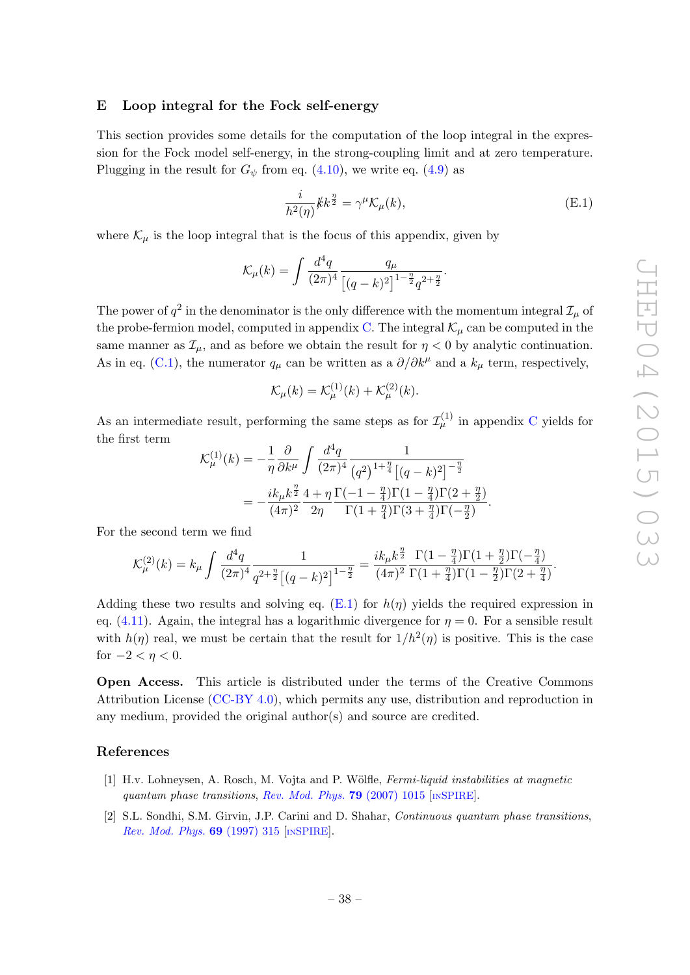#### <span id="page-38-0"></span>E Loop integral for the Fock self-energy

This section provides some details for the computation of the loop integral in the expression for the Fock model self-energy, in the strong-coupling limit and at zero temperature. Plugging in the result for  $G_{\psi}$  from eq. [\(4.10\)](#page-25-3), we write eq. [\(4.9\)](#page-25-1) as

<span id="page-38-3"></span>
$$
\frac{i}{h^2(\eta)}\rlap{\,/}k k^{\frac{\eta}{2}} = \gamma^\mu \mathcal{K}_\mu(k),\tag{E.1}
$$

where  $\mathcal{K}_u$  is the loop integral that is the focus of this appendix, given by

$$
\mathcal{K}_{\mu}(k) = \int \frac{d^4q}{(2\pi)^4} \frac{q_{\mu}}{\left[ (q-k)^2 \right]^{1-\frac{\eta}{2}} q^{2+\frac{\eta}{2}}}.
$$

The power of  $q^2$  in the denominator is the only difference with the momentum integral  $\mathcal{I}_{\mu}$  of the probe-fermion model, computed in appendix [C.](#page-33-0) The integral  $\mathcal{K}_{\mu}$  can be computed in the same manner as  $\mathcal{I}_{\mu}$ , and as before we obtain the result for  $\eta < 0$  by analytic continuation. As in eq. [\(C.1\)](#page-33-1), the numerator  $q_{\mu}$  can be written as a  $\partial/\partial k^{\mu}$  and a  $k_{\mu}$  term, respectively,

$$
\mathcal{K}_{\mu}(k) = \mathcal{K}_{\mu}^{(1)}(k) + \mathcal{K}_{\mu}^{(2)}(k).
$$

As an intermediate result, performing the same steps as for  $\mathcal{I}_{\mu}^{(1)}$  in appendix [C](#page-33-0) yields for the first term

$$
\mathcal{K}_{\mu}^{(1)}(k) = -\frac{1}{\eta} \frac{\partial}{\partial k^{\mu}} \int \frac{d^4q}{(2\pi)^4} \frac{1}{(q^2)^{1+\frac{\eta}{4}} \left[ (q-k)^2 \right]^{-\frac{\eta}{2}}} \n= -\frac{ik_{\mu}k^{\frac{\eta}{2}}}{(4\pi)^2} \frac{4+\eta}{2\eta} \frac{\Gamma(-1-\frac{\eta}{4})\Gamma(1-\frac{\eta}{4})\Gamma(2+\frac{\eta}{2})}{\Gamma(1+\frac{\eta}{4})\Gamma(3+\frac{\eta}{4})\Gamma(-\frac{\eta}{2})}.
$$

For the second term we find

$$
\mathcal{K}_{\mu}^{(2)}(k)=k_{\mu}\int\frac{d^{4}q}{(2\pi)^{4}}\frac{1}{q^{2+\frac{\eta}{2}}\big[(q-k)^{2}\big]^{1-\frac{\eta}{2}}}=\frac{ik_{\mu}k^{\frac{\eta}{2}}}{(4\pi)^{2}}\frac{\Gamma(1-\frac{\eta}{4})\Gamma(1+\frac{\eta}{2})\Gamma(-\frac{\eta}{4})}{\Gamma(1+\frac{\eta}{4})\Gamma(1-\frac{\eta}{2})\Gamma(2+\frac{\eta}{4})}.
$$

Adding these two results and solving eq.  $(E.1)$  for  $h(\eta)$  yields the required expression in eq. [\(4.11\)](#page-25-4). Again, the integral has a logarithmic divergence for  $\eta = 0$ . For a sensible result with  $h(\eta)$  real, we must be certain that the result for  $1/h^2(\eta)$  is positive. This is the case for  $-2 < \eta < 0$ .

Open Access. This article is distributed under the terms of the Creative Commons Attribution License [\(CC-BY 4.0\)](http://creativecommons.org/licenses/by/4.0/), which permits any use, distribution and reproduction in any medium, provided the original author(s) and source are credited.

## References

- <span id="page-38-1"></span>[1] H.v. Lohneysen, A. Rosch, M. Vojta and P. Wölfle, *Fermi-liquid instabilities at magnetic* quantum phase transitions, [Rev. Mod. Phys.](http://dx.doi.org/10.1103/RevModPhys.79.1015) 79 (2007) 1015 [IN[SPIRE](http://inspirehep.net/search?p=find+J+Rev.Mod.Phys.,79,1015)].
- <span id="page-38-2"></span>[2] S.L. Sondhi, S.M. Girvin, J.P. Carini and D. Shahar, Continuous quantum phase transitions, [Rev. Mod. Phys.](http://dx.doi.org/10.1103/RevModPhys.69.315) 69 (1997) 315 [IN[SPIRE](http://inspirehep.net/search?p=find+J+Rev.Mod.Phys.,69,315)].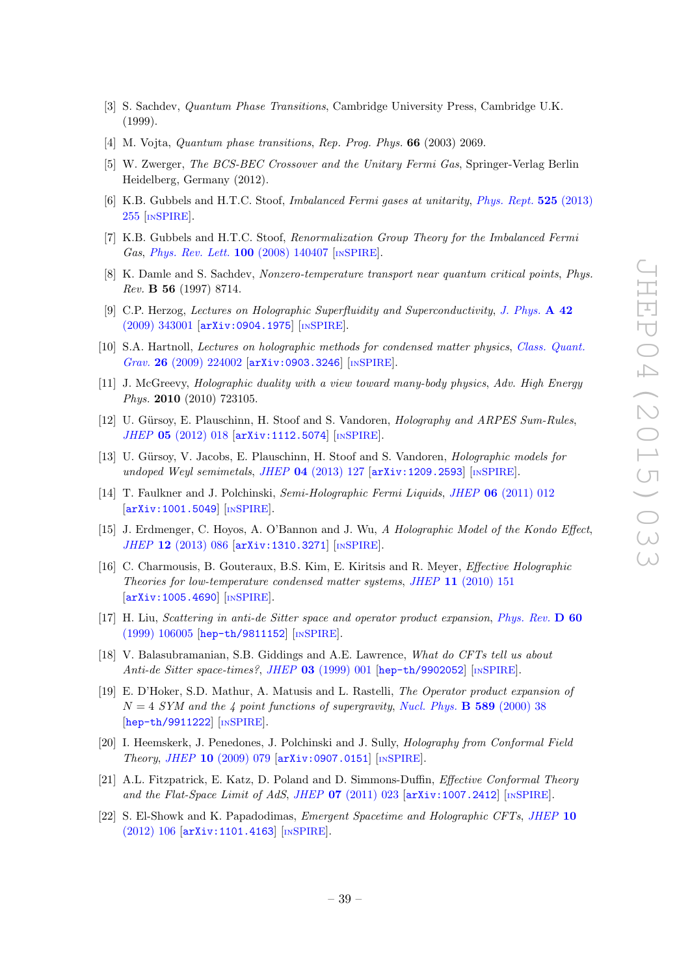- [3] S. Sachdev, Quantum Phase Transitions, Cambridge University Press, Cambridge U.K. (1999).
- <span id="page-39-0"></span>[4] M. Vojta, *Quantum phase transitions*, *Rep. Prog. Phys.* **66** (2003) 2069.
- <span id="page-39-1"></span>[5] W. Zwerger, The BCS-BEC Crossover and the Unitary Fermi Gas, Springer-Verlag Berlin Heidelberg, Germany (2012).
- <span id="page-39-2"></span>[6] K.B. Gubbels and H.T.C. Stoof, Imbalanced Fermi gases at unitarity, [Phys. Rept.](http://dx.doi.org/10.1016/j.physrep.2012.11.004) 525 (2013) [255](http://dx.doi.org/10.1016/j.physrep.2012.11.004) [IN[SPIRE](http://inspirehep.net/search?p=find+J+Phys.Rep.,525,255)].
- <span id="page-39-9"></span>[7] K.B. Gubbels and H.T.C. Stoof, Renormalization Group Theory for the Imbalanced Fermi Gas, [Phys. Rev. Lett.](http://dx.doi.org/10.1103/PhysRevLett.100.140407) 100 (2008) 140407 [IN[SPIRE](http://inspirehep.net/search?p=find+J+Phys.Rev.Lett.,100,140407)].
- <span id="page-39-3"></span>[8] K. Damle and S. Sachdev, Nonzero-temperature transport near quantum critical points, Phys. Rev. B 56 (1997) 8714.
- <span id="page-39-4"></span>[9] C.P. Herzog, Lectures on Holographic Superfluidity and Superconductivity, [J. Phys.](http://dx.doi.org/10.1088/1751-8113/42/34/343001) A 42 [\(2009\) 343001](http://dx.doi.org/10.1088/1751-8113/42/34/343001) [[arXiv:0904.1975](http://arxiv.org/abs/0904.1975)] [IN[SPIRE](http://inspirehep.net/search?p=find+J+J.Phys.,A42,343001)].
- [10] S.A. Hartnoll, Lectures on holographic methods for condensed matter physics, [Class. Quant.](http://dx.doi.org/10.1088/0264-9381/26/22/224002) Grav. 26 [\(2009\) 224002](http://dx.doi.org/10.1088/0264-9381/26/22/224002) [[arXiv:0903.3246](http://arxiv.org/abs/0903.3246)] [IN[SPIRE](http://inspirehep.net/search?p=find+J+Class.Quant.Grav.,26,224002)].
- <span id="page-39-5"></span>[11] J. McGreevy, Holographic duality with a view toward many-body physics, Adv. High Energy Phys. 2010 (2010) 723105.
- <span id="page-39-6"></span>[12] U. Gürsoy, E. Plauschinn, H. Stoof and S. Vandoren, *Holography and ARPES Sum-Rules*, JHEP 05 [\(2012\) 018](http://dx.doi.org/10.1007/JHEP05(2012)018) [[arXiv:1112.5074](http://arxiv.org/abs/1112.5074)] [IN[SPIRE](http://inspirehep.net/search?p=find+J+JHEP,1205,018)].
- <span id="page-39-7"></span>[13] U. Gürsoy, V. Jacobs, E. Plauschinn, H. Stoof and S. Vandoren, *Holographic models for* undoped Weyl semimetals, JHEP  $04$  [\(2013\) 127](http://dx.doi.org/10.1007/JHEP04(2013)127)  $\text{arXiv:1209.2593}$  $\text{arXiv:1209.2593}$  $\text{arXiv:1209.2593}$  [IN[SPIRE](http://inspirehep.net/search?p=find+J+JHEP,1304,127)].
- <span id="page-39-8"></span>[14] T. Faulkner and J. Polchinski, Semi-Holographic Fermi Liquids, JHEP 06 [\(2011\) 012](http://dx.doi.org/10.1007/JHEP06(2011)012) [[arXiv:1001.5049](http://arxiv.org/abs/1001.5049)] [IN[SPIRE](http://inspirehep.net/search?p=find+J+JHEP,1106,012)].
- <span id="page-39-10"></span>[15] J. Erdmenger, C. Hoyos, A. O'Bannon and J. Wu, A Holographic Model of the Kondo Effect, JHEP 12 [\(2013\) 086](http://dx.doi.org/10.1007/JHEP12(2013)086) [[arXiv:1310.3271](http://arxiv.org/abs/1310.3271)] [IN[SPIRE](http://inspirehep.net/search?p=find+J+JHEP,1312,086)].
- <span id="page-39-11"></span>[16] C. Charmousis, B. Gouteraux, B.S. Kim, E. Kiritsis and R. Meyer, Effective Holographic Theories for low-temperature condensed matter systems, JHEP 11 [\(2010\) 151](http://dx.doi.org/10.1007/JHEP11(2010)151) [[arXiv:1005.4690](http://arxiv.org/abs/1005.4690)] [IN[SPIRE](http://inspirehep.net/search?p=find+J+JHEP,1011,151)].
- <span id="page-39-12"></span>[17] H. Liu, Scattering in anti-de Sitter space and operator product expansion, [Phys. Rev.](http://dx.doi.org/10.1103/PhysRevD.60.106005) D 60 [\(1999\) 106005](http://dx.doi.org/10.1103/PhysRevD.60.106005) [[hep-th/9811152](http://arxiv.org/abs/hep-th/9811152)] [IN[SPIRE](http://inspirehep.net/search?p=find+J+Phys.Rev.,D60,106005)].
- [18] V. Balasubramanian, S.B. Giddings and A.E. Lawrence, What do CFTs tell us about Anti-de Sitter space-times?, JHEP 03 [\(1999\) 001](http://dx.doi.org/10.1088/1126-6708/1999/03/001) [[hep-th/9902052](http://arxiv.org/abs/hep-th/9902052)] [IN[SPIRE](http://inspirehep.net/search?p=find+J+JHEP,9903,001)].
- <span id="page-39-13"></span>[19] E. D'Hoker, S.D. Mathur, A. Matusis and L. Rastelli, The Operator product expansion of  $N = 4$  SYM and the 4 point functions of supergravity, [Nucl. Phys.](http://dx.doi.org/10.1016/S0550-3213(00)00523-X) **B** 589 (2000) 38 [[hep-th/9911222](http://arxiv.org/abs/hep-th/9911222)] [IN[SPIRE](http://inspirehep.net/search?p=find+J+Nucl.Phys.,B589,38)].
- <span id="page-39-14"></span>[20] I. Heemskerk, J. Penedones, J. Polchinski and J. Sully, Holography from Conformal Field Theory, JHEP 10 [\(2009\) 079](http://dx.doi.org/10.1088/1126-6708/2009/10/079) [[arXiv:0907.0151](http://arxiv.org/abs/0907.0151)] [IN[SPIRE](http://inspirehep.net/search?p=find+J+JHEP,0910,079)].
- [21] A.L. Fitzpatrick, E. Katz, D. Poland and D. Simmons-Duffin, Effective Conformal Theory and the Flat-Space Limit of AdS, JHEP  $07$  [\(2011\) 023](http://dx.doi.org/10.1007/JHEP07(2011)023)  $\text{arXiv:1007.2412}$  $\text{arXiv:1007.2412}$  $\text{arXiv:1007.2412}$  [IN[SPIRE](http://inspirehep.net/search?p=find+J+JHEP,1107,023)].
- <span id="page-39-15"></span>[22] S. El-Showk and K. Papadodimas, Emergent Spacetime and Holographic CFTs, [JHEP](http://dx.doi.org/10.1007/JHEP10(2012)106) 10 [\(2012\) 106](http://dx.doi.org/10.1007/JHEP10(2012)106) [[arXiv:1101.4163](http://arxiv.org/abs/1101.4163)] [IN[SPIRE](http://inspirehep.net/search?p=find+J+JHEP,1210,106)].